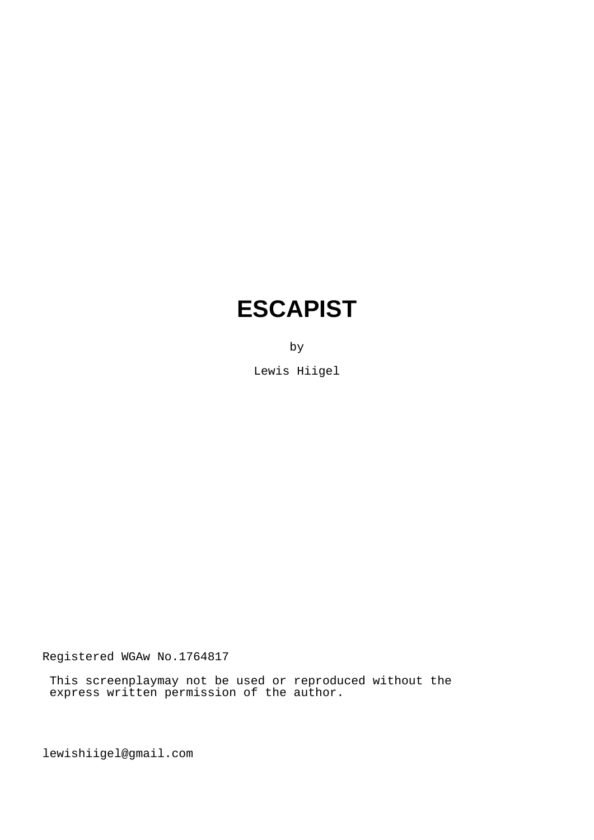# **ESCAPIST**

by

Lewis Hiigel

Registered WGAw No.1764817

 This screenplaymay not be used or reproduced without the express written permission of the author.

lewishiigel@gmail.com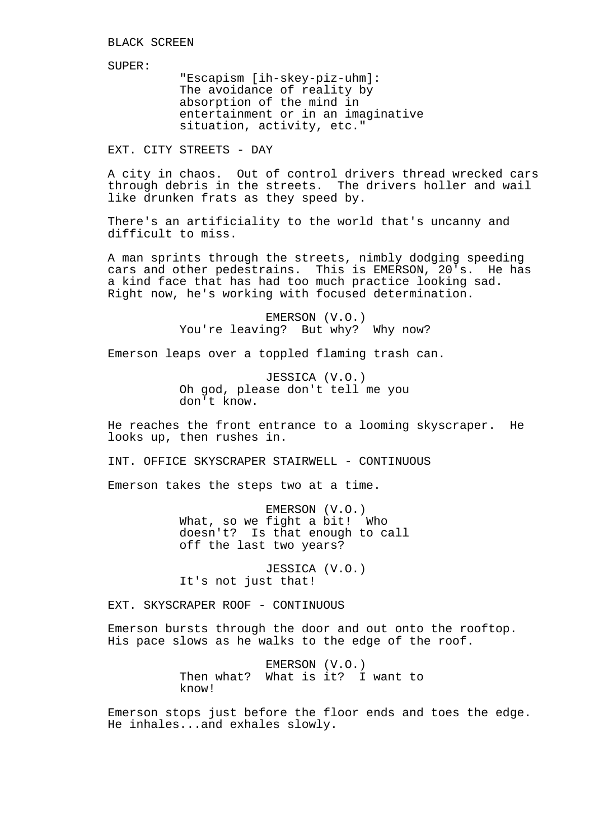SUPER:

"Escapism [ih-skey-piz-uhm]: The avoidance of reality by absorption of the mind in entertainment or in an imaginative situation, activity, etc."

EXT. CITY STREETS - DAY

A city in chaos. Out of control drivers thread wrecked cars through debris in the streets. The drivers holler and wail like drunken frats as they speed by.

There's an artificiality to the world that's uncanny and difficult to miss.

A man sprints through the streets, nimbly dodging speeding cars and other pedestrains. This is EMERSON, 20's. He has a kind face that has had too much practice looking sad. Right now, he's working with focused determination.

> EMERSON (V.O.) You're leaving? But why? Why now?

Emerson leaps over a toppled flaming trash can.

JESSICA (V.O.) Oh god, please don't tell me you don't know.

He reaches the front entrance to a looming skyscraper. He looks up, then rushes in.

INT. OFFICE SKYSCRAPER STAIRWELL - CONTINUOUS

Emerson takes the steps two at a time.

EMERSON (V.O.) What, so we fight a bit! Who doesn't? Is that enough to call off the last two years?

JESSICA (V.O.) It's not just that!

EXT. SKYSCRAPER ROOF - CONTINUOUS

Emerson bursts through the door and out onto the rooftop. His pace slows as he walks to the edge of the roof.

> EMERSON (V.O.) Then what? What is it? I want to know!

Emerson stops just before the floor ends and toes the edge. He inhales...and exhales slowly.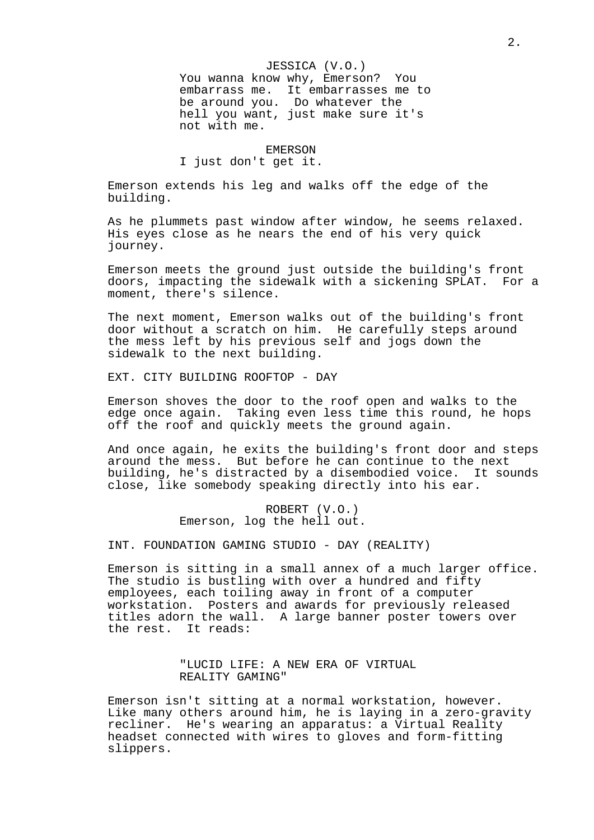JESSICA (V.O.) You wanna know why, Emerson? You embarrass me. It embarrasses me to be around you. Do whatever the hell you want, just make sure it's not with me.

EMERSON

I just don't get it.

Emerson extends his leg and walks off the edge of the building.

As he plummets past window after window, he seems relaxed. His eyes close as he nears the end of his very quick journey.

Emerson meets the ground just outside the building's front doors, impacting the sidewalk with a sickening SPLAT. For a moment, there's silence.

The next moment, Emerson walks out of the building's front door without a scratch on him. He carefully steps around the mess left by his previous self and jogs down the sidewalk to the next building.

EXT. CITY BUILDING ROOFTOP - DAY

Emerson shoves the door to the roof open and walks to the edge once again. Taking even less time this round, he hops off the roof and quickly meets the ground again.

And once again, he exits the building's front door and steps around the mess. But before he can continue to the next building, he's distracted by a disembodied voice. It sounds close, like somebody speaking directly into his ear.

> ROBERT (V.O.) Emerson, log the hell out.

INT. FOUNDATION GAMING STUDIO - DAY (REALITY)

Emerson is sitting in a small annex of a much larger office. The studio is bustling with over a hundred and fifty employees, each toiling away in front of a computer workstation. Posters and awards for previously released titles adorn the wall. A large banner poster towers over the rest. It reads:

> "LUCID LIFE: A NEW ERA OF VIRTUAL REALITY GAMING"

Emerson isn't sitting at a normal workstation, however. Like many others around him, he is laying in a zero-gravity recliner. He's wearing an apparatus: a Virtual Reality headset connected with wires to gloves and form-fitting slippers.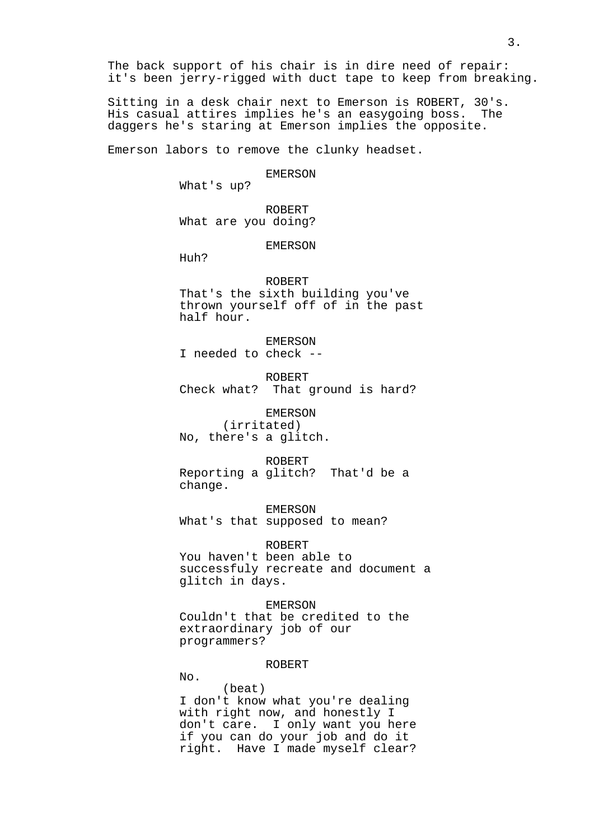The back support of his chair is in dire need of repair: it's been jerry-rigged with duct tape to keep from breaking.

Sitting in a desk chair next to Emerson is ROBERT, 30's. His casual attires implies he's an easygoing boss. The daggers he's staring at Emerson implies the opposite.

Emerson labors to remove the clunky headset.

EMERSON

What's up?

ROBERT What are you doing?

EMERSON

Huh?

No.

#### ROBERT

That's the sixth building you've thrown yourself off of in the past half hour.

EMERSON

I needed to check --

ROBERT Check what? That ground is hard?

EMERSON (irritated) No, there's a glitch.

ROBERT

Reporting a glitch? That'd be a change.

EMERSON What's that supposed to mean?

ROBERT You haven't been able to successfuly recreate and document a glitch in days.

EMERSON Couldn't that be credited to the extraordinary job of our programmers?

#### ROBERT

(beat) I don't know what you're dealing with right now, and honestly I don't care. I only want you here if you can do your job and do it right. Have I made myself clear?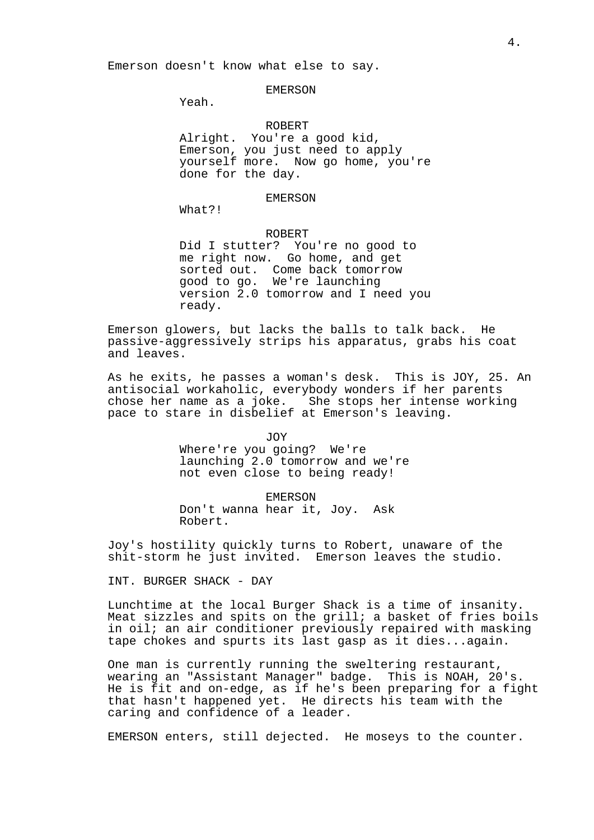Emerson doesn't know what else to say.

#### EMERSON

Yeah.

# ROBERT

Alright. You're a good kid, Emerson, you just need to apply yourself more. Now go home, you're done for the day.

#### EMERSON

What?!

# ROBERT

Did I stutter? You're no good to me right now. Go home, and get sorted out. Come back tomorrow good to go. We're launching version 2.0 tomorrow and I need you ready.

Emerson glowers, but lacks the balls to talk back. He passive-aggressively strips his apparatus, grabs his coat and leaves.

As he exits, he passes a woman's desk. This is JOY, 25. An antisocial workaholic, everybody wonders if her parents chose her name as a joke. She stops her intense working pace to stare in disbelief at Emerson's leaving.

JOY

Where're you going? We're launching 2.0 tomorrow and we're not even close to being ready!

EMERSON Don't wanna hear it, Joy. Ask Robert.

Joy's hostility quickly turns to Robert, unaware of the shit-storm he just invited. Emerson leaves the studio.

INT. BURGER SHACK - DAY

Lunchtime at the local Burger Shack is a time of insanity. Meat sizzles and spits on the grill; a basket of fries boils in oil; an air conditioner previously repaired with masking tape chokes and spurts its last gasp as it dies...again.

One man is currently running the sweltering restaurant, wearing an "Assistant Manager" badge. This is NOAH, 20's. He is fit and on-edge, as if he's been preparing for a fight that hasn't happened yet. He directs his team with the caring and confidence of a leader.

EMERSON enters, still dejected. He moseys to the counter.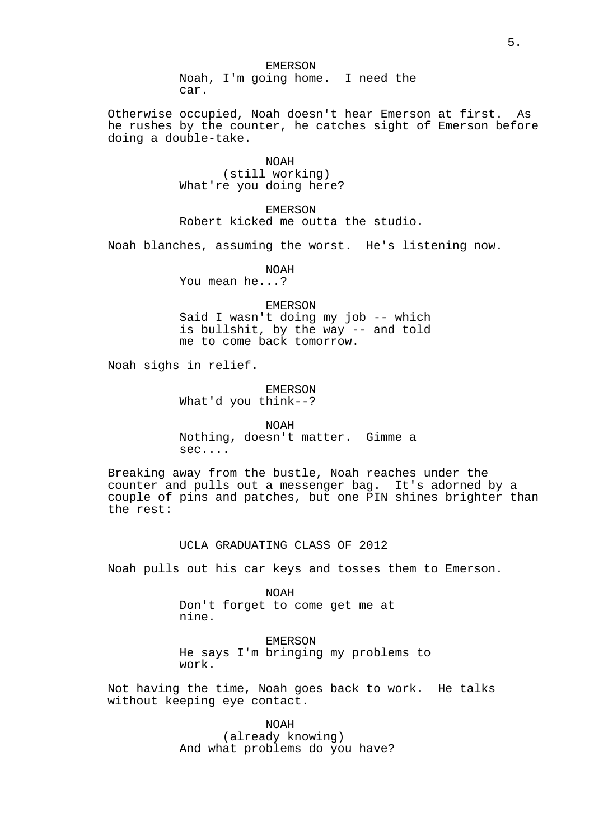Otherwise occupied, Noah doesn't hear Emerson at first. As he rushes by the counter, he catches sight of Emerson before doing a double-take.

> NOAH (still working) What're you doing here?

EMERSON Robert kicked me outta the studio.

Noah blanches, assuming the worst. He's listening now.

NOAH You mean he...?

EMERSON Said I wasn't doing my job -- which is bullshit, by the way -- and told me to come back tomorrow.

Noah sighs in relief.

EMERSON What'd you think--?

NOAH Nothing, doesn't matter. Gimme a sec....

Breaking away from the bustle, Noah reaches under the counter and pulls out a messenger bag. It's adorned by a couple of pins and patches, but one PIN shines brighter than the rest:

# UCLA GRADUATING CLASS OF 2012

Noah pulls out his car keys and tosses them to Emerson.

NOAH Don't forget to come get me at nine.

EMERSON He says I'm bringing my problems to work.

Not having the time, Noah goes back to work. He talks without keeping eye contact.

> NOAH (already knowing) And what problems do you have?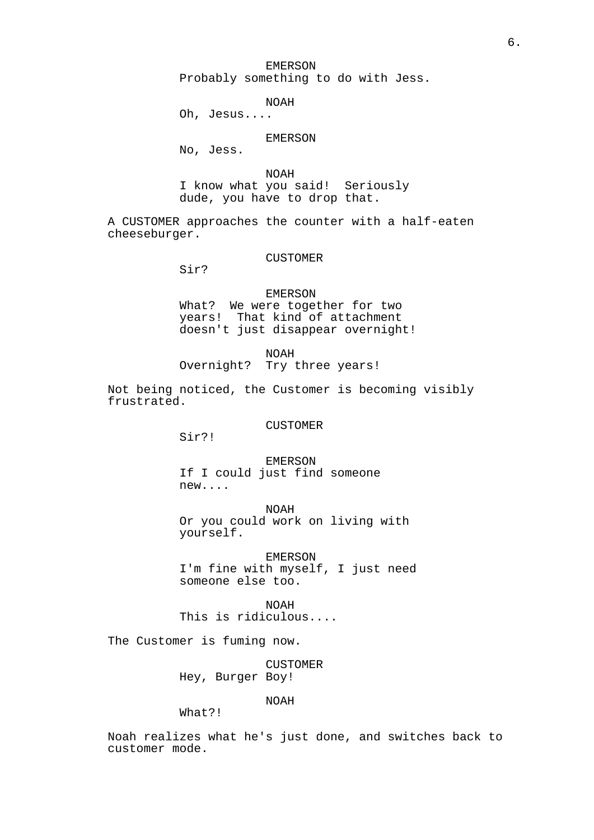EMERSON Probably something to do with Jess.

NOAH

Oh, Jesus....

# EMERSON

No, Jess.

NOAH

I know what you said! Seriously dude, you have to drop that.

A CUSTOMER approaches the counter with a half-eaten cheeseburger.

#### CUSTOMER

Sir?

EMERSON What? We were together for two years! That kind of attachment doesn't just disappear overnight!

NOAH Overnight? Try three years!

Not being noticed, the Customer is becoming visibly frustrated.

# CUSTOMER

Sir?!

EMERSON If I could just find someone new....

NOAH Or you could work on living with yourself.

EMERSON I'm fine with myself, I just need someone else too.

NOAH

This is ridiculous....

The Customer is fuming now.

CUSTOMER Hey, Burger Boy!

NOAH

What?!

Noah realizes what he's just done, and switches back to customer mode.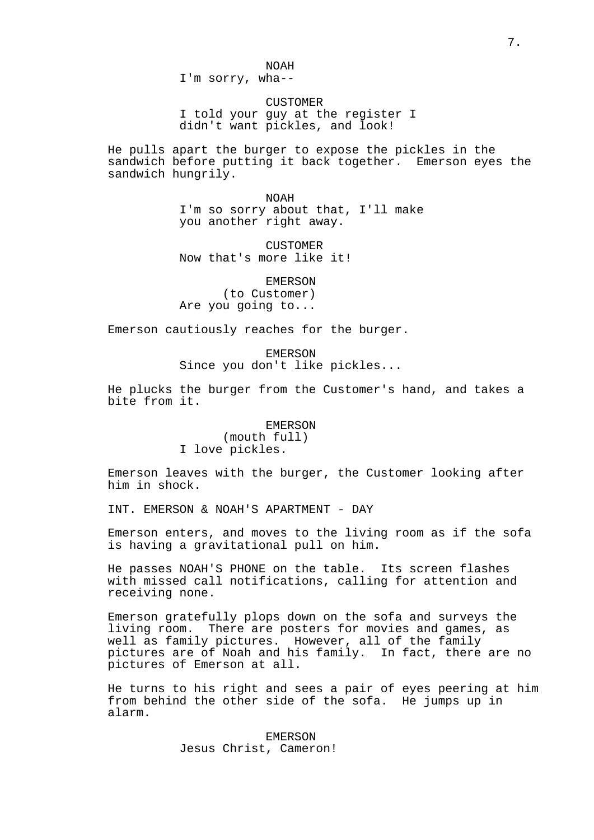I'm sorry, wha--

CUSTOMER I told your guy at the register I didn't want pickles, and look!

He pulls apart the burger to expose the pickles in the sandwich before putting it back together. Emerson eyes the sandwich hungrily.

> NOAH I'm so sorry about that, I'll make you another right away.

CUSTOMER Now that's more like it!

EMERSON (to Customer) Are you going to...

Emerson cautiously reaches for the burger.

EMERSON Since you don't like pickles...

He plucks the burger from the Customer's hand, and takes a bite from it.

# EMERSON

(mouth full) I love pickles.

Emerson leaves with the burger, the Customer looking after him in shock.

INT. EMERSON & NOAH'S APARTMENT - DAY

Emerson enters, and moves to the living room as if the sofa is having a gravitational pull on him.

He passes NOAH'S PHONE on the table. Its screen flashes with missed call notifications, calling for attention and receiving none.

Emerson gratefully plops down on the sofa and surveys the living room. There are posters for movies and games, as well as family pictures. However, all of the family pictures are of Noah and his family. In fact, there are no pictures of Emerson at all.

He turns to his right and sees a pair of eyes peering at him from behind the other side of the sofa. He jumps up in alarm.

> EMERSON Jesus Christ, Cameron!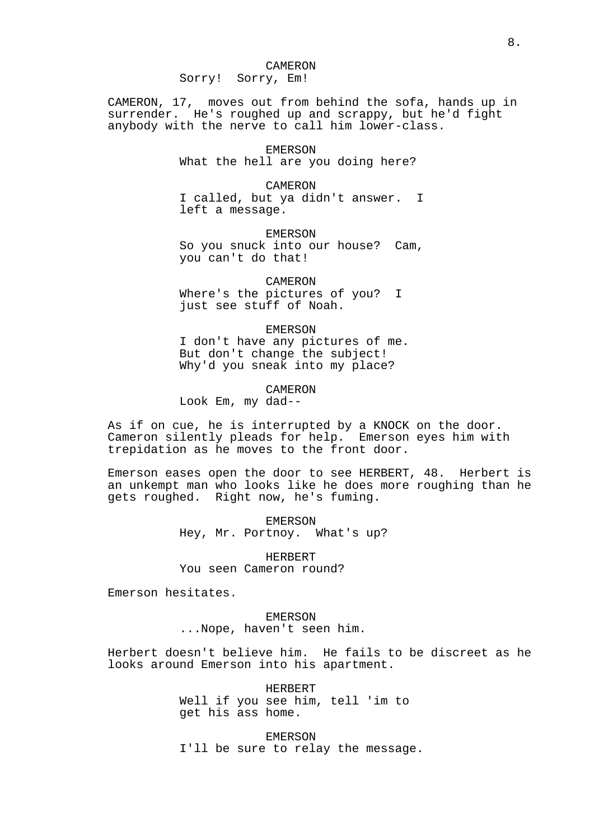CAMERON, 17, moves out from behind the sofa, hands up in surrender. He's roughed up and scrappy, but he'd fight anybody with the nerve to call him lower-class.

> EMERSON What the hell are you doing here?

CAMERON I called, but ya didn't answer. I left a message.

EMERSON So you snuck into our house? Cam, you can't do that!

CAMERON

Where's the pictures of you? I just see stuff of Noah.

EMERSON

I don't have any pictures of me. But don't change the subject! Why'd you sneak into my place?

CAMERON

Look Em, my dad--

As if on cue, he is interrupted by a KNOCK on the door. Cameron silently pleads for help. Emerson eyes him with trepidation as he moves to the front door.

Emerson eases open the door to see HERBERT, 48. Herbert is an unkempt man who looks like he does more roughing than he gets roughed. Right now, he's fuming.

> EMERSON Hey, Mr. Portnoy. What's up?

HERBERT You seen Cameron round?

Emerson hesitates.

EMERSON ...Nope, haven't seen him.

Herbert doesn't believe him. He fails to be discreet as he looks around Emerson into his apartment.

> HERBERT Well if you see him, tell 'im to get his ass home.

EMERSON I'll be sure to relay the message.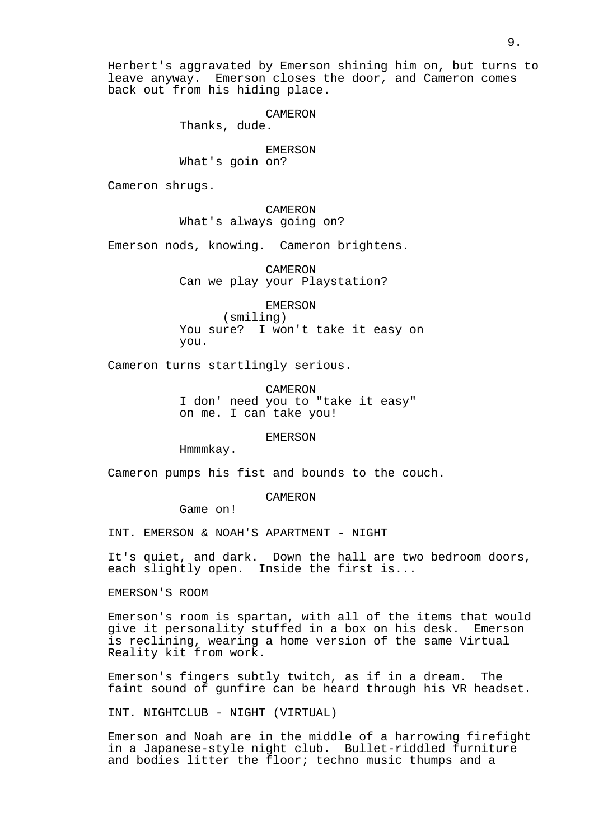Herbert's aggravated by Emerson shining him on, but turns to leave anyway. Emerson closes the door, and Cameron comes back out from his hiding place.

# CAMERON

Thanks, dude.

# EMERSON

What's goin on?

Cameron shrugs.

# CAMERON What's always going on?

Emerson nods, knowing. Cameron brightens.

CAMERON Can we play your Playstation?

EMERSON

(smiling) You sure? I won't take it easy on you.

Cameron turns startlingly serious.

CAMERON I don' need you to "take it easy" on me. I can take you!

EMERSON

Hmmmkay.

Cameron pumps his fist and bounds to the couch.

#### CAMERON

Game on!

INT. EMERSON & NOAH'S APARTMENT - NIGHT

It's quiet, and dark. Down the hall are two bedroom doors, each slightly open. Inside the first is...

EMERSON'S ROOM

Emerson's room is spartan, with all of the items that would give it personality stuffed in a box on his desk. Emerson is reclining, wearing a home version of the same Virtual Reality kit from work.

Emerson's fingers subtly twitch, as if in a dream. The faint sound of gunfire can be heard through his VR headset.

INT. NIGHTCLUB - NIGHT (VIRTUAL)

Emerson and Noah are in the middle of a harrowing firefight in a Japanese-style night club. Bullet-riddled furniture and bodies litter the floor; techno music thumps and a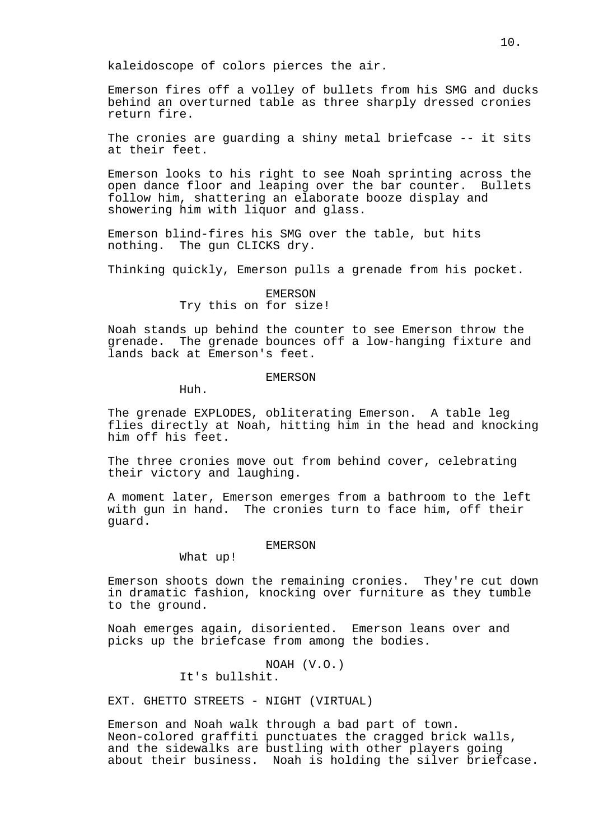kaleidoscope of colors pierces the air.

Emerson fires off a volley of bullets from his SMG and ducks behind an overturned table as three sharply dressed cronies return fire.

The cronies are guarding a shiny metal briefcase -- it sits at their feet.

Emerson looks to his right to see Noah sprinting across the open dance floor and leaping over the bar counter. Bullets follow him, shattering an elaborate booze display and showering him with liquor and glass.

Emerson blind-fires his SMG over the table, but hits nothing. The gun CLICKS dry.

Thinking quickly, Emerson pulls a grenade from his pocket.

# EMERSON

# Try this on for size!

Noah stands up behind the counter to see Emerson throw the grenade. The grenade bounces off a low-hanging fixture and lands back at Emerson's feet.

# EMERSON

Huh.

The grenade EXPLODES, obliterating Emerson. A table leg flies directly at Noah, hitting him in the head and knocking him off his feet.

The three cronies move out from behind cover, celebrating their victory and laughing.

A moment later, Emerson emerges from a bathroom to the left with gun in hand. The cronies turn to face him, off their guard.

#### EMERSON

What up!

Emerson shoots down the remaining cronies. They're cut down in dramatic fashion, knocking over furniture as they tumble to the ground.

Noah emerges again, disoriented. Emerson leans over and picks up the briefcase from among the bodies.

> NOAH (V.O.) It's bullshit.

EXT. GHETTO STREETS - NIGHT (VIRTUAL)

Emerson and Noah walk through a bad part of town. Neon-colored graffiti punctuates the cragged brick walls, and the sidewalks are bustling with other players going about their business. Noah is holding the silver briefcase.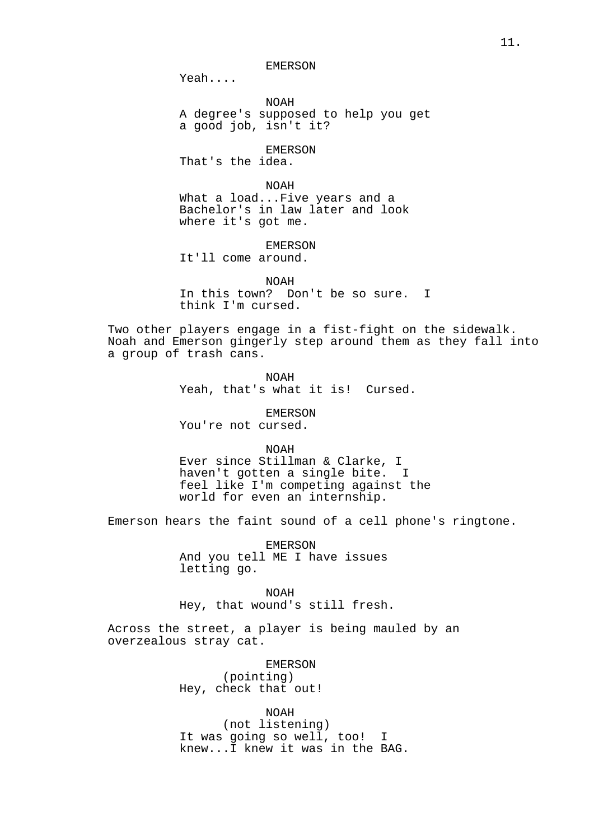Yeah....

NOAH A degree's supposed to help you get a good job, isn't it?

EMERSON

That's the idea.

NOAH

What a load...Five years and a Bachelor's in law later and look where it's got me.

EMERSON

It'll come around.

NOAH

In this town? Don't be so sure. I think I'm cursed.

Two other players engage in a fist-fight on the sidewalk. Noah and Emerson gingerly step around them as they fall into a group of trash cans.

> NOAH Yeah, that's what it is! Cursed.

EMERSON You're not cursed.

NOAH

Ever since Stillman & Clarke, I haven't gotten a single bite. I feel like I'm competing against the world for even an internship.

Emerson hears the faint sound of a cell phone's ringtone.

EMERSON And you tell ME I have issues letting go.

NOAH Hey, that wound's still fresh.

Across the street, a player is being mauled by an overzealous stray cat.

> EMERSON (pointing) Hey, check that out!

NOAH (not listening) It was going so well, too! I knew...I knew it was in the BAG.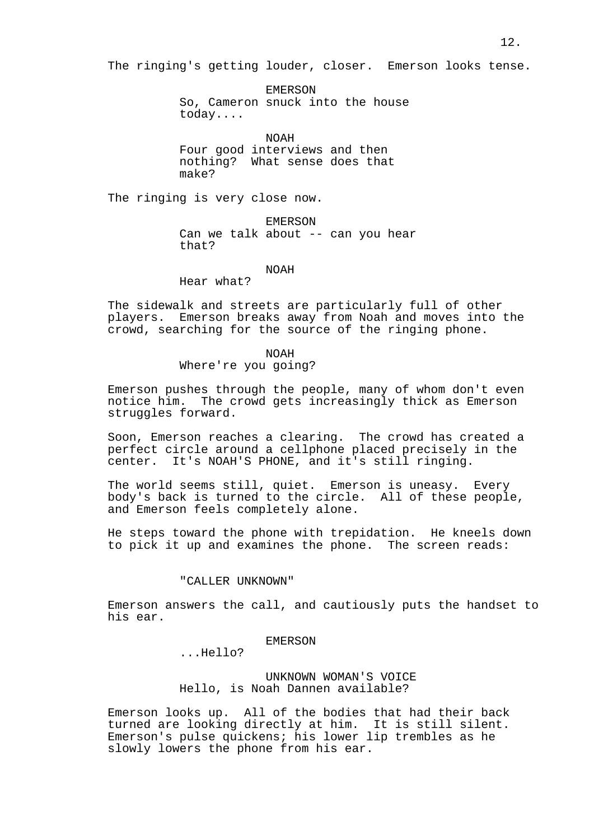The ringing's getting louder, closer. Emerson looks tense.

EMERSON So, Cameron snuck into the house today....

NOAH

Four good interviews and then nothing? What sense does that make?

The ringing is very close now.

EMERSON Can we talk about -- can you hear that?

#### NOAH

Hear what?

The sidewalk and streets are particularly full of other players. Emerson breaks away from Noah and moves into the crowd, searching for the source of the ringing phone.

# NOAH Where're you going?

Emerson pushes through the people, many of whom don't even notice him. The crowd gets increasingly thick as Emerson struggles forward.

Soon, Emerson reaches a clearing. The crowd has created a perfect circle around a cellphone placed precisely in the center. It's NOAH'S PHONE, and it's still ringing.

The world seems still, quiet. Emerson is uneasy. Every body's back is turned to the circle. All of these people, and Emerson feels completely alone.

He steps toward the phone with trepidation. He kneels down to pick it up and examines the phone. The screen reads:

#### "CALLER UNKNOWN"

Emerson answers the call, and cautiously puts the handset to his ear.

# EMERSON

...Hello?

UNKNOWN WOMAN'S VOICE Hello, is Noah Dannen available?

Emerson looks up. All of the bodies that had their back turned are looking directly at him. It is still silent. Emerson's pulse quickens; his lower lip trembles as he slowly lowers the phone from his ear.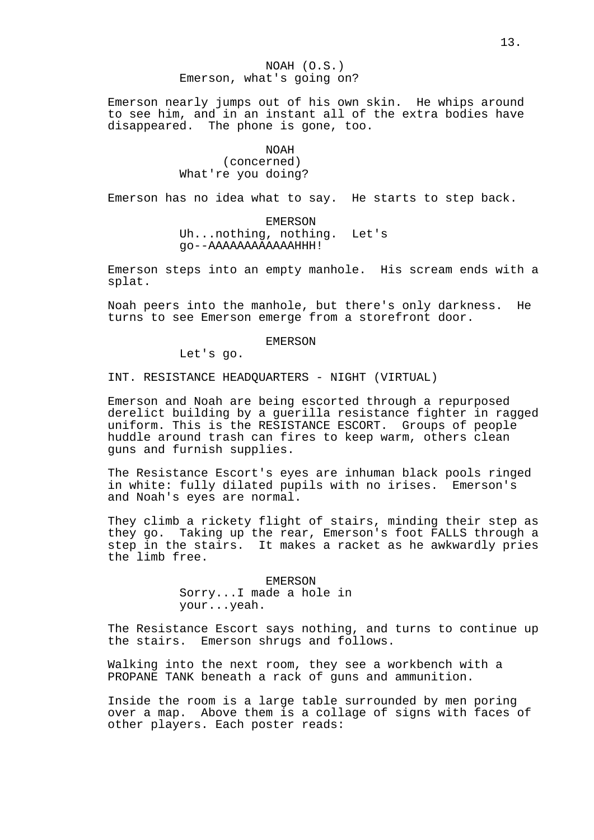# NOAH (O.S.) Emerson, what's going on?

Emerson nearly jumps out of his own skin. He whips around to see him, and in an instant all of the extra bodies have disappeared. The phone is gone, too.

# NOAH (concerned) What're you doing?

Emerson has no idea what to say. He starts to step back.

EMERSON Uh...nothing, nothing. Let's go--AAAAAAAAAAAAHHH!

Emerson steps into an empty manhole. His scream ends with a splat.

Noah peers into the manhole, but there's only darkness. He turns to see Emerson emerge from a storefront door.

#### EMERSON

Let's go.

INT. RESISTANCE HEADQUARTERS - NIGHT (VIRTUAL)

Emerson and Noah are being escorted through a repurposed derelict building by a guerilla resistance fighter in ragged uniform. This is the RESISTANCE ESCORT. Groups of people huddle around trash can fires to keep warm, others clean guns and furnish supplies.

The Resistance Escort's eyes are inhuman black pools ringed in white: fully dilated pupils with no irises. Emerson's and Noah's eyes are normal.

They climb a rickety flight of stairs, minding their step as they go. Taking up the rear, Emerson's foot FALLS through a step in the stairs. It makes a racket as he awkwardly pries the limb free.

> EMERSON Sorry...I made a hole in your...yeah.

The Resistance Escort says nothing, and turns to continue up the stairs. Emerson shrugs and follows.

Walking into the next room, they see a workbench with a PROPANE TANK beneath a rack of guns and ammunition.

Inside the room is a large table surrounded by men poring over a map. Above them is a collage of signs with faces of other players. Each poster reads: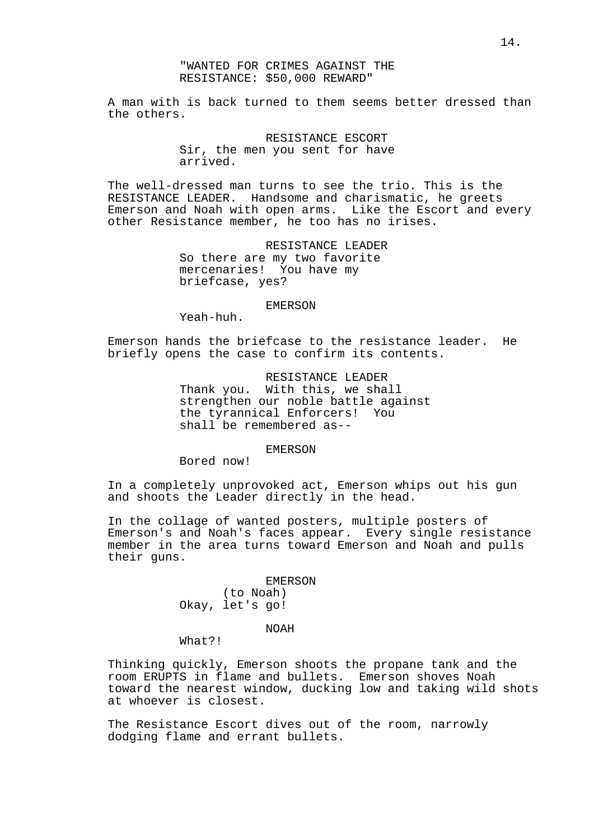# "WANTED FOR CRIMES AGAINST THE RESISTANCE: \$50,000 REWARD"

A man with is back turned to them seems better dressed than the others.

# RESISTANCE ESCORT

Sir, the men you sent for have arrived.

The well-dressed man turns to see the trio. This is the RESISTANCE LEADER. Handsome and charismatic, he greets Emerson and Noah with open arms. Like the Escort and every other Resistance member, he too has no irises.

> RESISTANCE LEADER So there are my two favorite mercenaries! You have my briefcase, yes?

#### EMERSON

Yeah-huh.

Emerson hands the briefcase to the resistance leader. He briefly opens the case to confirm its contents.

> RESISTANCE LEADER Thank you. With this, we shall strengthen our noble battle against the tyrannical Enforcers! You shall be remembered as--

#### EMERSON

Bored now!

In a completely unprovoked act, Emerson whips out his gun and shoots the Leader directly in the head.

In the collage of wanted posters, multiple posters of Emerson's and Noah's faces appear. Every single resistance member in the area turns toward Emerson and Noah and pulls their guns.

> EMERSON (to Noah) Okay, let's go!

> > NOAH

What?!

Thinking quickly, Emerson shoots the propane tank and the room ERUPTS in flame and bullets. Emerson shoves Noah toward the nearest window, ducking low and taking wild shots at whoever is closest.

The Resistance Escort dives out of the room, narrowly dodging flame and errant bullets.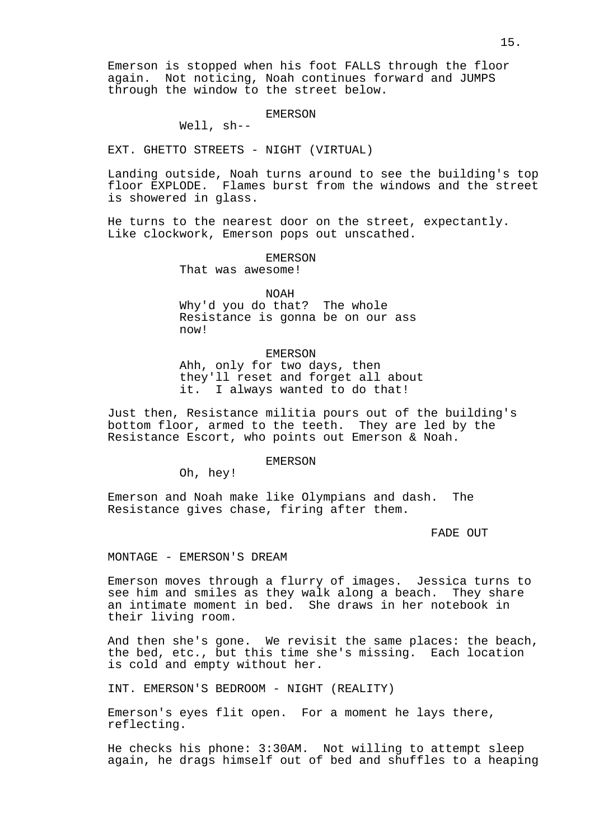Emerson is stopped when his foot FALLS through the floor again. Not noticing, Noah continues forward and JUMPS through the window to the street below.

# EMERSON

Well, sh--

EXT. GHETTO STREETS - NIGHT (VIRTUAL)

Landing outside, Noah turns around to see the building's top floor EXPLODE. Flames burst from the windows and the street is showered in glass.

He turns to the nearest door on the street, expectantly. Like clockwork, Emerson pops out unscathed.

#### EMERSON

That was awesome!

NOAH

Why'd you do that? The whole Resistance is gonna be on our ass now!

#### EMERSON

Ahh, only for two days, then they'll reset and forget all about it. I always wanted to do that!

Just then, Resistance militia pours out of the building's bottom floor, armed to the teeth. They are led by the Resistance Escort, who points out Emerson & Noah.

#### EMERSON

Oh, hey!

Emerson and Noah make like Olympians and dash. The Resistance gives chase, firing after them.

#### FADE OUT

MONTAGE - EMERSON'S DREAM

Emerson moves through a flurry of images. Jessica turns to see him and smiles as they walk along a beach. They share an intimate moment in bed. She draws in her notebook in their living room.

And then she's gone. We revisit the same places: the beach, the bed, etc., but this time she's missing. Each location is cold and empty without her.

INT. EMERSON'S BEDROOM - NIGHT (REALITY)

Emerson's eyes flit open. For a moment he lays there, reflecting.

He checks his phone: 3:30AM. Not willing to attempt sleep again, he drags himself out of bed and shuffles to a heaping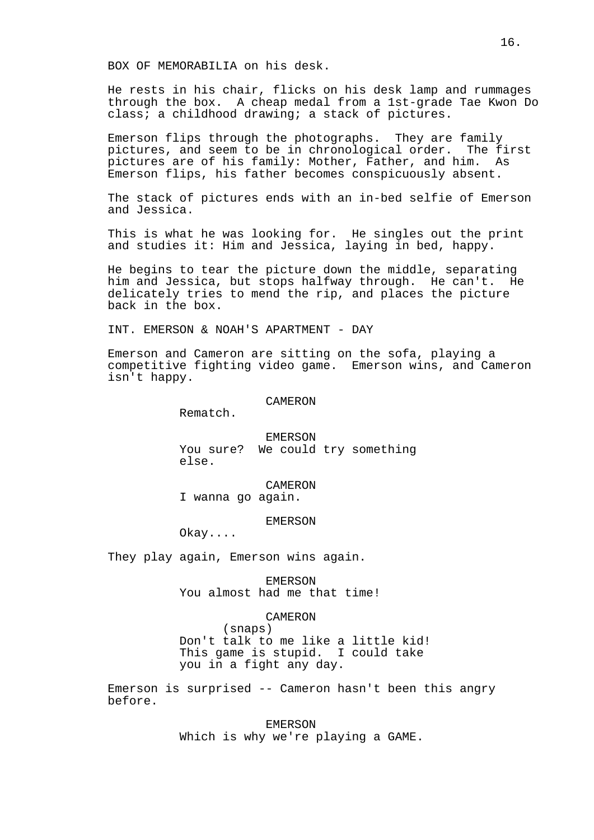BOX OF MEMORABILIA on his desk.

He rests in his chair, flicks on his desk lamp and rummages through the box. A cheap medal from a 1st-grade Tae Kwon Do class; a childhood drawing; a stack of pictures.

Emerson flips through the photographs. They are family pictures, and seem to be in chronological order. The first pictures are of his family: Mother, Father, and him. As Emerson flips, his father becomes conspicuously absent.

The stack of pictures ends with an in-bed selfie of Emerson and Jessica.

This is what he was looking for. He singles out the print and studies it: Him and Jessica, laying in bed, happy.

He begins to tear the picture down the middle, separating him and Jessica, but stops halfway through. He can't. He delicately tries to mend the rip, and places the picture back in the box.

INT. EMERSON & NOAH'S APARTMENT - DAY

Emerson and Cameron are sitting on the sofa, playing a competitive fighting video game. Emerson wins, and Cameron isn't happy.

# **CAMERON**

Rematch.

EMERSON You sure? We could try something else.

CAMERON

I wanna go again.

#### EMERSON

Okay....

They play again, Emerson wins again.

EMERSON You almost had me that time!

# CAMERON

(snaps) Don't talk to me like a little kid! This game is stupid. I could take you in a fight any day.

Emerson is surprised -- Cameron hasn't been this angry before.

> EMERSON Which is why we're playing a GAME.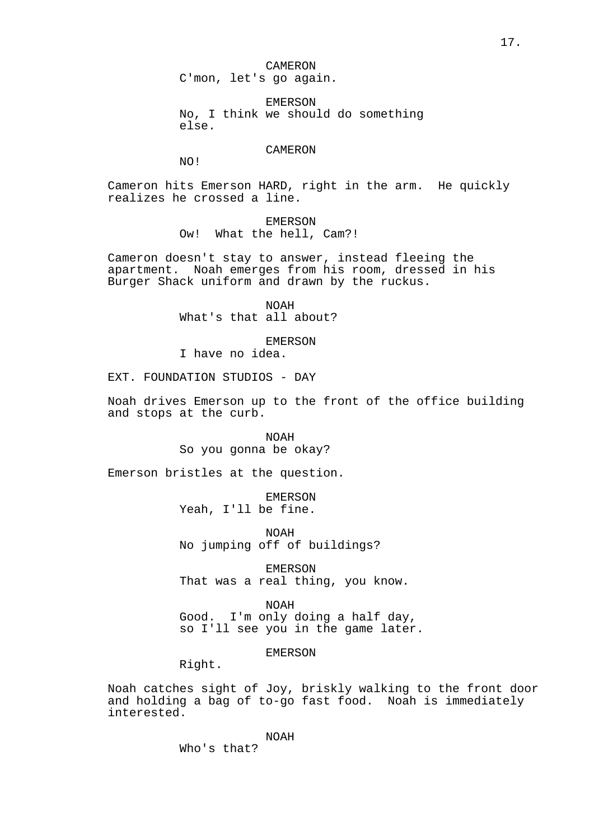CAMERON C'mon, let's go again.

EMERSON No, I think we should do something else.

# CAMERON

NO!

Cameron hits Emerson HARD, right in the arm. He quickly realizes he crossed a line.

> EMERSON Ow! What the hell, Cam?!

Cameron doesn't stay to answer, instead fleeing the apartment. Noah emerges from his room, dressed in his Burger Shack uniform and drawn by the ruckus.

> NOAH What's that all about?

> > EMERSON

I have no idea.

EXT. FOUNDATION STUDIOS - DAY

Noah drives Emerson up to the front of the office building and stops at the curb.

> NOAH So you gonna be okay?

Emerson bristles at the question.

EMERSON Yeah, I'll be fine.

NOAH No jumping off of buildings?

EMERSON That was a real thing, you know.

NOAH Good. I'm only doing a half day, so I'll see you in the game later.

EMERSON

Right.

Noah catches sight of Joy, briskly walking to the front door and holding a bag of to-go fast food. Noah is immediately interested.

NOAH

Who's that?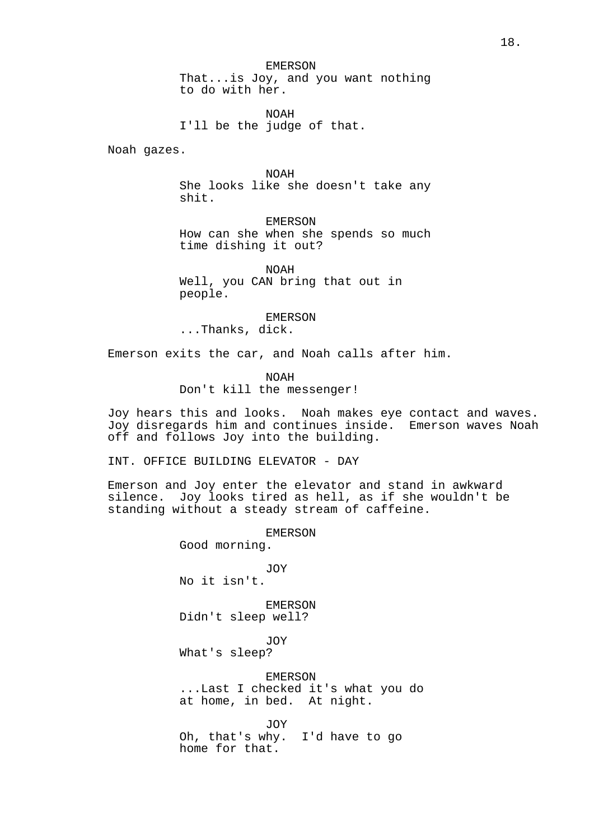NOAH I'll be the judge of that.

Noah gazes.

NOAH She looks like she doesn't take any shit.

EMERSON How can she when she spends so much time dishing it out?

NOAH Well, you CAN bring that out in people.

EMERSON ...Thanks, dick.

Emerson exits the car, and Noah calls after him.

NOAH Don't kill the messenger!

Joy hears this and looks. Noah makes eye contact and waves. Joy disregards him and continues inside. Emerson waves Noah off and follows Joy into the building.

INT. OFFICE BUILDING ELEVATOR - DAY

Emerson and Joy enter the elevator and stand in awkward silence. Joy looks tired as hell, as if she wouldn't be standing without a steady stream of caffeine.

EMERSON

Good morning.

JOY No it isn't.

EMERSON Didn't sleep well?

JOY What's sleep?

EMERSON ...Last I checked it's what you do at home, in bed. At night.

JOY Oh, that's why. I'd have to go home for that.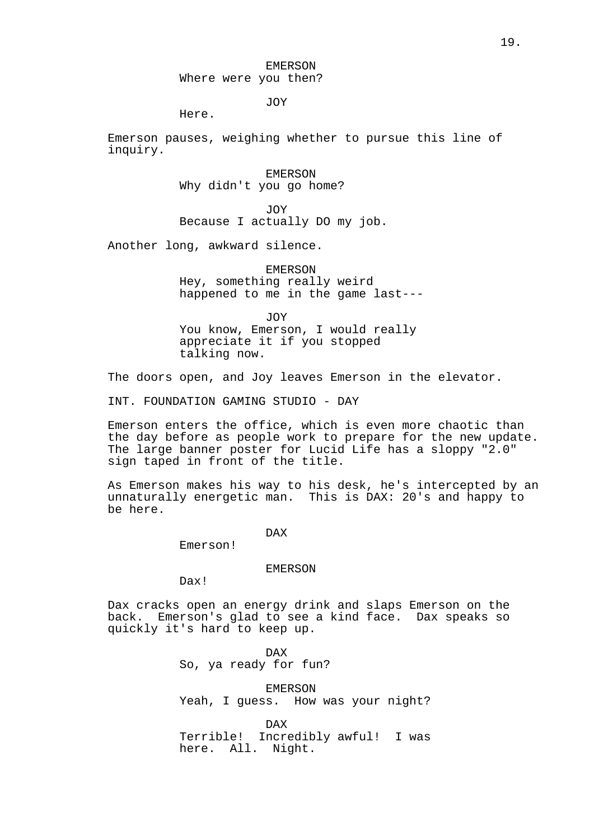# EMERSON Where were you then?

JOY

Here.

Emerson pauses, weighing whether to pursue this line of inquiry.

> EMERSON Why didn't you go home?

JOY Because I actually DO my job.

Another long, awkward silence.

EMERSON Hey, something really weird happened to me in the game last---

JOY

You know, Emerson, I would really appreciate it if you stopped talking now.

The doors open, and Joy leaves Emerson in the elevator.

INT. FOUNDATION GAMING STUDIO - DAY

Emerson enters the office, which is even more chaotic than the day before as people work to prepare for the new update. The large banner poster for Lucid Life has a sloppy "2.0" sign taped in front of the title.

As Emerson makes his way to his desk, he's intercepted by an unnaturally energetic man. This is DAX: 20's and happy to be here.

# DAX

Emerson!

# EMERSON

Dax!

Dax cracks open an energy drink and slaps Emerson on the back. Emerson's glad to see a kind face. Dax speaks so quickly it's hard to keep up.

> DAX So, ya ready for fun?

EMERSON Yeah, I guess. How was your night?

DAX Terrible! Incredibly awful! I was here. All. Night.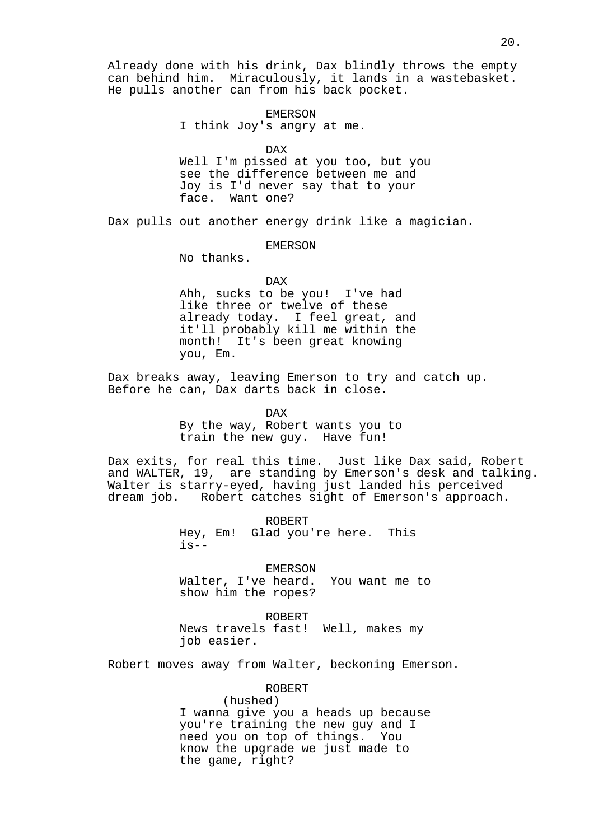Already done with his drink, Dax blindly throws the empty can behind him. Miraculously, it lands in a wastebasket. He pulls another can from his back pocket.

> EMERSON I think Joy's angry at me.

> > DAX

Well I'm pissed at you too, but you see the difference between me and Joy is I'd never say that to your face. Want one?

Dax pulls out another energy drink like a magician.

# EMERSON

No thanks.

#### DAX

Ahh, sucks to be you! I've had like three or twelve of these already today. I feel great, and it'll probably kill me within the month! It's been great knowing you, Em.

Dax breaks away, leaving Emerson to try and catch up. Before he can, Dax darts back in close.

DAX

By the way, Robert wants you to train the new guy. Have fun!

Dax exits, for real this time. Just like Dax said, Robert and WALTER, 19, are standing by Emerson's desk and talking. Walter is starry-eyed, having just landed his perceived dream job. Robert catches sight of Emerson's approach.

> ROBERT Hey, Em! Glad you're here. This  $is--$

> > EMERSON

Walter, I've heard. You want me to show him the ropes?

ROBERT News travels fast! Well, makes my job easier.

Robert moves away from Walter, beckoning Emerson.

ROBERT

(hushed) I wanna give you a heads up because you're training the new guy and I need you on top of things. You know the upgrade we just made to the game, right?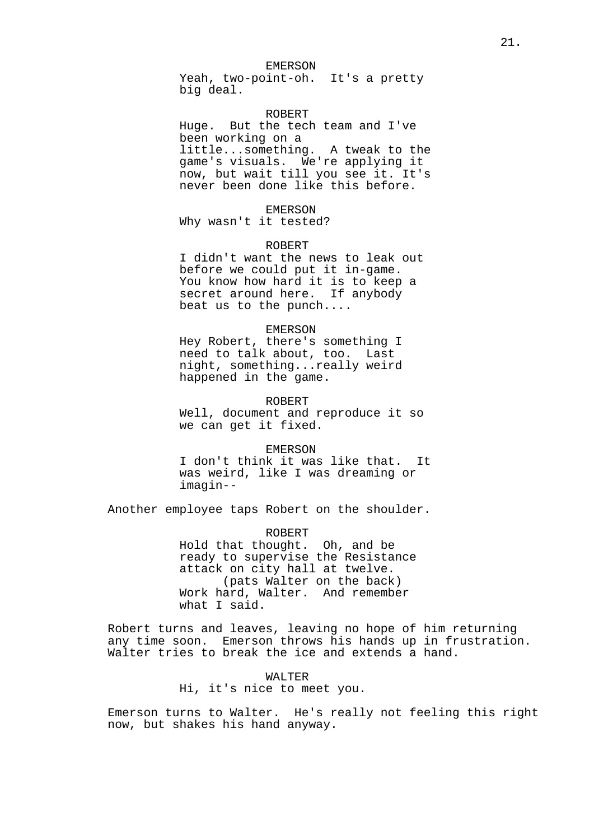Yeah, two-point-oh. It's a pretty big deal.

# ROBERT

Huge. But the tech team and I've been working on a little...something. A tweak to the game's visuals. We're applying it now, but wait till you see it. It's never been done like this before.

#### EMERSON

Why wasn't it tested?

# ROBERT

I didn't want the news to leak out before we could put it in-game. You know how hard it is to keep a secret around here. If anybody beat us to the punch....

#### EMERSON

Hey Robert, there's something I need to talk about, too. Last night, something...really weird happened in the game.

#### ROBERT

Well, document and reproduce it so we can get it fixed.

#### EMERSON

I don't think it was like that. It was weird, like I was dreaming or imagin--

Another employee taps Robert on the shoulder.

ROBERT Hold that thought. Oh, and be ready to supervise the Resistance attack on city hall at twelve. (pats Walter on the back) Work hard, Walter. And remember what I said.

Robert turns and leaves, leaving no hope of him returning any time soon. Emerson throws his hands up in frustration. Walter tries to break the ice and extends a hand.

#### WALTER

Hi, it's nice to meet you.

Emerson turns to Walter. He's really not feeling this right now, but shakes his hand anyway.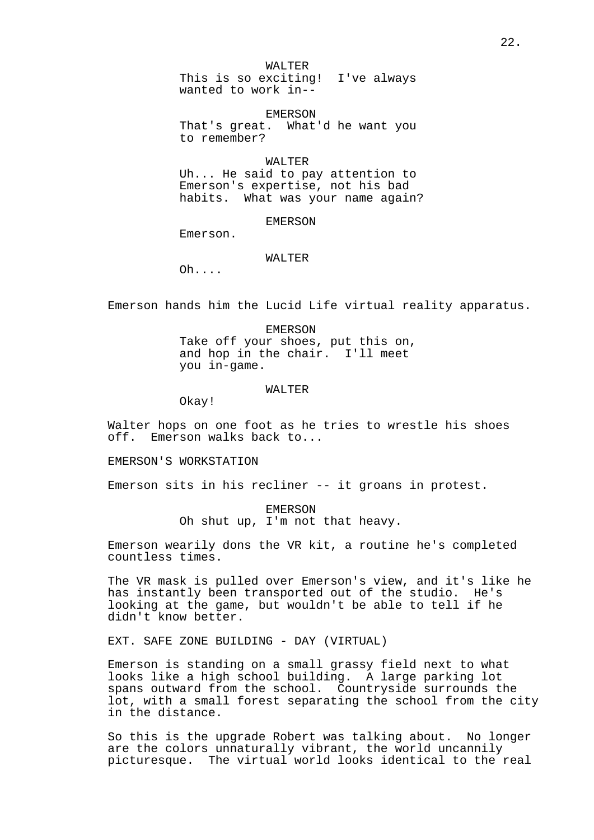WALTER

This is so exciting! I've always wanted to work in--

EMERSON That's great. What'd he want you to remember?

# WALTER

Uh... He said to pay attention to Emerson's expertise, not his bad habits. What was your name again?

# EMERSON

Emerson.

# WALTER

Oh....

Emerson hands him the Lucid Life virtual reality apparatus.

EMERSON Take off your shoes, put this on, and hop in the chair. I'll meet you in-game.

# WALTER

Okay!

Walter hops on one foot as he tries to wrestle his shoes off. Emerson walks back to...

EMERSON'S WORKSTATION

Emerson sits in his recliner -- it groans in protest.

EMERSON Oh shut up, I'm not that heavy.

Emerson wearily dons the VR kit, a routine he's completed countless times.

The VR mask is pulled over Emerson's view, and it's like he has instantly been transported out of the studio. He's looking at the game, but wouldn't be able to tell if he didn't know better.

EXT. SAFE ZONE BUILDING - DAY (VIRTUAL)

Emerson is standing on a small grassy field next to what looks like a high school building. A large parking lot spans outward from the school. Countryside surrounds the lot, with a small forest separating the school from the city in the distance.

So this is the upgrade Robert was talking about. No longer are the colors unnaturally vibrant, the world uncannily picturesque. The virtual world looks identical to the real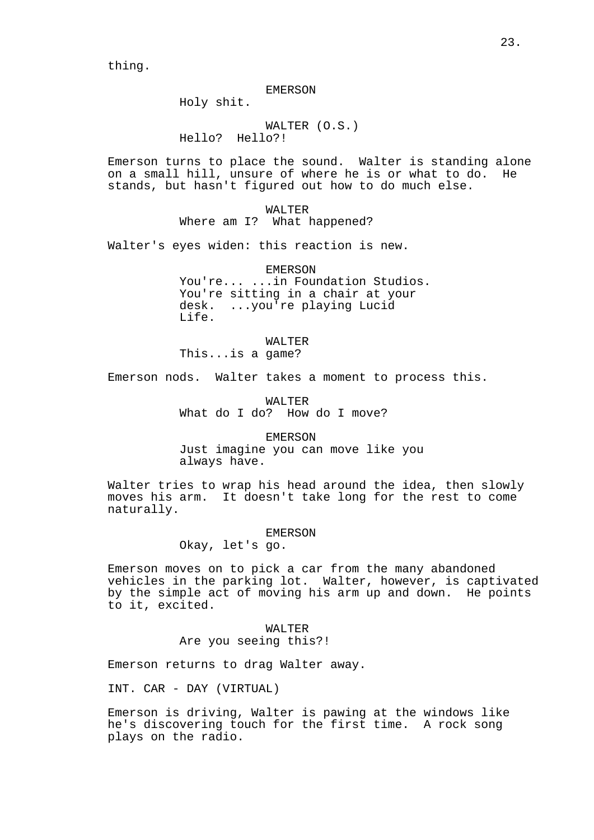thing.

#### EMERSON

Holy shit.

WALTER (O.S.) Hello? Hello?!

Emerson turns to place the sound. Walter is standing alone on a small hill, unsure of where he is or what to do. He stands, but hasn't figured out how to do much else.

> WALTER Where am I? What happened?

Walter's eyes widen: this reaction is new.

EMERSON You're... ...in Foundation Studios. You're sitting in a chair at your desk. ...you're playing Lucid Life.

#### WALTER

This...is a game?

Emerson nods. Walter takes a moment to process this.

WALTER What do I do? How do I move?

EMERSON

Just imagine you can move like you always have.

Walter tries to wrap his head around the idea, then slowly moves his arm. It doesn't take long for the rest to come naturally.

# EMERSON

Okay, let's go.

Emerson moves on to pick a car from the many abandoned vehicles in the parking lot. Walter, however, is captivated by the simple act of moving his arm up and down. He points to it, excited.

> WALTER Are you seeing this?!

Emerson returns to drag Walter away.

INT. CAR - DAY (VIRTUAL)

Emerson is driving, Walter is pawing at the windows like he's discovering touch for the first time. A rock song plays on the radio.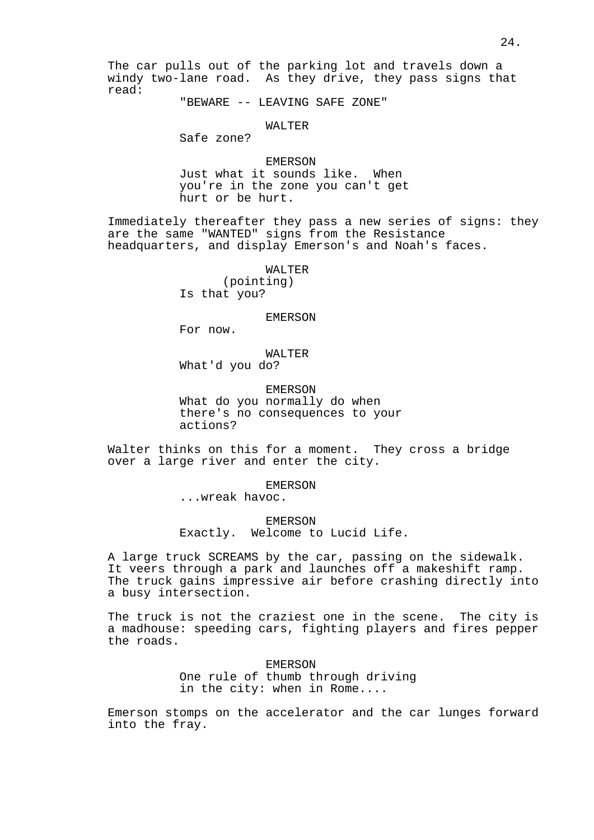The car pulls out of the parking lot and travels down a windy two-lane road. As they drive, they pass signs that read:

"BEWARE -- LEAVING SAFE ZONE"

# WALTER

Safe zone?

EMERSON Just what it sounds like. When you're in the zone you can't get hurt or be hurt.

Immediately thereafter they pass a new series of signs: they are the same "WANTED" signs from the Resistance headquarters, and display Emerson's and Noah's faces.

# WALTER

(pointing) Is that you?

#### EMERSON

For now.

WALTER What'd you do?

EMERSON What do you normally do when there's no consequences to your actions?

Walter thinks on this for a moment. They cross a bridge over a large river and enter the city.

# EMERSON

...wreak havoc.

EMERSON Exactly. Welcome to Lucid Life.

A large truck SCREAMS by the car, passing on the sidewalk. It veers through a park and launches off a makeshift ramp. The truck gains impressive air before crashing directly into a busy intersection.

The truck is not the craziest one in the scene. The city is a madhouse: speeding cars, fighting players and fires pepper the roads.

> EMERSON One rule of thumb through driving in the city: when in Rome....

Emerson stomps on the accelerator and the car lunges forward into the fray.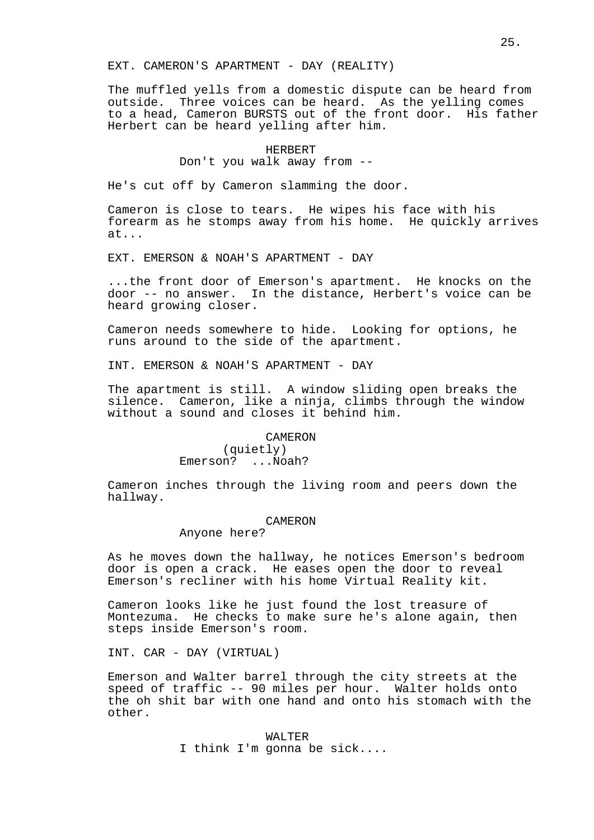EXT. CAMERON'S APARTMENT - DAY (REALITY)

The muffled yells from a domestic dispute can be heard from outside. Three voices can be heard. As the yelling comes to a head, Cameron BURSTS out of the front door. His father Herbert can be heard yelling after him.

# HERBERT Don't you walk away from --

He's cut off by Cameron slamming the door.

Cameron is close to tears. He wipes his face with his forearm as he stomps away from his home. He quickly arrives at...

EXT. EMERSON & NOAH'S APARTMENT - DAY

...the front door of Emerson's apartment. He knocks on the door -- no answer. In the distance, Herbert's voice can be heard growing closer.

Cameron needs somewhere to hide. Looking for options, he runs around to the side of the apartment.

INT. EMERSON & NOAH'S APARTMENT - DAY

The apartment is still. A window sliding open breaks the silence. Cameron, like a ninja, climbs through the window without a sound and closes it behind him.

# **CAMERON**

(quietly) Emerson? ...Noah?

Cameron inches through the living room and peers down the hallway.

#### CAMERON

# Anyone here?

As he moves down the hallway, he notices Emerson's bedroom door is open a crack. He eases open the door to reveal Emerson's recliner with his home Virtual Reality kit.

Cameron looks like he just found the lost treasure of Montezuma. He checks to make sure he's alone again, then steps inside Emerson's room.

INT. CAR - DAY (VIRTUAL)

Emerson and Walter barrel through the city streets at the speed of traffic -- 90 miles per hour. Walter holds onto the oh shit bar with one hand and onto his stomach with the other.

> WALTER I think I'm gonna be sick....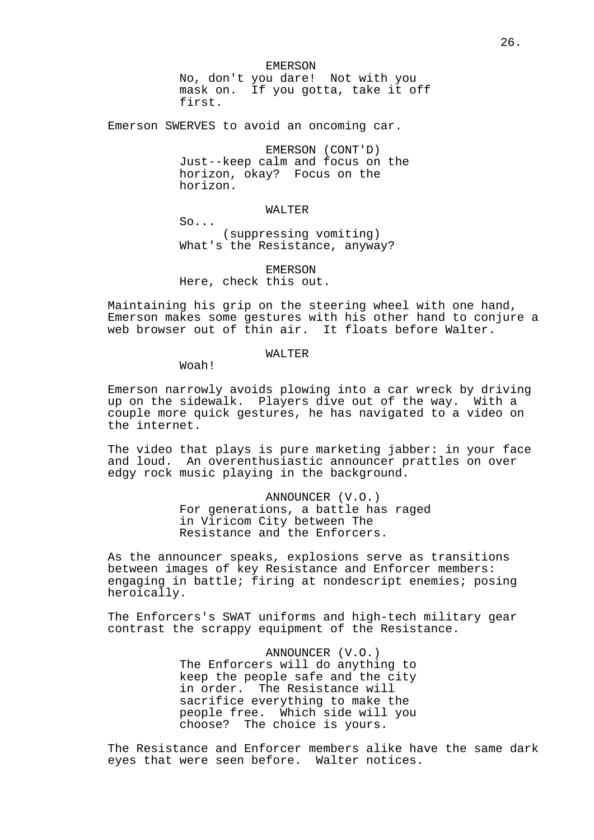26.

EMERSON No, don't you dare! Not with you mask on. If you gotta, take it off first.

Emerson SWERVES to avoid an oncoming car.

EMERSON (CONT'D) Just--keep calm and focus on the horizon, okay? Focus on the horizon.

# WALTER

So... (suppressing vomiting) What's the Resistance, anyway?

EMERSON Here, check this out.

Maintaining his grip on the steering wheel with one hand, Emerson makes some gestures with his other hand to conjure a web browser out of thin air. It floats before Walter.

# WALTER

Woah!

Emerson narrowly avoids plowing into a car wreck by driving up on the sidewalk. Players dive out of the way. With a couple more quick gestures, he has navigated to a video on the internet.

The video that plays is pure marketing jabber: in your face and loud. An overenthusiastic announcer prattles on over edgy rock music playing in the background.

> ANNOUNCER (V.O.) For generations, a battle has raged in Viricom City between The Resistance and the Enforcers.

As the announcer speaks, explosions serve as transitions between images of key Resistance and Enforcer members: engaging in battle; firing at nondescript enemies; posing heroically.

The Enforcers's SWAT uniforms and high-tech military gear contrast the scrappy equipment of the Resistance.

> ANNOUNCER (V.O.) The Enforcers will do anything to keep the people safe and the city in order. The Resistance will sacrifice everything to make the people free. Which side will you choose? The choice is yours.

The Resistance and Enforcer members alike have the same dark eyes that were seen before. Walter notices.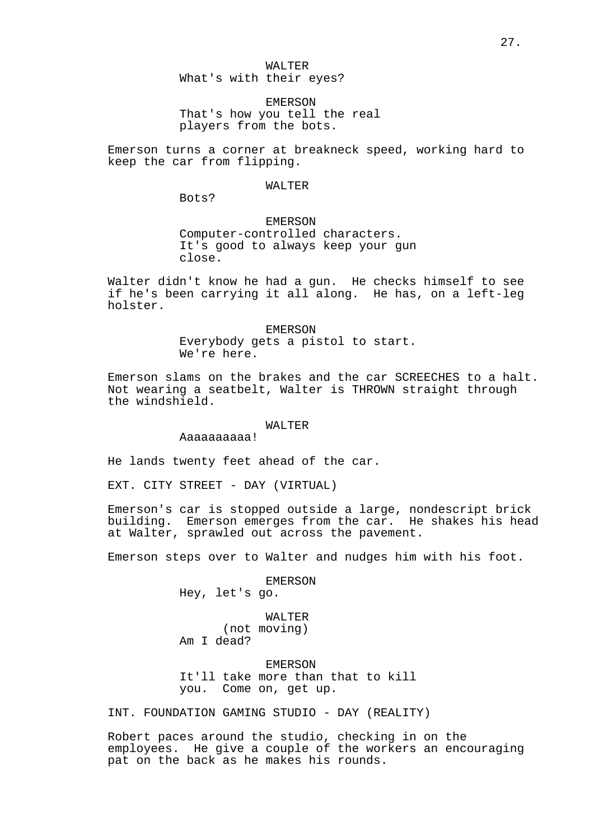What's with their eyes?

EMERSON That's how you tell the real players from the bots.

Emerson turns a corner at breakneck speed, working hard to keep the car from flipping.

#### WALTER

Bots?

# EMERSON

Computer-controlled characters. It's good to always keep your gun close.

Walter didn't know he had a gun. He checks himself to see if he's been carrying it all along. He has, on a left-leg holster.

> EMERSON Everybody gets a pistol to start. We're here.

Emerson slams on the brakes and the car SCREECHES to a halt. Not wearing a seatbelt, Walter is THROWN straight through the windshield.

# WALTER

Aaaaaaaaaa!

He lands twenty feet ahead of the car.

EXT. CITY STREET - DAY (VIRTUAL)

Emerson's car is stopped outside a large, nondescript brick building. Emerson emerges from the car. He shakes his head at Walter, sprawled out across the pavement.

Emerson steps over to Walter and nudges him with his foot.

EMERSON

Hey, let's go.

WALTER (not moving) Am I dead?

EMERSON

It'll take more than that to kill you. Come on, get up.

INT. FOUNDATION GAMING STUDIO - DAY (REALITY)

Robert paces around the studio, checking in on the employees. He give a couple of the workers an encouraging pat on the back as he makes his rounds.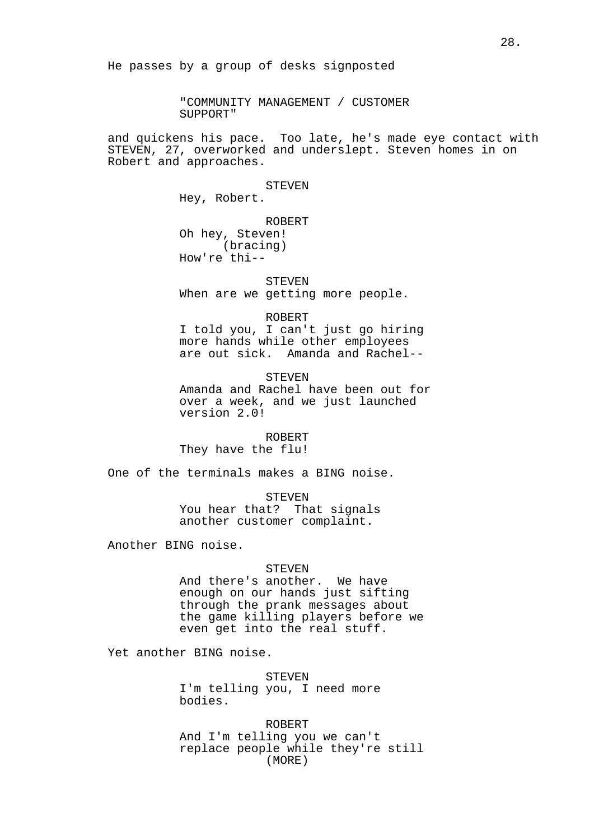"COMMUNITY MANAGEMENT / CUSTOMER SUPPORT"

and quickens his pace. Too late, he's made eye contact with STEVEN, 27, overworked and underslept. Steven homes in on Robert and approaches.

STEVEN

Hey, Robert.

ROBERT

Oh hey, Steven! (bracing) How're thi--

#### STEVEN

When are we getting more people.

#### ROBERT

I told you, I can't just go hiring more hands while other employees are out sick. Amanda and Rachel--

STEVEN Amanda and Rachel have been out for over a week, and we just launched version 2.0!

# ROBERT

They have the flu!

One of the terminals makes a BING noise.

**STEVEN** You hear that? That signals another customer complaint.

Another BING noise.

#### **STEVEN**

And there's another. We have enough on our hands just sifting through the prank messages about the game killing players before we even get into the real stuff.

Yet another BING noise.

STEVEN I'm telling you, I need more bodies.

ROBERT And I'm telling you we can't replace people while they're still (MORE)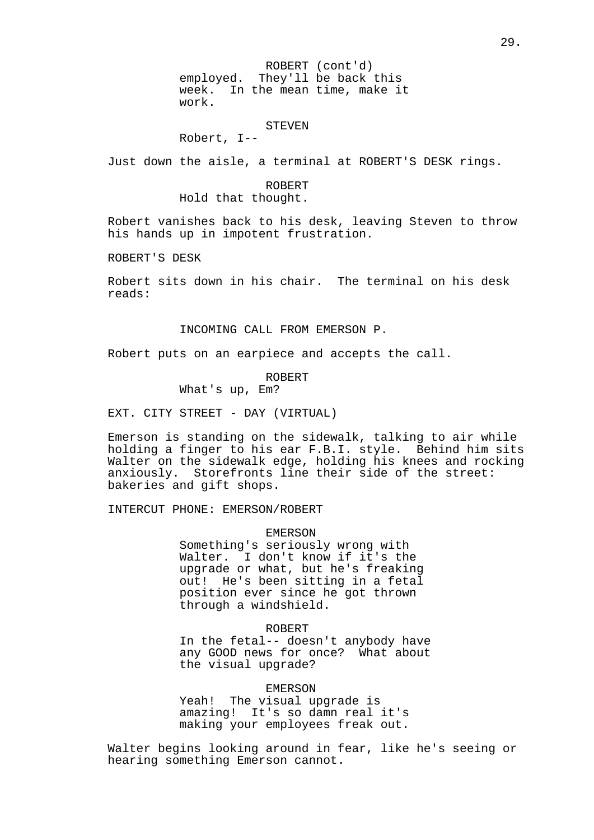ROBERT (cont'd) employed. They'll be back this week. In the mean time, make it work.

# STEVEN

Robert, I--

Just down the aisle, a terminal at ROBERT'S DESK rings.

#### ROBERT

Hold that thought.

Robert vanishes back to his desk, leaving Steven to throw his hands up in impotent frustration.

ROBERT'S DESK

Robert sits down in his chair. The terminal on his desk reads:

INCOMING CALL FROM EMERSON P.

Robert puts on an earpiece and accepts the call.

# ROBERT

What's up, Em?

EXT. CITY STREET - DAY (VIRTUAL)

Emerson is standing on the sidewalk, talking to air while holding a finger to his ear F.B.I. style. Behind him sits Walter on the sidewalk edge, holding his knees and rocking anxiously. Storefronts line their side of the street: bakeries and gift shops.

INTERCUT PHONE: EMERSON/ROBERT

#### EMERSON

Something's seriously wrong with Walter. I don't know if it's the upgrade or what, but he's freaking out! He's been sitting in a fetal position ever since he got thrown through a windshield.

#### ROBERT

In the fetal-- doesn't anybody have any GOOD news for once? What about the visual upgrade?

#### EMERSON

Yeah! The visual upgrade is amazing! It's so damn real it's making your employees freak out.

Walter begins looking around in fear, like he's seeing or hearing something Emerson cannot.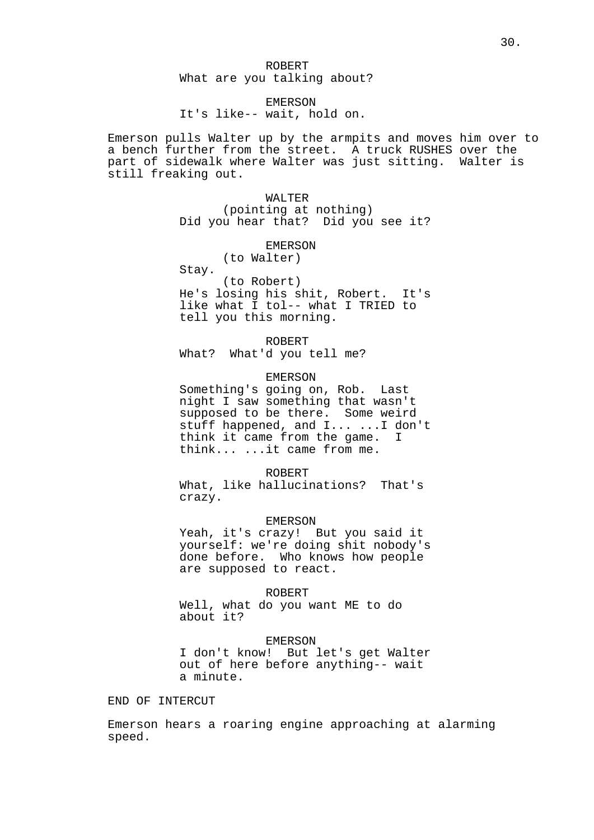# EMERSON

It's like-- wait, hold on.

Emerson pulls Walter up by the armpits and moves him over to a bench further from the street. A truck RUSHES over the part of sidewalk where Walter was just sitting. Walter is still freaking out.

> WALTER (pointing at nothing) Did you hear that? Did you see it?

# EMERSON

(to Walter)

Stay.

(to Robert) He's losing his shit, Robert. It's like what I tol-- what I TRIED to tell you this morning.

ROBERT

What? What'd you tell me?

# EMERSON

Something's going on, Rob. Last night I saw something that wasn't supposed to be there. Some weird stuff happened, and I... ...I don't think it came from the game. I think... ...it came from me.

#### ROBERT

What, like hallucinations? That's crazy.

#### EMERSON

Yeah, it's crazy! But you said it yourself: we're doing shit nobody's done before. Who knows how people are supposed to react.

#### ROBERT

Well, what do you want ME to do about it?

#### EMERSON

I don't know! But let's get Walter out of here before anything-- wait a minute.

# END OF INTERCUT

Emerson hears a roaring engine approaching at alarming speed.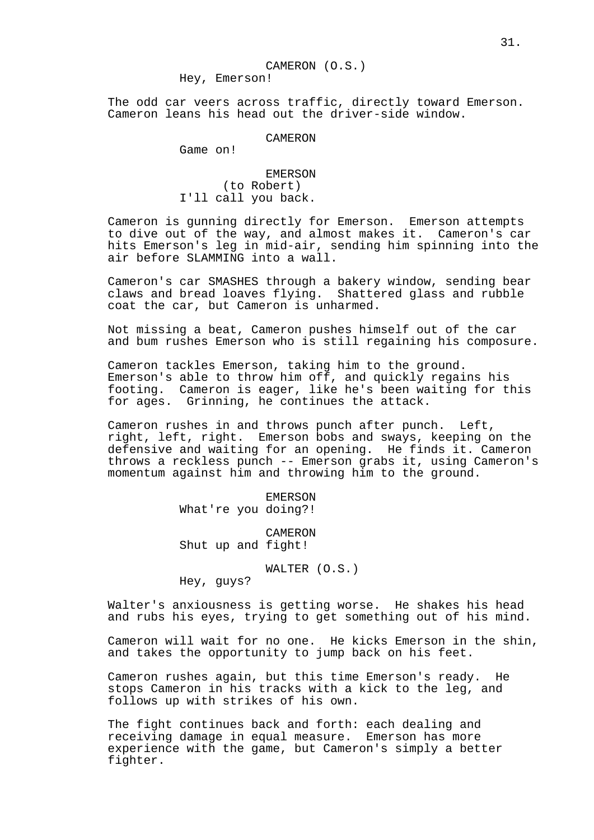CAMERON (O.S.) Hey, Emerson!

The odd car veers across traffic, directly toward Emerson. Cameron leans his head out the driver-side window.

# **CAMERON**

Game on!

EMERSON (to Robert) I'll call you back.

Cameron is gunning directly for Emerson. Emerson attempts to dive out of the way, and almost makes it. Cameron's car hits Emerson's leg in mid-air, sending him spinning into the air before SLAMMING into a wall.

Cameron's car SMASHES through a bakery window, sending bear claws and bread loaves flying. Shattered glass and rubble coat the car, but Cameron is unharmed.

Not missing a beat, Cameron pushes himself out of the car and bum rushes Emerson who is still regaining his composure.

Cameron tackles Emerson, taking him to the ground. Emerson's able to throw him off, and quickly regains his footing. Cameron is eager, like he's been waiting for this for ages. Grinning, he continues the attack.

Cameron rushes in and throws punch after punch. Left, right, left, right. Emerson bobs and sways, keeping on the defensive and waiting for an opening. He finds it. Cameron throws a reckless punch -- Emerson grabs it, using Cameron's momentum against him and throwing him to the ground.

EMERSON

What're you doing?!

CAMERON Shut up and fight!

WALTER (O.S.)

Hey, guys?

Walter's anxiousness is getting worse. He shakes his head and rubs his eyes, trying to get something out of his mind.

Cameron will wait for no one. He kicks Emerson in the shin, and takes the opportunity to jump back on his feet.

Cameron rushes again, but this time Emerson's ready. He stops Cameron in his tracks with a kick to the leg, and follows up with strikes of his own.

The fight continues back and forth: each dealing and receiving damage in equal measure. Emerson has more experience with the game, but Cameron's simply a better fighter.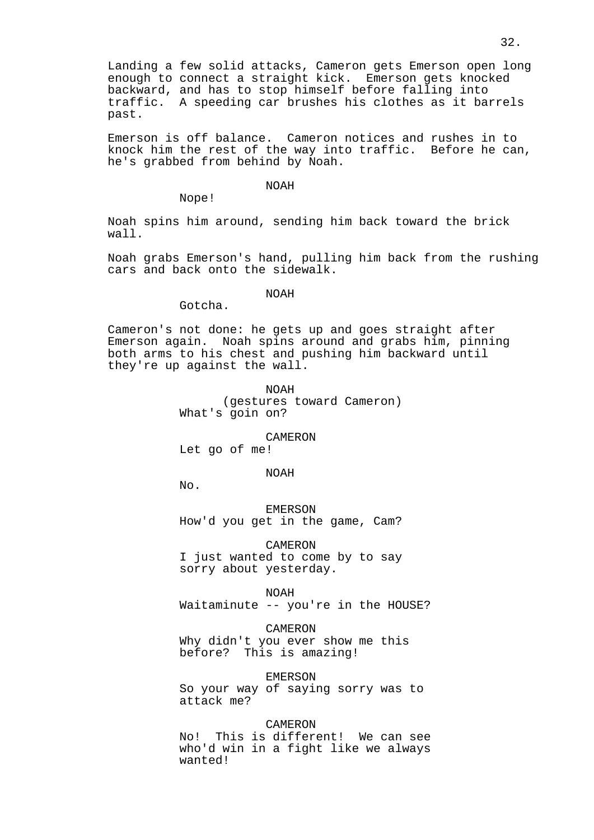Landing a few solid attacks, Cameron gets Emerson open long enough to connect a straight kick. Emerson gets knocked backward, and has to stop himself before falling into traffic. A speeding car brushes his clothes as it barrels past.

Emerson is off balance. Cameron notices and rushes in to knock him the rest of the way into traffic. Before he can, he's grabbed from behind by Noah.

#### NOAH

Nope!

Noah spins him around, sending him back toward the brick wall.

Noah grabs Emerson's hand, pulling him back from the rushing cars and back onto the sidewalk.

# NOAH

Gotcha.

Cameron's not done: he gets up and goes straight after Emerson again. Noah spins around and grabs him, pinning both arms to his chest and pushing him backward until they're up against the wall.

> NOAH (gestures toward Cameron) What's goin on?

> > CAMERON

Let go of me!

# NOAH

No.

EMERSON How'd you get in the game, Cam?

CAMERON I just wanted to come by to say sorry about yesterday.

NOAH

Waitaminute -- you're in the HOUSE?

CAMERON

Why didn't you ever show me this before? This is amazing!

EMERSON

So your way of saying sorry was to attack me?

CAMERON

No! This is different! We can see who'd win in a fight like we always wanted!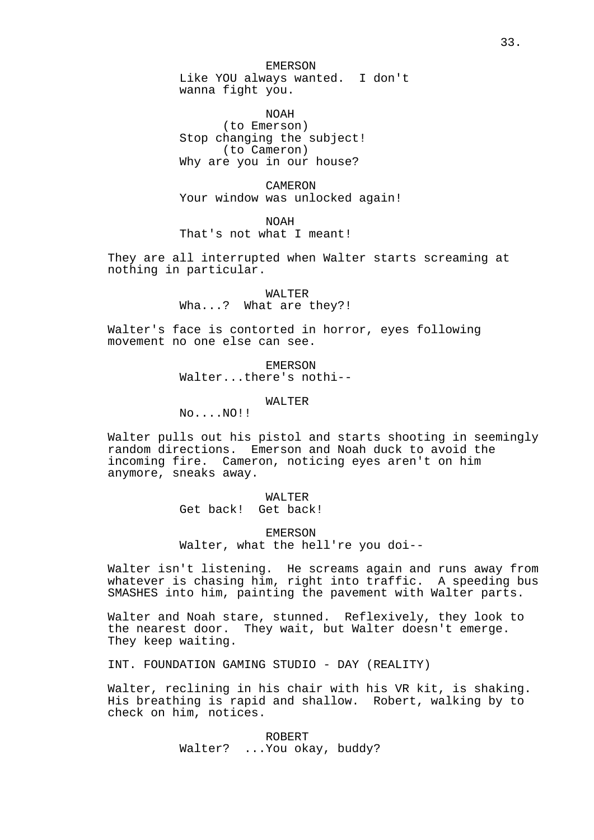EMERSON Like YOU always wanted. I don't wanna fight you.

NOAH (to Emerson) Stop changing the subject! (to Cameron) Why are you in our house?

CAMERON Your window was unlocked again!

NOAH That's not what I meant!

They are all interrupted when Walter starts screaming at nothing in particular.

> WALTER Wha...? What are they?!

Walter's face is contorted in horror, eyes following movement no one else can see.

> EMERSON Walter...there's nothi--

> > WALTER

No....NO!!

Walter pulls out his pistol and starts shooting in seemingly random directions. Emerson and Noah duck to avoid the incoming fire. Cameron, noticing eyes aren't on him anymore, sneaks away.

> WALTER Get back! Get back!

EMERSON Walter, what the hell're you doi--

Walter isn't listening. He screams again and runs away from whatever is chasing him, right into traffic. A speeding bus SMASHES into him, painting the pavement with Walter parts.

Walter and Noah stare, stunned. Reflexively, they look to the nearest door. They wait, but Walter doesn't emerge. They keep waiting.

INT. FOUNDATION GAMING STUDIO - DAY (REALITY)

Walter, reclining in his chair with his VR kit, is shaking. His breathing is rapid and shallow. Robert, walking by to check on him, notices.

> ROBERT Walter? ...You okay, buddy?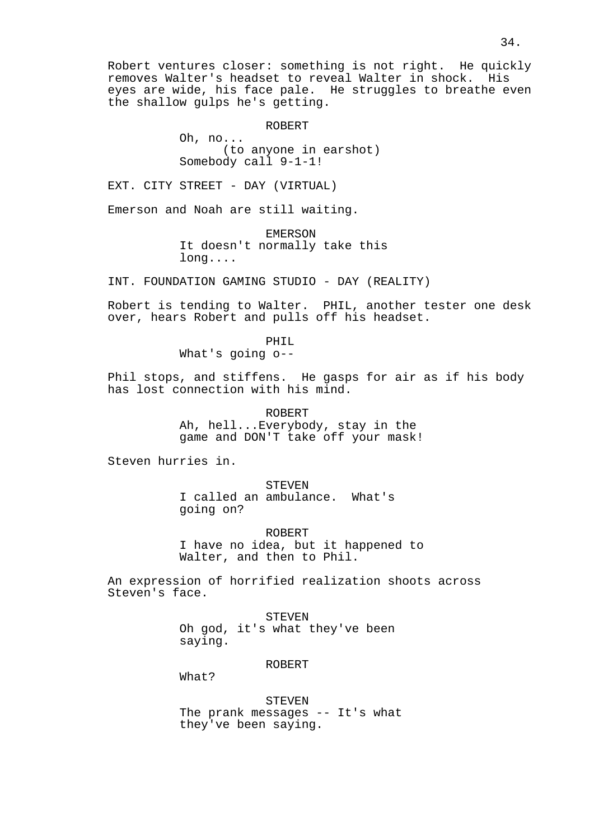Robert ventures closer: something is not right. He quickly removes Walter's headset to reveal Walter in shock. His eyes are wide, his face pale. He struggles to breathe even the shallow gulps he's getting.

ROBERT

Oh, no... (to anyone in earshot) Somebody call 9-1-1!

EXT. CITY STREET - DAY (VIRTUAL)

Emerson and Noah are still waiting.

EMERSON It doesn't normally take this long....

INT. FOUNDATION GAMING STUDIO - DAY (REALITY)

Robert is tending to Walter. PHIL, another tester one desk over, hears Robert and pulls off his headset.

PHIL

What's going o--

Phil stops, and stiffens. He gasps for air as if his body has lost connection with his mind.

> ROBERT Ah, hell...Everybody, stay in the game and DON'T take off your mask!

Steven hurries in.

**STEVEN** I called an ambulance. What's going on?

ROBERT I have no idea, but it happened to Walter, and then to Phil.

An expression of horrified realization shoots across Steven's face.

> STEVEN Oh god, it's what they've been saying.

> > ROBERT

What?

STEVEN The prank messages -- It's what they've been saying.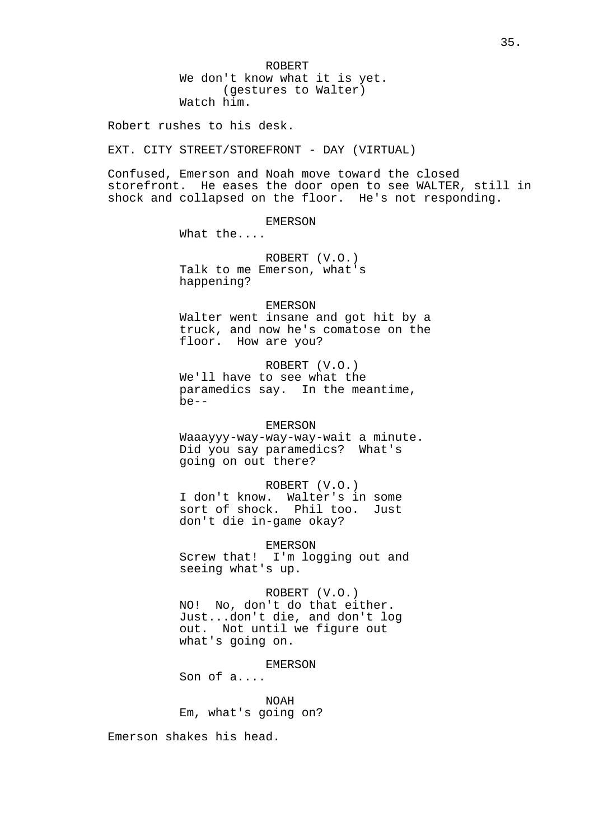ROBERT We don't know what it is yet. (gestures to Walter) Watch him.

Robert rushes to his desk.

EXT. CITY STREET/STOREFRONT - DAY (VIRTUAL)

Confused, Emerson and Noah move toward the closed storefront. He eases the door open to see WALTER, still in shock and collapsed on the floor. He's not responding.

EMERSON

What the....

ROBERT (V.O.) Talk to me Emerson, what's happening?

#### EMERSON

Walter went insane and got hit by a truck, and now he's comatose on the floor. How are you?

ROBERT (V.O.) We'll have to see what the paramedics say. In the meantime, be--

# EMERSON

Waaayyy-way-way-way-wait a minute. Did you say paramedics? What's going on out there?

ROBERT (V.O.) I don't know. Walter's in some sort of shock. Phil too. Just don't die in-game okay?

EMERSON Screw that! I'm logging out and seeing what's up.

ROBERT (V.O.) NO! No, don't do that either. Just...don't die, and don't log

out. Not until we figure out what's going on.

EMERSON

Son of a....

NOAH Em, what's going on?

Emerson shakes his head.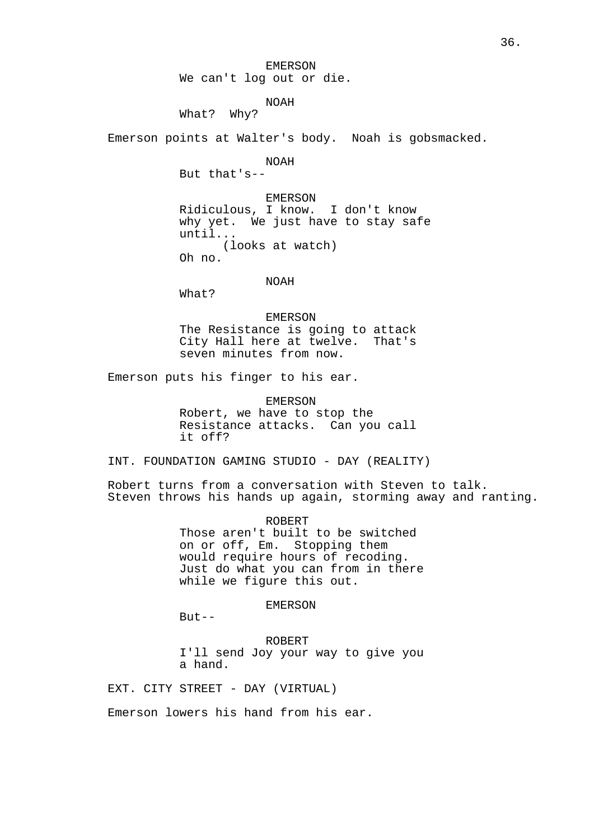EMERSON We can't log out or die.

# NOAH

What? Why?

Emerson points at Walter's body. Noah is gobsmacked.

NOAH

But that's--

EMERSON Ridiculous, I know. I don't know why yet. We just have to stay safe until... (looks at watch) Oh no.

NOAH

What?

EMERSON The Resistance is going to attack City Hall here at twelve. That's seven minutes from now.

Emerson puts his finger to his ear.

EMERSON Robert, we have to stop the Resistance attacks. Can you call it off?

INT. FOUNDATION GAMING STUDIO - DAY (REALITY)

Robert turns from a conversation with Steven to talk. Steven throws his hands up again, storming away and ranting.

> ROBERT Those aren't built to be switched on or off, Em. Stopping them would require hours of recoding. Just do what you can from in there while we figure this out.

> > EMERSON

 $But --$ 

ROBERT I'll send Joy your way to give you a hand.

EXT. CITY STREET - DAY (VIRTUAL)

Emerson lowers his hand from his ear.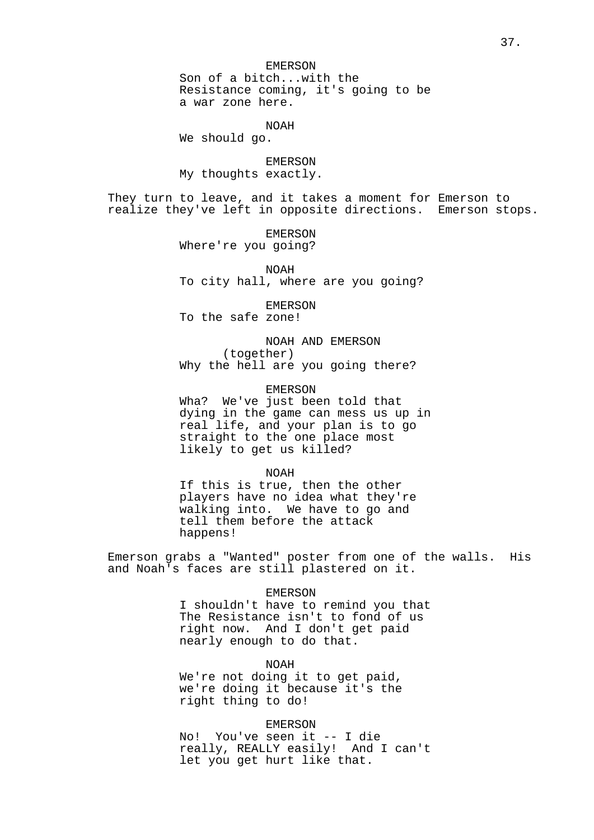Son of a bitch...with the Resistance coming, it's going to be a war zone here.

NOAH

We should go.

EMERSON My thoughts exactly.

They turn to leave, and it takes a moment for Emerson to realize they've left in opposite directions. Emerson stops.

> EMERSON Where're you going?

NOAH To city hall, where are you going?

EMERSON

To the safe zone!

NOAH AND EMERSON (together) Why the hell are you going there?

EMERSON

Wha? We've just been told that dying in the game can mess us up in real life, and your plan is to go straight to the one place most likely to get us killed?

NOAH

If this is true, then the other players have no idea what they're walking into. We have to go and tell them before the attack happens!

Emerson grabs a "Wanted" poster from one of the walls. His and Noah's faces are still plastered on it.

EMERSON

I shouldn't have to remind you that The Resistance isn't to fond of us right now. And I don't get paid nearly enough to do that.

NOAH

We're not doing it to get paid, we're doing it because it's the right thing to do!

## EMERSON

No! You've seen it -- I die really, REALLY easily! And I can't let you get hurt like that.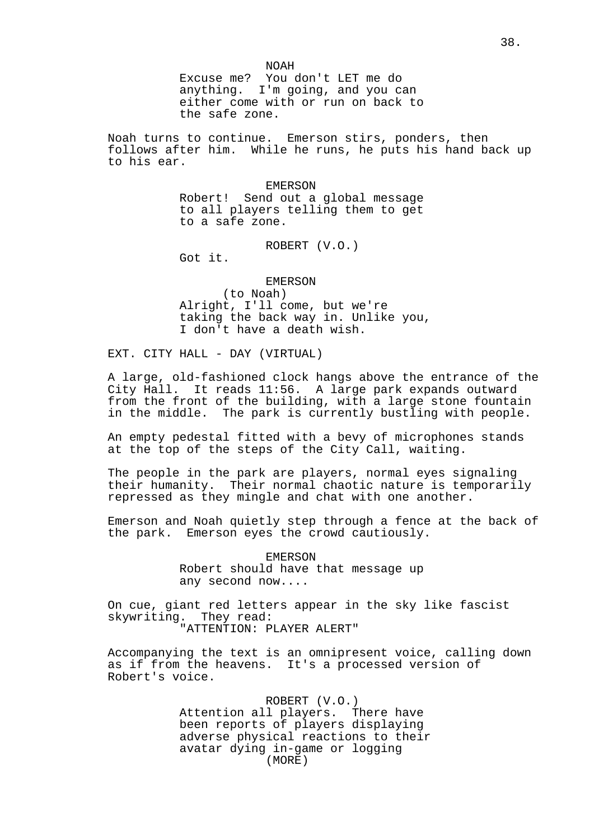NOAH

Excuse me? You don't LET me do anything. I'm going, and you can either come with or run on back to the safe zone.

Noah turns to continue. Emerson stirs, ponders, then follows after him. While he runs, he puts his hand back up to his ear.

> EMERSON Robert! Send out a global message to all players telling them to get to a safe zone.

> > ROBERT (V.O.)

Got it.

#### EMERSON

(to Noah) Alright, I'll come, but we're taking the back way in. Unlike you, I don't have a death wish.

EXT. CITY HALL - DAY (VIRTUAL)

A large, old-fashioned clock hangs above the entrance of the City Hall. It reads 11:56. A large park expands outward from the front of the building, with a large stone fountain in the middle. The park is currently bustling with people.

An empty pedestal fitted with a bevy of microphones stands at the top of the steps of the City Call, waiting.

The people in the park are players, normal eyes signaling their humanity. Their normal chaotic nature is temporarily repressed as they mingle and chat with one another.

Emerson and Noah quietly step through a fence at the back of the park. Emerson eyes the crowd cautiously.

> EMERSON Robert should have that message up any second now....

On cue, giant red letters appear in the sky like fascist skywriting. They read: "ATTENTION: PLAYER ALERT"

Accompanying the text is an omnipresent voice, calling down as if from the heavens. It's a processed version of Robert's voice.

> ROBERT (V.O.) Attention all players. There have been reports of players displaying adverse physical reactions to their avatar dying in-game or logging (MORE)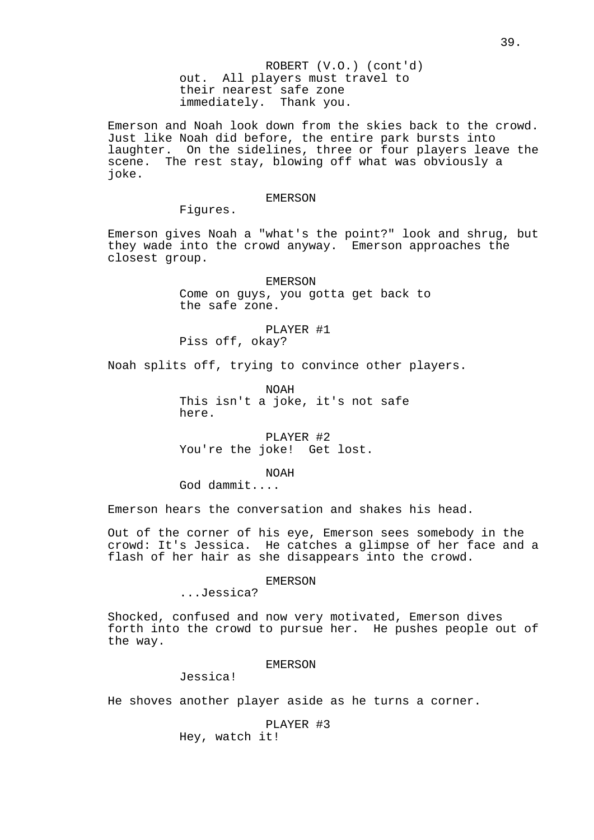ROBERT (V.O.) (cont'd) out. All players must travel to their nearest safe zone immediately. Thank you.

Emerson and Noah look down from the skies back to the crowd. Just like Noah did before, the entire park bursts into laughter. On the sidelines, three or four players leave the scene. The rest stay, blowing off what was obviously a joke.

#### EMERSON

Figures.

Emerson gives Noah a "what's the point?" look and shrug, but they wade into the crowd anyway. Emerson approaches the closest group.

> EMERSON Come on guys, you gotta get back to the safe zone.

PLAYER #1 Piss off, okay?

Noah splits off, trying to convince other players.

NOAH This isn't a joke, it's not safe here.

PLAYER #2 You're the joke! Get lost.

NOAH

God dammit....

Emerson hears the conversation and shakes his head.

Out of the corner of his eye, Emerson sees somebody in the crowd: It's Jessica. He catches a glimpse of her face and a flash of her hair as she disappears into the crowd.

### EMERSON

...Jessica?

Shocked, confused and now very motivated, Emerson dives forth into the crowd to pursue her. He pushes people out of the way.

## EMERSON

Jessica!

He shoves another player aside as he turns a corner.

PLAYER #3

Hey, watch it!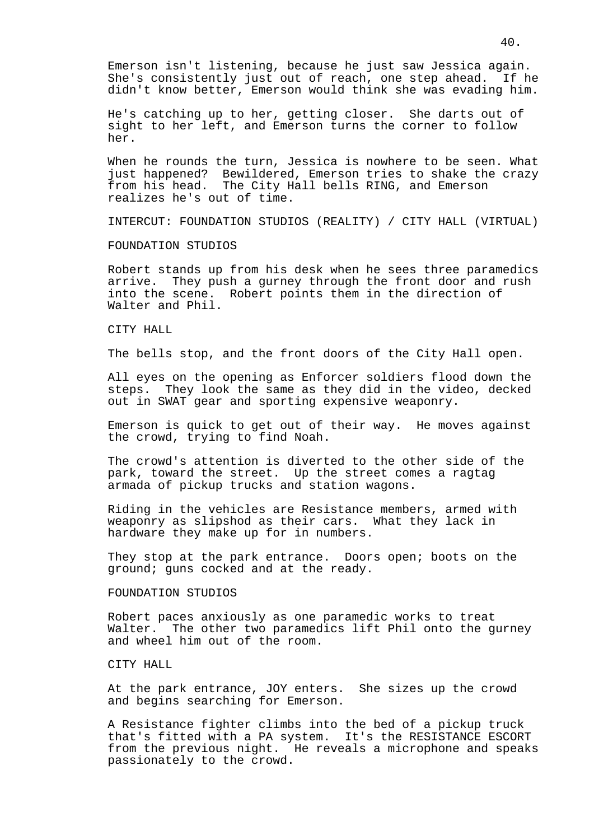Emerson isn't listening, because he just saw Jessica again. She's consistently just out of reach, one step ahead. If he didn't know better, Emerson would think she was evading him.

He's catching up to her, getting closer. She darts out of sight to her left, and Emerson turns the corner to follow her.

When he rounds the turn, Jessica is nowhere to be seen. What just happened? Bewildered, Emerson tries to shake the crazy from his head. The City Hall bells RING, and Emerson realizes he's out of time.

INTERCUT: FOUNDATION STUDIOS (REALITY) / CITY HALL (VIRTUAL)

### FOUNDATION STUDIOS

Robert stands up from his desk when he sees three paramedics arrive. They push a gurney through the front door and rush into the scene. Robert points them in the direction of Walter and Phil.

## CITY HALL

The bells stop, and the front doors of the City Hall open.

All eyes on the opening as Enforcer soldiers flood down the steps. They look the same as they did in the video, decked out in SWAT gear and sporting expensive weaponry.

Emerson is quick to get out of their way. He moves against the crowd, trying to find Noah.

The crowd's attention is diverted to the other side of the park, toward the street. Up the street comes a ragtag armada of pickup trucks and station wagons.

Riding in the vehicles are Resistance members, armed with weaponry as slipshod as their cars. What they lack in hardware they make up for in numbers.

They stop at the park entrance. Doors open; boots on the ground; guns cocked and at the ready.

## FOUNDATION STUDIOS

Robert paces anxiously as one paramedic works to treat Walter. The other two paramedics lift Phil onto the gurney and wheel him out of the room.

## CITY HALL

At the park entrance, JOY enters. She sizes up the crowd and begins searching for Emerson.

A Resistance fighter climbs into the bed of a pickup truck that's fitted with a PA system. It's the RESISTANCE ESCORT from the previous night. He reveals a microphone and speaks passionately to the crowd.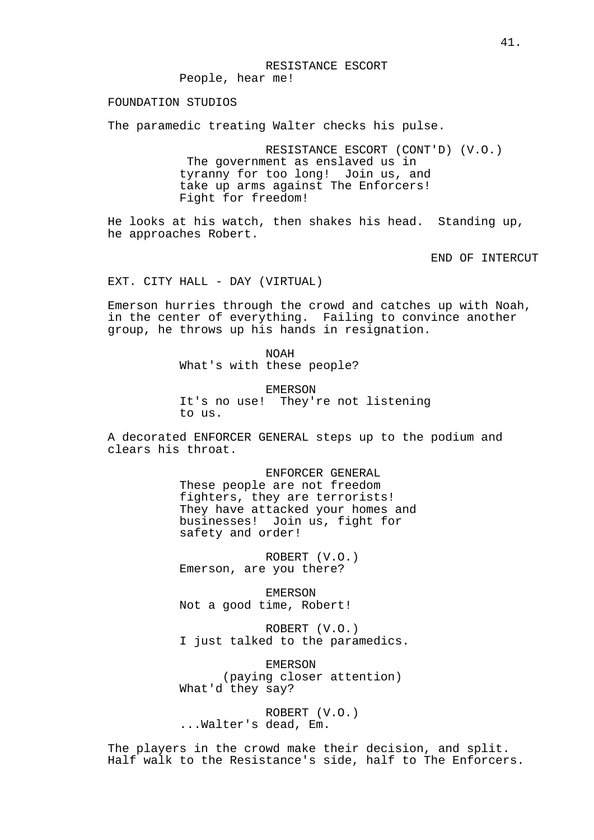## RESISTANCE ESCORT

People, hear me!

## FOUNDATION STUDIOS

The paramedic treating Walter checks his pulse.

RESISTANCE ESCORT (CONT'D) (V.O.) The government as enslaved us in tyranny for too long! Join us, and take up arms against The Enforcers! Fight for freedom!

He looks at his watch, then shakes his head. Standing up, he approaches Robert.

END OF INTERCUT

EXT. CITY HALL - DAY (VIRTUAL)

Emerson hurries through the crowd and catches up with Noah, in the center of everything. Failing to convince another group, he throws up his hands in resignation.

> NOAH What's with these people?

EMERSON It's no use! They're not listening to us.

A decorated ENFORCER GENERAL steps up to the podium and clears his throat.

> ENFORCER GENERAL These people are not freedom fighters, they are terrorists! They have attacked your homes and businesses! Join us, fight for safety and order!

ROBERT (V.O.) Emerson, are you there?

EMERSON Not a good time, Robert!

ROBERT (V.O.) I just talked to the paramedics.

EMERSON (paying closer attention) What'd they say?

ROBERT (V.O.) ...Walter's dead, Em.

The players in the crowd make their decision, and split. Half walk to the Resistance's side, half to The Enforcers.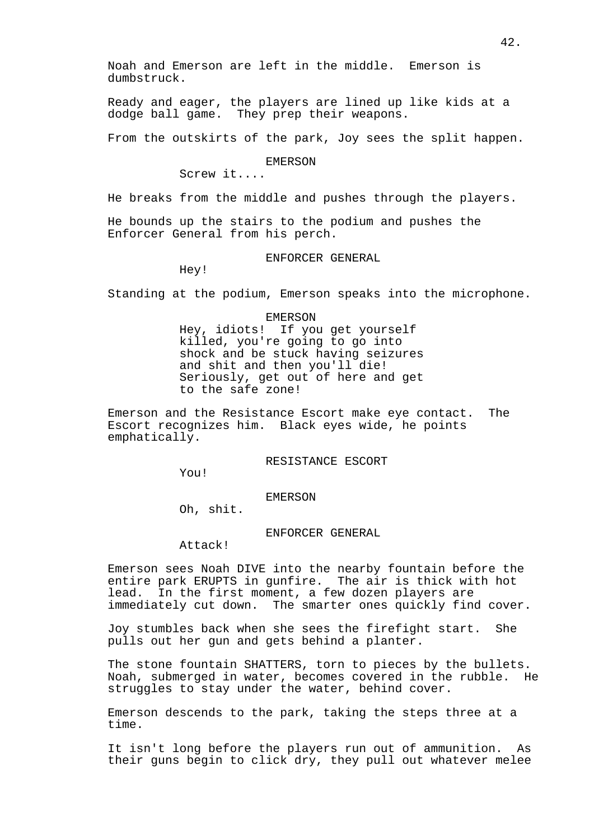Ready and eager, the players are lined up like kids at a dodge ball game. They prep their weapons.

From the outskirts of the park, Joy sees the split happen.

EMERSON

Screw it....

He breaks from the middle and pushes through the players.

He bounds up the stairs to the podium and pushes the Enforcer General from his perch.

ENFORCER GENERAL

Hey!

Standing at the podium, Emerson speaks into the microphone.

EMERSON

Hey, idiots! If you get yourself killed, you're going to go into shock and be stuck having seizures and shit and then you'll die! Seriously, get out of here and get to the safe zone!

Emerson and the Resistance Escort make eye contact. The Escort recognizes him. Black eyes wide, he points emphatically.

RESISTANCE ESCORT

You!

### EMERSON

Oh, shit.

## ENFORCER GENERAL

Attack!

Emerson sees Noah DIVE into the nearby fountain before the entire park ERUPTS in gunfire. The air is thick with hot lead. In the first moment, a few dozen players are immediately cut down. The smarter ones quickly find cover.

Joy stumbles back when she sees the firefight start. She pulls out her gun and gets behind a planter.

The stone fountain SHATTERS, torn to pieces by the bullets. Noah, submerged in water, becomes covered in the rubble. He struggles to stay under the water, behind cover.

Emerson descends to the park, taking the steps three at a time.

It isn't long before the players run out of ammunition. As their guns begin to click dry, they pull out whatever melee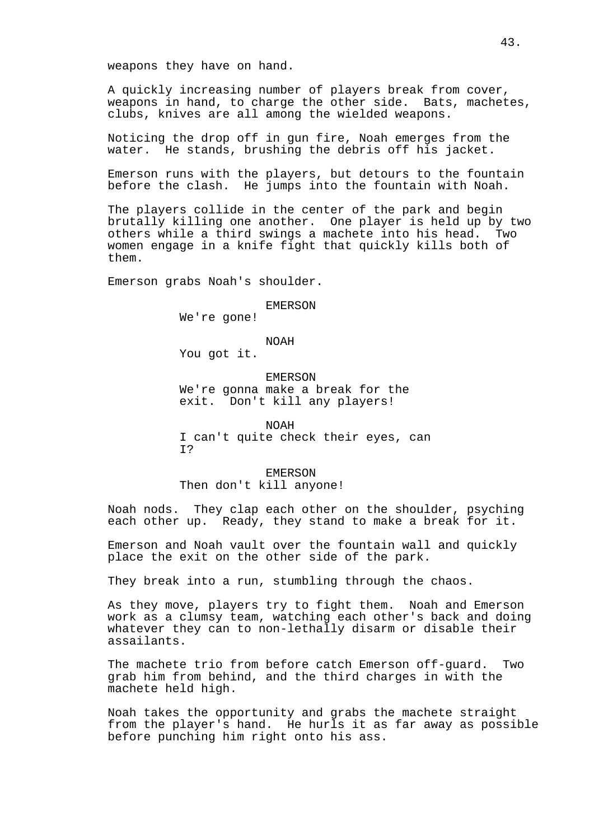weapons they have on hand.

A quickly increasing number of players break from cover, weapons in hand, to charge the other side. Bats, machetes, clubs, knives are all among the wielded weapons.

Noticing the drop off in gun fire, Noah emerges from the water. He stands, brushing the debris off his jacket.

Emerson runs with the players, but detours to the fountain before the clash. He jumps into the fountain with Noah.

The players collide in the center of the park and begin brutally killing one another. One player is held up by two others while a third swings a machete into his head. Two women engage in a knife fight that quickly kills both of them.

Emerson grabs Noah's shoulder.

#### EMERSON

We're gone!

NOAH

You got it.

EMERSON We're gonna make a break for the exit. Don't kill any players!

NOAH I can't quite check their eyes, can I?

#### EMERSON

Then don't kill anyone!

Noah nods. They clap each other on the shoulder, psyching each other up. Ready, they stand to make a break for it.

Emerson and Noah vault over the fountain wall and quickly place the exit on the other side of the park.

They break into a run, stumbling through the chaos.

As they move, players try to fight them. Noah and Emerson work as a clumsy team, watching each other's back and doing whatever they can to non-lethally disarm or disable their assailants.

The machete trio from before catch Emerson off-guard. Two grab him from behind, and the third charges in with the machete held high.

Noah takes the opportunity and grabs the machete straight from the player's hand. He hurls it as far away as possible before punching him right onto his ass.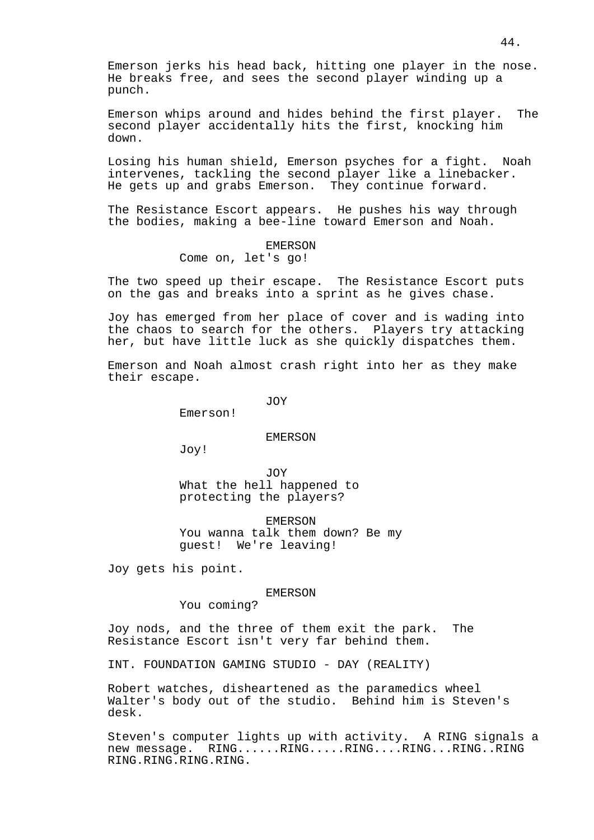Emerson jerks his head back, hitting one player in the nose. He breaks free, and sees the second player winding up a punch.

Emerson whips around and hides behind the first player. The second player accidentally hits the first, knocking him down.

Losing his human shield, Emerson psyches for a fight. Noah intervenes, tackling the second player like a linebacker. He gets up and grabs Emerson. They continue forward.

The Resistance Escort appears. He pushes his way through the bodies, making a bee-line toward Emerson and Noah.

#### EMERSON

# Come on, let's go!

The two speed up their escape. The Resistance Escort puts on the gas and breaks into a sprint as he gives chase.

Joy has emerged from her place of cover and is wading into the chaos to search for the others. Players try attacking her, but have little luck as she quickly dispatches them.

Emerson and Noah almost crash right into her as they make their escape.

JOY

Emerson!

### EMERSON

Joy!

JOY What the hell happened to protecting the players?

EMERSON You wanna talk them down? Be my guest! We're leaving!

Joy gets his point.

### EMERSON

You coming?

Joy nods, and the three of them exit the park. The Resistance Escort isn't very far behind them.

INT. FOUNDATION GAMING STUDIO - DAY (REALITY)

Robert watches, disheartened as the paramedics wheel Walter's body out of the studio. Behind him is Steven's desk.

Steven's computer lights up with activity. A RING signals a new message. RING......RING.....RING....RING...RING..RING RING.RING.RING.RING.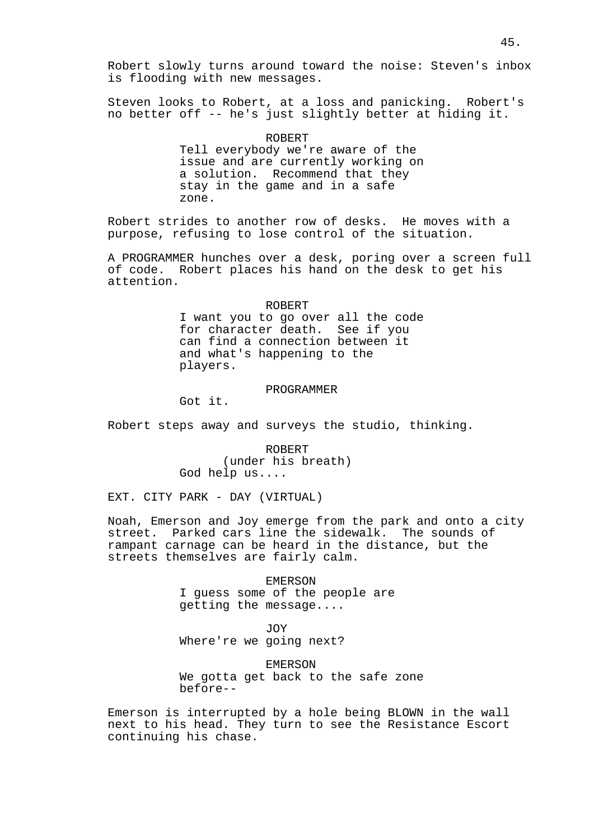Steven looks to Robert, at a loss and panicking. Robert's no better off -- he's just slightly better at hiding it.

> ROBERT Tell everybody we're aware of the issue and are currently working on a solution. Recommend that they stay in the game and in a safe

Robert strides to another row of desks. He moves with a purpose, refusing to lose control of the situation.

A PROGRAMMER hunches over a desk, poring over a screen full of code. Robert places his hand on the desk to get his attention.

#### ROBERT

I want you to go over all the code for character death. See if you can find a connection between it and what's happening to the players.

## PROGRAMMER

Got it.

zone.

Robert steps away and surveys the studio, thinking.

ROBERT (under his breath) God help us....

EXT. CITY PARK - DAY (VIRTUAL)

Noah, Emerson and Joy emerge from the park and onto a city street. Parked cars line the sidewalk. The sounds of rampant carnage can be heard in the distance, but the streets themselves are fairly calm.

## EMERSON I guess some of the people are getting the message....

JOY Where're we going next?

EMERSON

We gotta get back to the safe zone before--

Emerson is interrupted by a hole being BLOWN in the wall next to his head. They turn to see the Resistance Escort continuing his chase.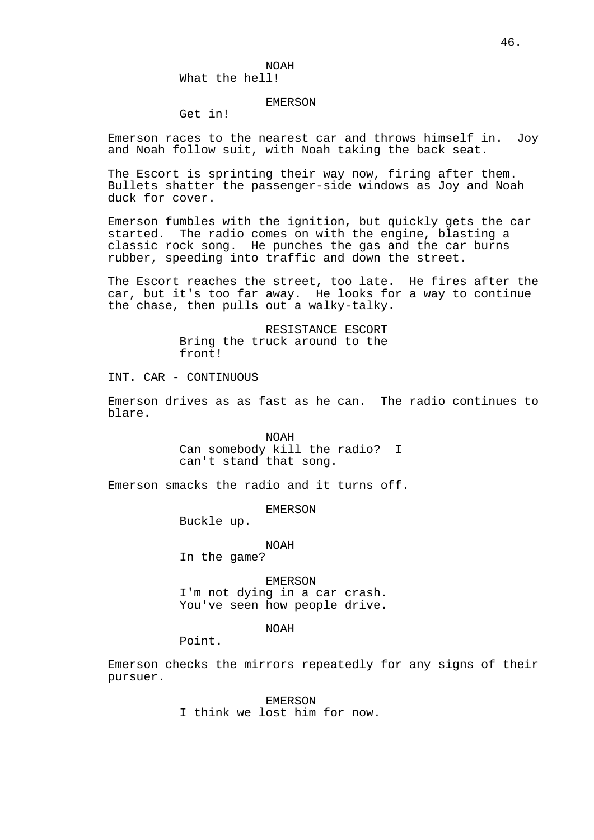### EMERSON

# Get in!

Emerson races to the nearest car and throws himself in. Joy and Noah follow suit, with Noah taking the back seat.

The Escort is sprinting their way now, firing after them. Bullets shatter the passenger-side windows as Joy and Noah duck for cover.

Emerson fumbles with the ignition, but quickly gets the car started. The radio comes on with the engine, blasting a classic rock song. He punches the gas and the car burns rubber, speeding into traffic and down the street.

The Escort reaches the street, too late. He fires after the car, but it's too far away. He looks for a way to continue the chase, then pulls out a walky-talky.

> RESISTANCE ESCORT Bring the truck around to the front!

INT. CAR - CONTINUOUS

Emerson drives as as fast as he can. The radio continues to blare.

> NOAH Can somebody kill the radio? I can't stand that song.

Emerson smacks the radio and it turns off.

### EMERSON

Buckle up.

### NOAH

In the game?

EMERSON I'm not dying in a car crash. You've seen how people drive.

## NOAH

Point.

Emerson checks the mirrors repeatedly for any signs of their pursuer.

> EMERSON I think we lost him for now.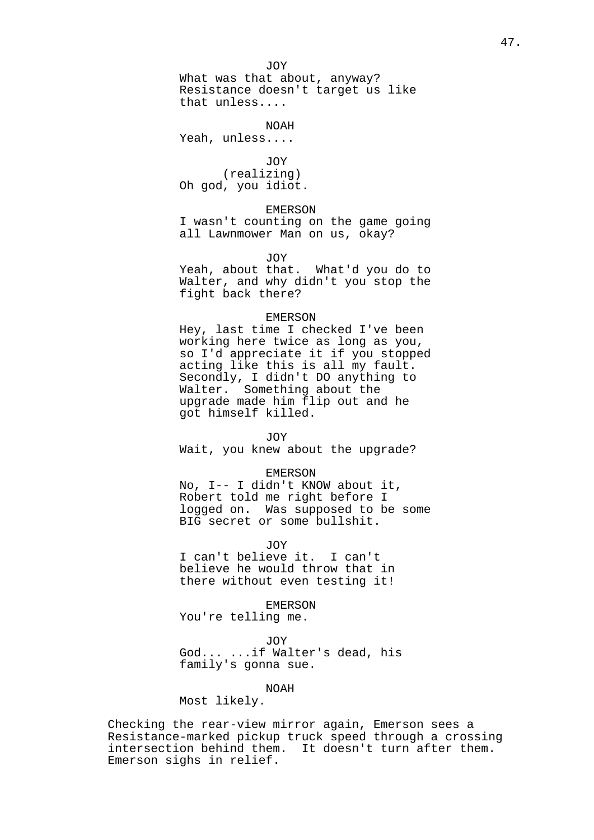JOY

What was that about, anyway? Resistance doesn't target us like that unless....

NOAH

Yeah, unless....

JOY (realizing) Oh god, you idiot.

## EMERSON

I wasn't counting on the game going all Lawnmower Man on us, okay?

## JOY

Yeah, about that. What'd you do to Walter, and why didn't you stop the fight back there?

#### EMERSON

Hey, last time I checked I've been working here twice as long as you, so I'd appreciate it if you stopped acting like this is all my fault. Secondly, I didn't DO anything to Walter. Something about the upgrade made him flip out and he got himself killed.

#### JOY

Wait, you knew about the upgrade?

#### EMERSON

No, I-- I didn't KNOW about it, Robert told me right before I logged on. Was supposed to be some BIG secret or some bullshit.

JOY

I can't believe it. I can't believe he would throw that in there without even testing it!

EMERSON

You're telling me.

JOY

God... ...if Walter's dead, his family's gonna sue.

## NOAH

Most likely.

Checking the rear-view mirror again, Emerson sees a Resistance-marked pickup truck speed through a crossing intersection behind them. It doesn't turn after them. Emerson sighs in relief.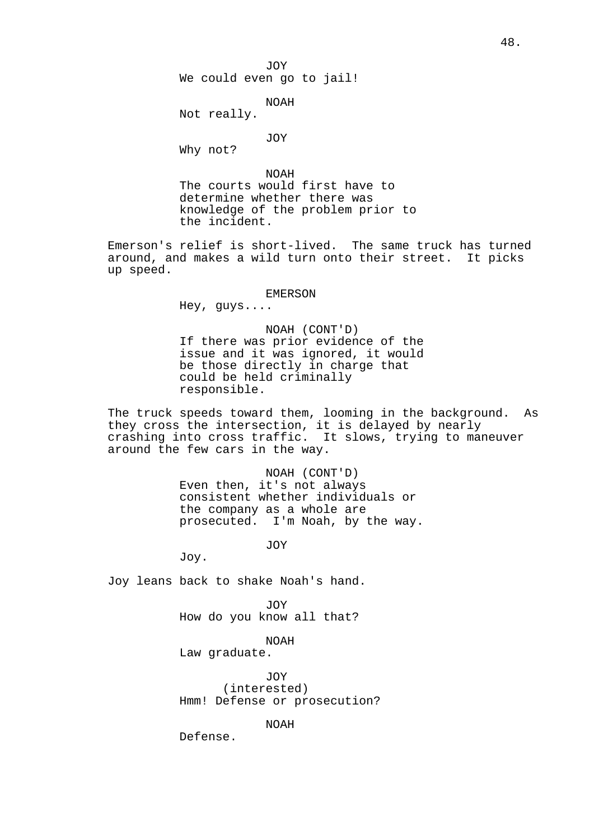JOY

We could even go to jail!

NOAH

Not really.

JOY

Why not?

NOAH The courts would first have to determine whether there was knowledge of the problem prior to the incident.

Emerson's relief is short-lived. The same truck has turned around, and makes a wild turn onto their street. It picks up speed.

### EMERSON

Hey, guys....

NOAH (CONT'D) If there was prior evidence of the issue and it was ignored, it would be those directly in charge that could be held criminally responsible.

The truck speeds toward them, looming in the background. As they cross the intersection, it is delayed by nearly crashing into cross traffic. It slows, trying to maneuver around the few cars in the way.

> NOAH (CONT'D) Even then, it's not always consistent whether individuals or the company as a whole are prosecuted. I'm Noah, by the way.

> > JOY

Joy.

Joy leans back to shake Noah's hand.

JOY

How do you know all that?

NOAH Law graduate.

JOY (interested) Hmm! Defense or prosecution?

NOAH

Defense.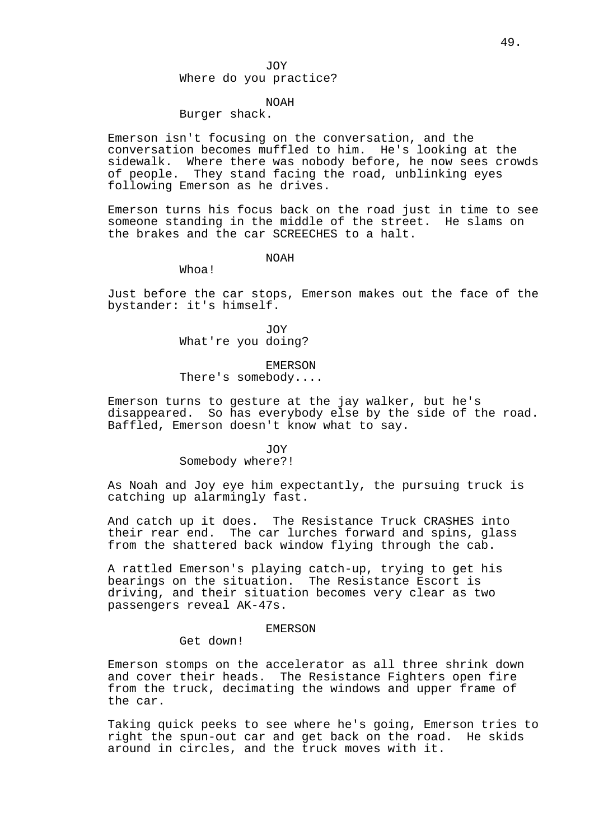## JOY

## Where do you practice?

# NOAH

## Burger shack.

Emerson isn't focusing on the conversation, and the conversation becomes muffled to him. He's looking at the sidewalk. Where there was nobody before, he now sees crowds of people. They stand facing the road, unblinking eyes following Emerson as he drives.

Emerson turns his focus back on the road just in time to see someone standing in the middle of the street. He slams on the brakes and the car SCREECHES to a halt.

### NOAH

Whoa!

Just before the car stops, Emerson makes out the face of the bystander: it's himself.

> JOY What're you doing?

#### EMERSON

There's somebody....

Emerson turns to gesture at the jay walker, but he's disappeared. So has everybody else by the side of the road. Baffled, Emerson doesn't know what to say.

#### JOY

# Somebody where?!

As Noah and Joy eye him expectantly, the pursuing truck is catching up alarmingly fast.

And catch up it does. The Resistance Truck CRASHES into their rear end. The car lurches forward and spins, glass from the shattered back window flying through the cab.

A rattled Emerson's playing catch-up, trying to get his bearings on the situation. The Resistance Escort is driving, and their situation becomes very clear as two passengers reveal AK-47s.

#### EMERSON

Get down!

Emerson stomps on the accelerator as all three shrink down and cover their heads. The Resistance Fighters open fire from the truck, decimating the windows and upper frame of the car.

Taking quick peeks to see where he's going, Emerson tries to right the spun-out car and get back on the road. He skids around in circles, and the truck moves with it.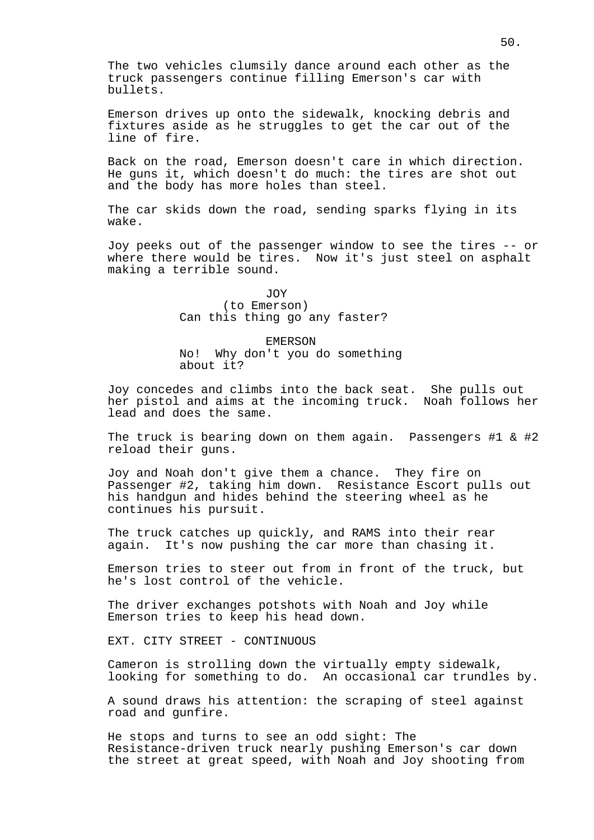The two vehicles clumsily dance around each other as the truck passengers continue filling Emerson's car with bullets.

Emerson drives up onto the sidewalk, knocking debris and fixtures aside as he struggles to get the car out of the line of fire.

Back on the road, Emerson doesn't care in which direction. He guns it, which doesn't do much: the tires are shot out and the body has more holes than steel.

The car skids down the road, sending sparks flying in its wake.

Joy peeks out of the passenger window to see the tires -- or where there would be tires. Now it's just steel on asphalt making a terrible sound.

> JOY (to Emerson) Can this thing go any faster?

EMERSON No! Why don't you do something about it?

Joy concedes and climbs into the back seat. She pulls out her pistol and aims at the incoming truck. Noah follows her lead and does the same.

The truck is bearing down on them again. Passengers #1 & #2 reload their guns.

Joy and Noah don't give them a chance. They fire on Passenger #2, taking him down. Resistance Escort pulls out his handgun and hides behind the steering wheel as he continues his pursuit.

The truck catches up quickly, and RAMS into their rear again. It's now pushing the car more than chasing it.

Emerson tries to steer out from in front of the truck, but he's lost control of the vehicle.

The driver exchanges potshots with Noah and Joy while Emerson tries to keep his head down.

EXT. CITY STREET - CONTINUOUS

Cameron is strolling down the virtually empty sidewalk, looking for something to do. An occasional car trundles by.

A sound draws his attention: the scraping of steel against road and gunfire.

He stops and turns to see an odd sight: The Resistance-driven truck nearly pushing Emerson's car down the street at great speed, with Noah and Joy shooting from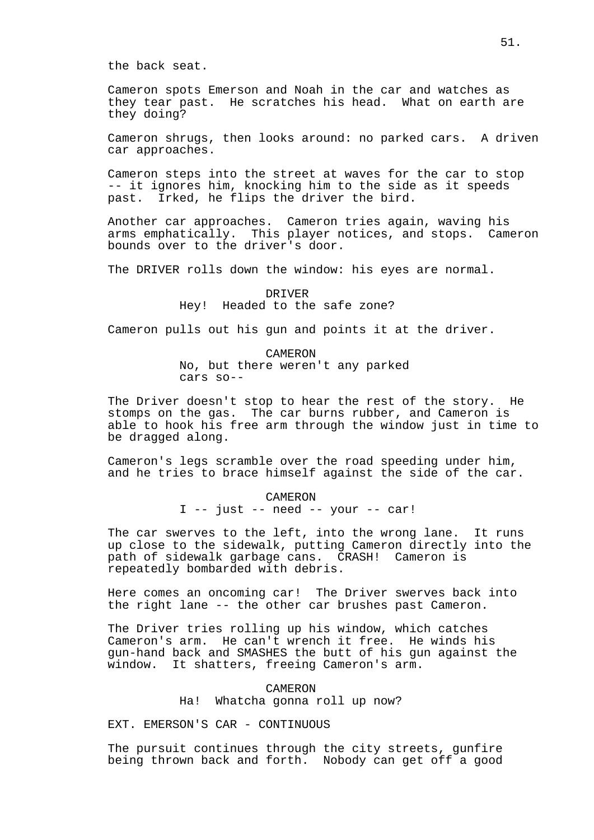the back seat.

Cameron spots Emerson and Noah in the car and watches as they tear past. He scratches his head. What on earth are they doing?

Cameron shrugs, then looks around: no parked cars. A driven car approaches.

Cameron steps into the street at waves for the car to stop -- it ignores him, knocking him to the side as it speeds past. Irked, he flips the driver the bird.

Another car approaches. Cameron tries again, waving his arms emphatically. This player notices, and stops. Cameron bounds over to the driver's door.

The DRIVER rolls down the window: his eyes are normal.

## DRIVER Hey! Headed to the safe zone?

Cameron pulls out his gun and points it at the driver.

CAMERON No, but there weren't any parked cars so--

The Driver doesn't stop to hear the rest of the story. He stomps on the gas. The car burns rubber, and Cameron is able to hook his free arm through the window just in time to be dragged along.

Cameron's legs scramble over the road speeding under him, and he tries to brace himself against the side of the car.

> CAMERON I -- just -- need -- your -- car!

The car swerves to the left, into the wrong lane. It runs up close to the sidewalk, putting Cameron directly into the path of sidewalk garbage cans. CRASH! Cameron is repeatedly bombarded with debris.

Here comes an oncoming car! The Driver swerves back into the right lane -- the other car brushes past Cameron.

The Driver tries rolling up his window, which catches Cameron's arm. He can't wrench it free. He winds his gun-hand back and SMASHES the butt of his gun against the window. It shatters, freeing Cameron's arm.

# CAMERON Ha! Whatcha gonna roll up now?

EXT. EMERSON'S CAR - CONTINUOUS

The pursuit continues through the city streets, gunfire being thrown back and forth. Nobody can get off a good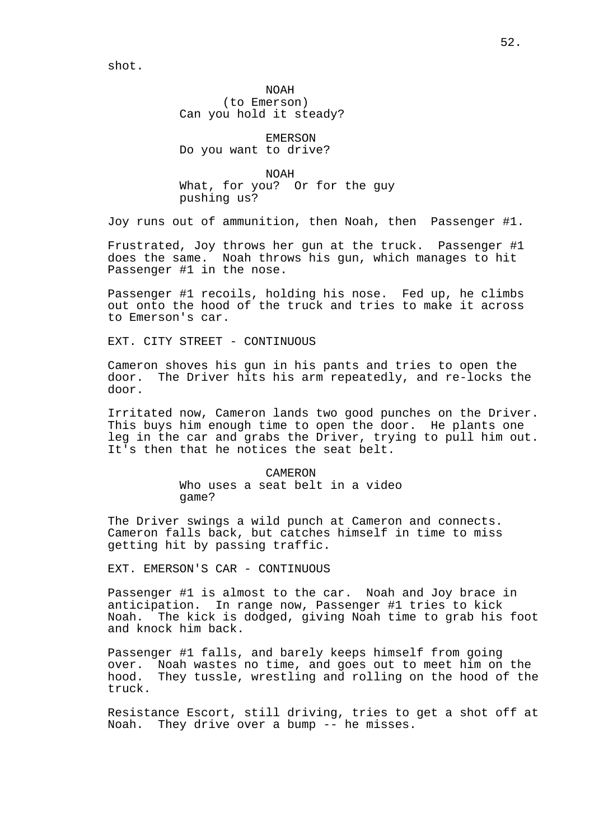NOAH (to Emerson) Can you hold it steady?

EMERSON Do you want to drive?

NOAH What, for you? Or for the guy pushing us?

Joy runs out of ammunition, then Noah, then Passenger #1.

Frustrated, Joy throws her gun at the truck. Passenger #1 does the same. Noah throws his gun, which manages to hit Passenger #1 in the nose.

Passenger #1 recoils, holding his nose. Fed up, he climbs out onto the hood of the truck and tries to make it across to Emerson's car.

EXT. CITY STREET - CONTINUOUS

Cameron shoves his gun in his pants and tries to open the door. The Driver hits his arm repeatedly, and re-locks the door.

Irritated now, Cameron lands two good punches on the Driver. This buys him enough time to open the door. He plants one leg in the car and grabs the Driver, trying to pull him out. It's then that he notices the seat belt.

> CAMERON Who uses a seat belt in a video game?

The Driver swings a wild punch at Cameron and connects. Cameron falls back, but catches himself in time to miss getting hit by passing traffic.

EXT. EMERSON'S CAR - CONTINUOUS

Passenger #1 is almost to the car. Noah and Joy brace in anticipation. In range now, Passenger #1 tries to kick Noah. The kick is dodged, giving Noah time to grab his foot and knock him back.

Passenger #1 falls, and barely keeps himself from going over. Noah wastes no time, and goes out to meet him on the hood. They tussle, wrestling and rolling on the hood of the truck.

Resistance Escort, still driving, tries to get a shot off at Noah. They drive over a bump -- he misses.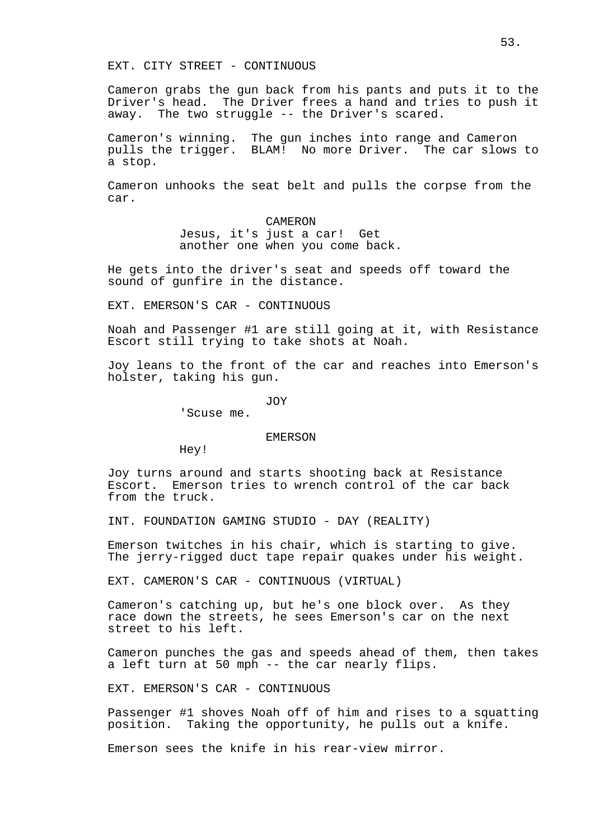EXT. CITY STREET - CONTINUOUS

Cameron grabs the gun back from his pants and puts it to the Driver's head. The Driver frees a hand and tries to push it away. The two struggle -- the Driver's scared.

Cameron's winning. The gun inches into range and Cameron pulls the trigger. BLAM! No more Driver. The car slows to a stop.

Cameron unhooks the seat belt and pulls the corpse from the car.

> CAMERON Jesus, it's just a car! Get another one when you come back.

He gets into the driver's seat and speeds off toward the sound of gunfire in the distance.

EXT. EMERSON'S CAR - CONTINUOUS

Noah and Passenger #1 are still going at it, with Resistance Escort still trying to take shots at Noah.

Joy leans to the front of the car and reaches into Emerson's holster, taking his gun.

JOY

'Scuse me.

## EMERSON

Hey!

Joy turns around and starts shooting back at Resistance Escort. Emerson tries to wrench control of the car back from the truck.

INT. FOUNDATION GAMING STUDIO - DAY (REALITY)

Emerson twitches in his chair, which is starting to give. The jerry-rigged duct tape repair quakes under his weight.

EXT. CAMERON'S CAR - CONTINUOUS (VIRTUAL)

Cameron's catching up, but he's one block over. As they race down the streets, he sees Emerson's car on the next street to his left.

Cameron punches the gas and speeds ahead of them, then takes a left turn at 50 mph -- the car nearly flips.

EXT. EMERSON'S CAR - CONTINUOUS

Passenger #1 shoves Noah off of him and rises to a squatting position. Taking the opportunity, he pulls out a knife.

Emerson sees the knife in his rear-view mirror.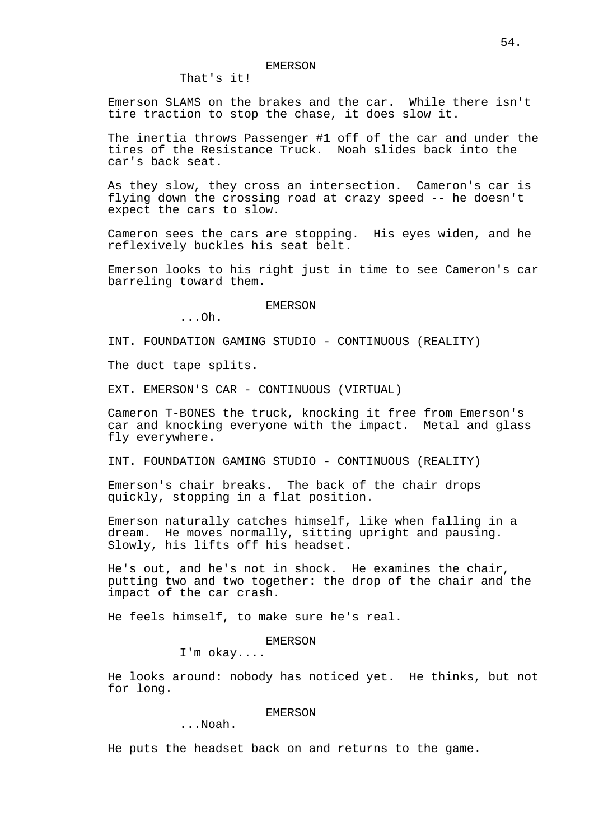That's it!

Emerson SLAMS on the brakes and the car. While there isn't tire traction to stop the chase, it does slow it.

The inertia throws Passenger #1 off of the car and under the tires of the Resistance Truck. Noah slides back into the car's back seat.

As they slow, they cross an intersection. Cameron's car is flying down the crossing road at crazy speed -- he doesn't expect the cars to slow.

Cameron sees the cars are stopping. His eyes widen, and he reflexively buckles his seat belt.

Emerson looks to his right just in time to see Cameron's car barreling toward them.

#### EMERSON

...Oh.

INT. FOUNDATION GAMING STUDIO - CONTINUOUS (REALITY)

The duct tape splits.

EXT. EMERSON'S CAR - CONTINUOUS (VIRTUAL)

Cameron T-BONES the truck, knocking it free from Emerson's car and knocking everyone with the impact. Metal and glass fly everywhere.

INT. FOUNDATION GAMING STUDIO - CONTINUOUS (REALITY)

Emerson's chair breaks. The back of the chair drops quickly, stopping in a flat position.

Emerson naturally catches himself, like when falling in a dream. He moves normally, sitting upright and pausing. Slowly, his lifts off his headset.

He's out, and he's not in shock. He examines the chair, putting two and two together: the drop of the chair and the impact of the car crash.

He feels himself, to make sure he's real.

### EMERSON

I'm okay....

He looks around: nobody has noticed yet. He thinks, but not for long.

#### EMERSON

...Noah.

He puts the headset back on and returns to the game.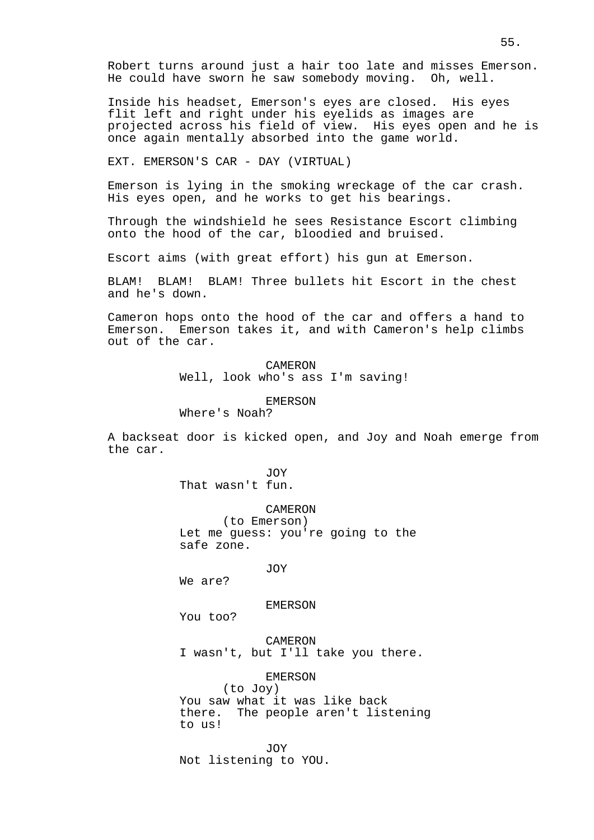Robert turns around just a hair too late and misses Emerson. He could have sworn he saw somebody moving. Oh, well.

Inside his headset, Emerson's eyes are closed. His eyes flit left and right under his eyelids as images are projected across his field of view. His eyes open and he is once again mentally absorbed into the game world.

EXT. EMERSON'S CAR - DAY (VIRTUAL)

Emerson is lying in the smoking wreckage of the car crash. His eyes open, and he works to get his bearings.

Through the windshield he sees Resistance Escort climbing onto the hood of the car, bloodied and bruised.

Escort aims (with great effort) his gun at Emerson.

BLAM! BLAM! BLAM! Three bullets hit Escort in the chest and he's down.

Cameron hops onto the hood of the car and offers a hand to Emerson. Emerson takes it, and with Cameron's help climbs out of the car.

> CAMERON Well, look who's ass I'm saving!

> > EMERSON

Where's Noah?

A backseat door is kicked open, and Joy and Noah emerge from the car.

> JOY That wasn't fun.

> > CAMERON

(to Emerson) Let me guess: you're going to the safe zone.

JOY

We are?

EMERSON

You too?

CAMERON I wasn't, but I'll take you there.

EMERSON (to Joy) You saw what it was like back there. The people aren't listening to us!

JOY Not listening to YOU.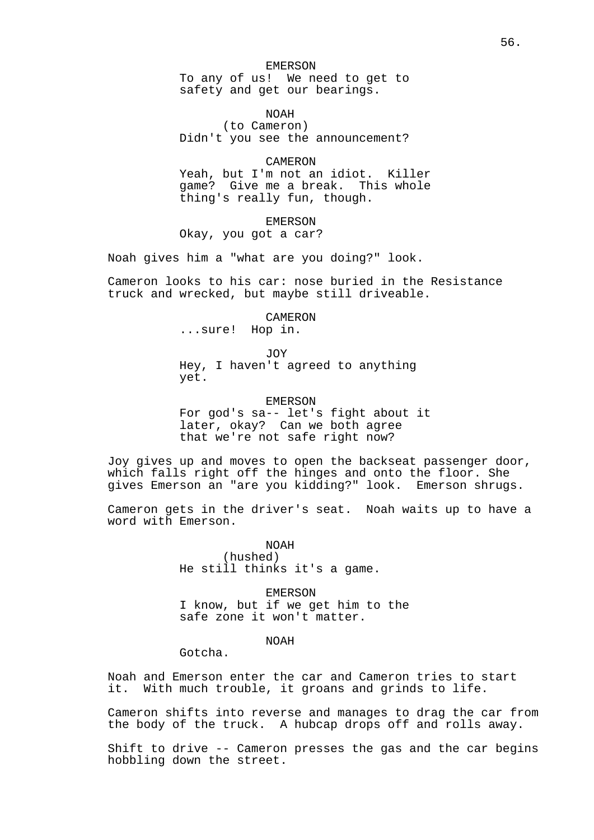#### EMERSON

To any of us! We need to get to safety and get our bearings.

NOAH (to Cameron) Didn't you see the announcement?

CAMERON Yeah, but I'm not an idiot. Killer

game? Give me a break. This whole thing's really fun, though.

EMERSON Okay, you got a car?

Noah gives him a "what are you doing?" look.

Cameron looks to his car: nose buried in the Resistance truck and wrecked, but maybe still driveable.

CAMERON

...sure! Hop in.

JOY

Hey, I haven't agreed to anything yet.

EMERSON

For god's sa-- let's fight about it later, okay? Can we both agree that we're not safe right now?

Joy gives up and moves to open the backseat passenger door, which falls right off the hinges and onto the floor. She gives Emerson an "are you kidding?" look. Emerson shrugs.

Cameron gets in the driver's seat. Noah waits up to have a word with Emerson.

> NOAH (hushed) He still thinks it's a game.

EMERSON I know, but if we get him to the safe zone it won't matter.

NOAH

Gotcha.

Noah and Emerson enter the car and Cameron tries to start it. With much trouble, it groans and grinds to life.

Cameron shifts into reverse and manages to drag the car from the body of the truck. A hubcap drops off and rolls away.

Shift to drive -- Cameron presses the gas and the car begins hobbling down the street.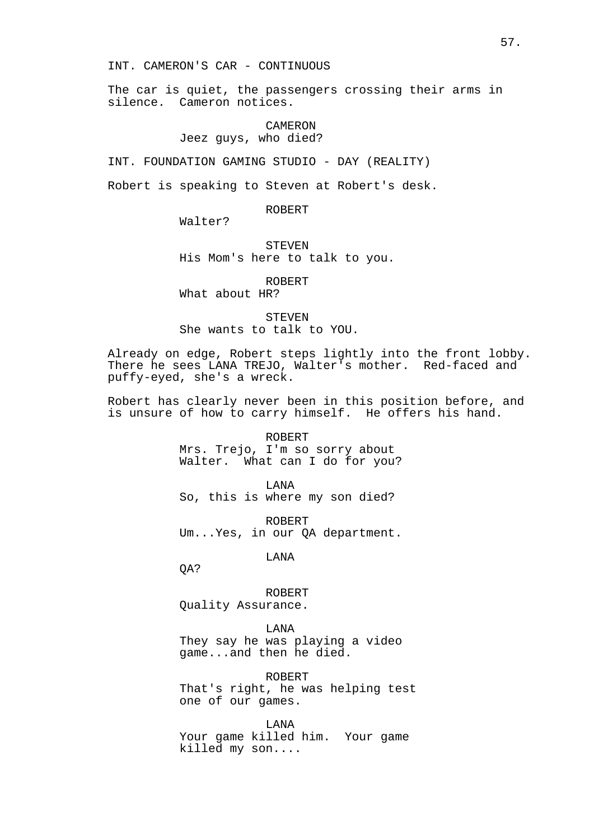INT. CAMERON'S CAR - CONTINUOUS

The car is quiet, the passengers crossing their arms in silence. Cameron notices.

## CAMERON Jeez guys, who died?

INT. FOUNDATION GAMING STUDIO - DAY (REALITY)

Robert is speaking to Steven at Robert's desk.

### ROBERT

Walter?

STEVEN His Mom's here to talk to you.

ROBERT What about HR?

STEVEN She wants to talk to YOU.

Already on edge, Robert steps lightly into the front lobby. There he sees LANA TREJO, Walter's mother. Red-faced and puffy-eyed, she's a wreck.

Robert has clearly never been in this position before, and is unsure of how to carry himself. He offers his hand.

> ROBERT Mrs. Trejo, I'm so sorry about Walter. What can I do for you?

LANA So, this is where my son died?

ROBERT Um...Yes, in our QA department.

LANA

QA?

ROBERT Quality Assurance.

LANA

They say he was playing a video game...and then he died.

ROBERT That's right, he was helping test one of our games.

LANA Your game killed him. Your game killed my son....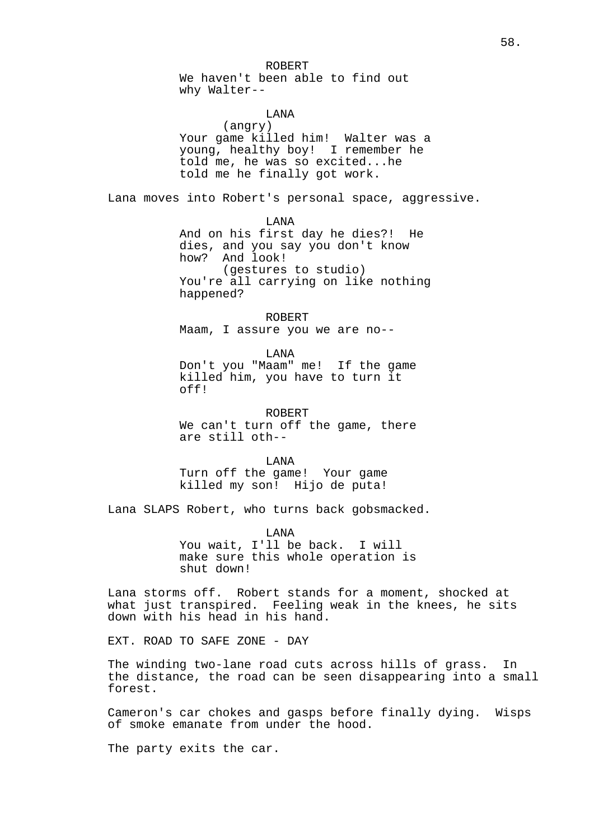We haven't been able to find out why Walter--

# LANA

(angry) Your game killed him! Walter was a young, healthy boy! I remember he told me, he was so excited...he told me he finally got work.

Lana moves into Robert's personal space, aggressive.

LANA

And on his first day he dies?! He dies, and you say you don't know how? And look! (gestures to studio)

You're all carrying on like nothing happened?

ROBERT Maam, I assure you we are no--

LANA Don't you "Maam" me! If the game killed him, you have to turn it off!

ROBERT We can't turn off the game, there are still oth--

LANA Turn off the game! Your game killed my son! Hijo de puta!

Lana SLAPS Robert, who turns back gobsmacked.

LANA You wait, I'll be back. I will make sure this whole operation is shut down!

Lana storms off. Robert stands for a moment, shocked at what just transpired. Feeling weak in the knees, he sits down with his head in his hand.

EXT. ROAD TO SAFE ZONE - DAY

The winding two-lane road cuts across hills of grass. In the distance, the road can be seen disappearing into a small forest.

Cameron's car chokes and gasps before finally dying. Wisps of smoke emanate from under the hood.

The party exits the car.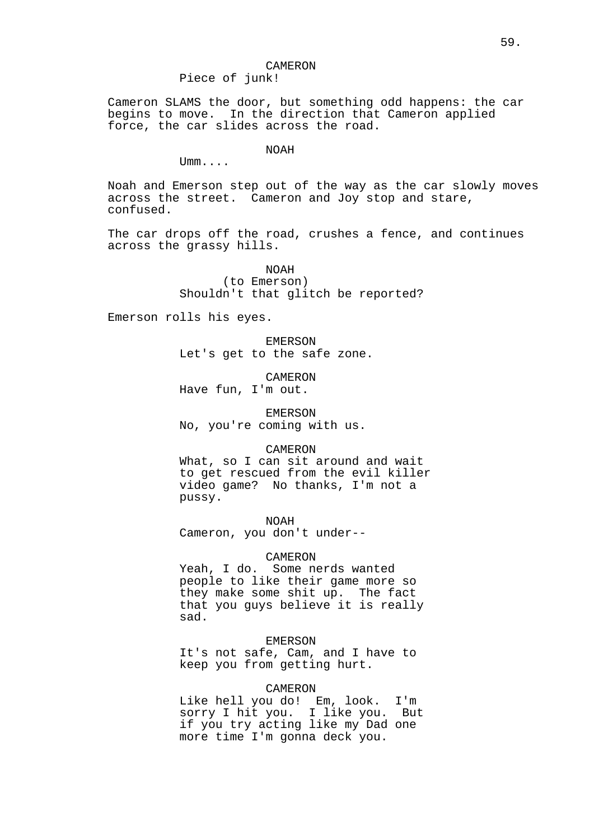# CAMERON

Piece of junk!

Cameron SLAMS the door, but something odd happens: the car begins to move. In the direction that Cameron applied force, the car slides across the road.

## NOAH

Umm....

Noah and Emerson step out of the way as the car slowly moves across the street. Cameron and Joy stop and stare, confused.

The car drops off the road, crushes a fence, and continues across the grassy hills.

> NOAH (to Emerson) Shouldn't that glitch be reported?

Emerson rolls his eyes.

EMERSON Let's get to the safe zone.

CAMERON Have fun, I'm out.

EMERSON No, you're coming with us.

#### CAMERON

What, so I can sit around and wait to get rescued from the evil killer video game? No thanks, I'm not a pussy.

NOAH

Cameron, you don't under--

### CAMERON

Yeah, I do. Some nerds wanted people to like their game more so they make some shit up. The fact that you guys believe it is really sad.

### EMERSON

It's not safe, Cam, and I have to keep you from getting hurt.

## CAMERON

Like hell you do! Em, look. I'm sorry I hit you. I like you. But if you try acting like my Dad one more time I'm gonna deck you.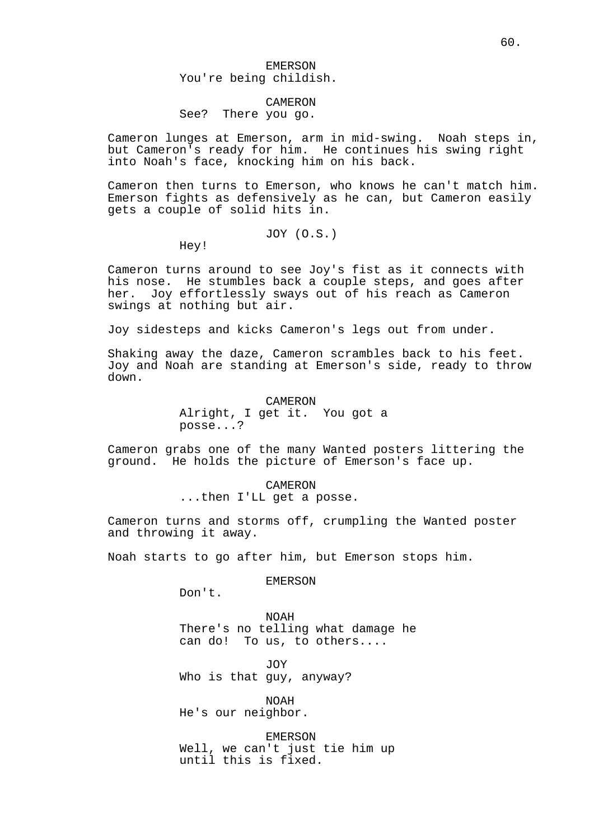## EMERSON You're being childish.

#### CAMERON

## See? There you go.

Cameron lunges at Emerson, arm in mid-swing. Noah steps in, but Cameron's ready for him. He continues his swing right into Noah's face, knocking him on his back.

Cameron then turns to Emerson, who knows he can't match him. Emerson fights as defensively as he can, but Cameron easily gets a couple of solid hits in.

JOY (O.S.)

Hey!

Cameron turns around to see Joy's fist as it connects with his nose. He stumbles back a couple steps, and goes after her. Joy effortlessly sways out of his reach as Cameron swings at nothing but air.

Joy sidesteps and kicks Cameron's legs out from under.

Shaking away the daze, Cameron scrambles back to his feet. Joy and Noah are standing at Emerson's side, ready to throw down.

CAMERON

Alright, I get it. You got a posse...?

Cameron grabs one of the many Wanted posters littering the ground. He holds the picture of Emerson's face up.

> CAMERON ...then I'LL get a posse.

Cameron turns and storms off, crumpling the Wanted poster and throwing it away.

Noah starts to go after him, but Emerson stops him.

EMERSON

Don't.

NOAH There's no telling what damage he can do! To us, to others....

JOY. Who is that guy, anyway?

NOAH He's our neighbor.

EMERSON Well, we can't just tie him up until this is fixed.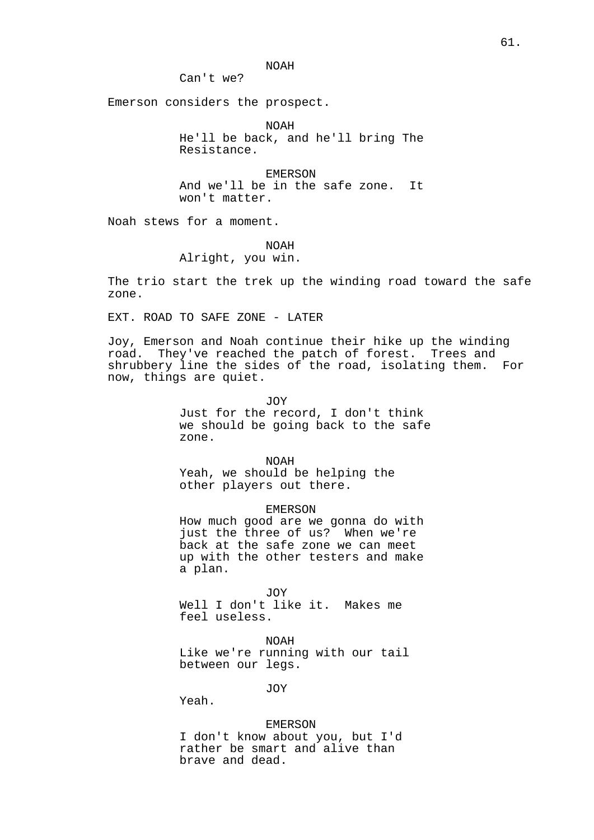NOAH

Can't we?

Emerson considers the prospect.

NOAH He'll be back, and he'll bring The Resistance.

EMERSON And we'll be in the safe zone. It won't matter.

Noah stews for a moment.

NOAH

Alright, you win.

The trio start the trek up the winding road toward the safe zone.

EXT. ROAD TO SAFE ZONE - LATER

Joy, Emerson and Noah continue their hike up the winding road. They've reached the patch of forest. Trees and shrubbery line the sides of the road, isolating them. For now, things are quiet.

JOY

Just for the record, I don't think we should be going back to the safe zone.

NOAH Yeah, we should be helping the other players out there.

EMERSON

How much good are we gonna do with just the three of us? When we're back at the safe zone we can meet up with the other testers and make a plan.

JOY Well I don't like it. Makes me feel useless.

NOAH

Like we're running with our tail between our legs.

JOY

Yeah.

EMERSON I don't know about you, but I'd rather be smart and alive than brave and dead.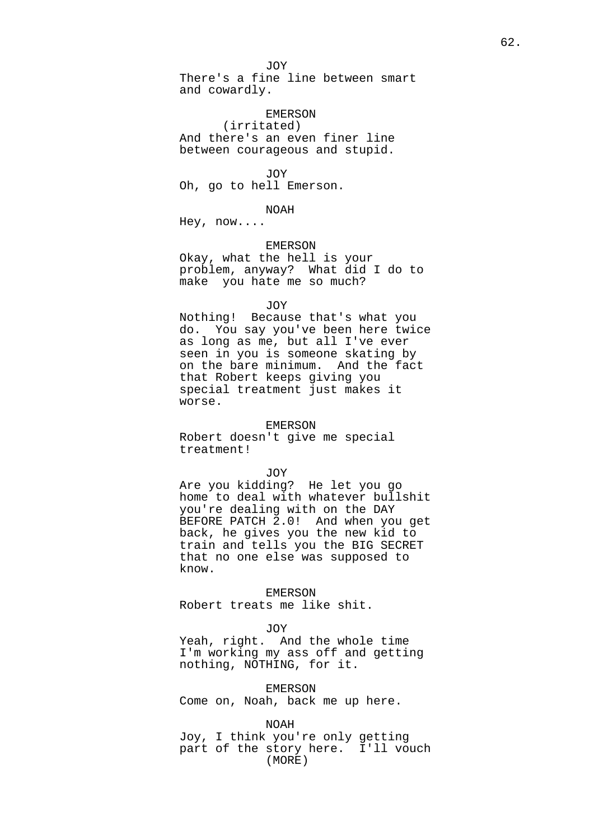There's a fine line between smart and cowardly.

### EMERSON

(irritated) And there's an even finer line between courageous and stupid.

JOY Oh, go to hell Emerson.

### NOAH

Hey, now....

## EMERSON

Okay, what the hell is your problem, anyway? What did I do to make you hate me so much?

### JOY

Nothing! Because that's what you do. You say you've been here twice as long as me, but all I've ever seen in you is someone skating by on the bare minimum. And the fact that Robert keeps giving you special treatment just makes it worse.

## EMERSON

Robert doesn't give me special treatment!

#### JOY

Are you kidding? He let you go home to deal with whatever bullshit you're dealing with on the DAY BEFORE PATCH 2.0! And when you get back, he gives you the new kid to train and tells you the BIG SECRET that no one else was supposed to know.

## EMERSON

Robert treats me like shit.

#### JOY

Yeah, right. And the whole time I'm working my ass off and getting nothing, NOTHING, for it.

EMERSON

Come on, Noah, back me up here.

NOAH Joy, I think you're only getting part of the story here. I'll vouch (MORE)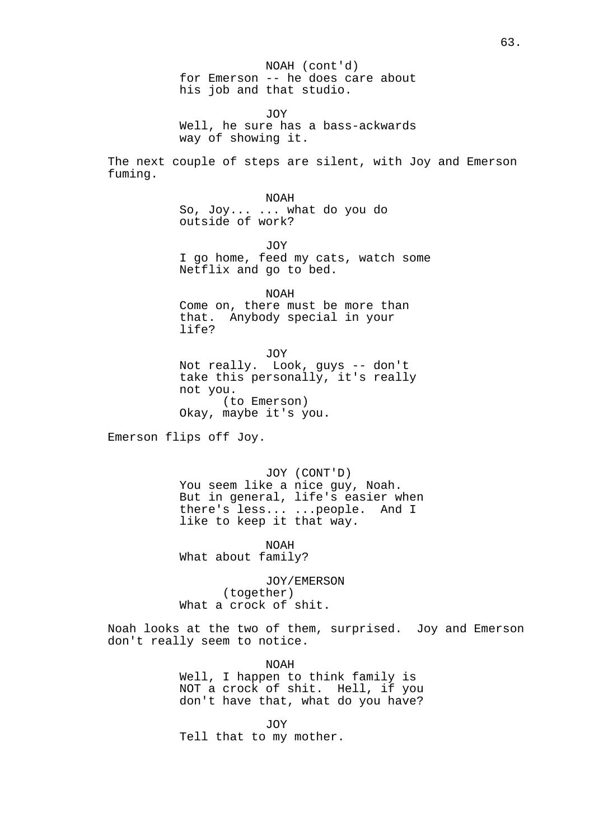NOAH (cont'd) for Emerson -- he does care about his job and that studio.

JOY Well, he sure has a bass-ackwards way of showing it.

The next couple of steps are silent, with Joy and Emerson fuming.

> NOAH So, Joy... ... what do you do outside of work?

> > JOY

I go home, feed my cats, watch some Netflix and go to bed.

NOAH Come on, there must be more than that. Anybody special in your life?

JOY Not really. Look, guys -- don't take this personally, it's really not you. (to Emerson) Okay, maybe it's you.

Emerson flips off Joy.

JOY (CONT'D) You seem like a nice guy, Noah. But in general, life's easier when there's less... ...people. And I like to keep it that way.

NOAH What about family?

JOY/EMERSON (together) What a crock of shit.

Noah looks at the two of them, surprised. Joy and Emerson don't really seem to notice.

> NOAH Well, I happen to think family is NOT a crock of shit. Hell, if you don't have that, what do you have?

JOY Tell that to my mother.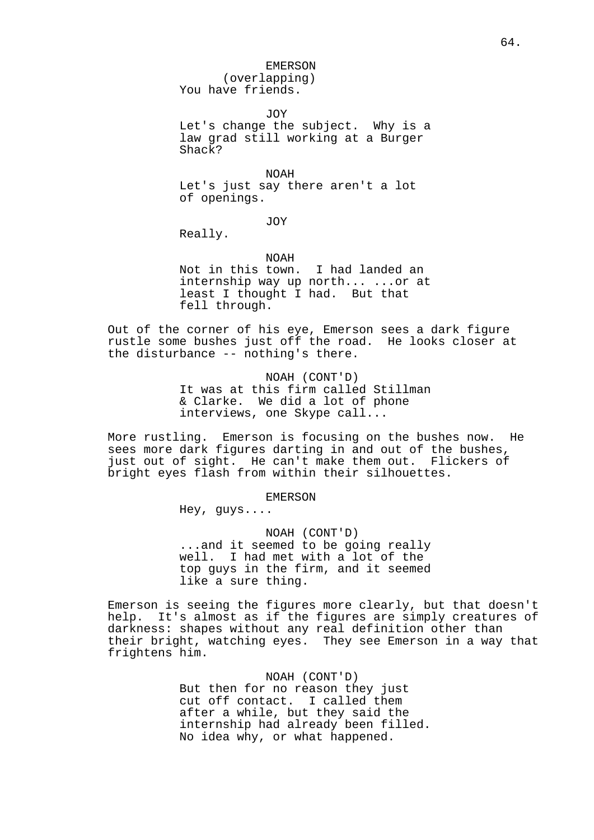EMERSON

(overlapping) You have friends.

JOY

Let's change the subject. Why is a law grad still working at a Burger Shack?

NOAH Let's just say there aren't a lot of openings.

JOY

Really.

NOAH

Not in this town. I had landed an internship way up north... ...or at least I thought I had. But that fell through.

Out of the corner of his eye, Emerson sees a dark figure rustle some bushes just off the road. He looks closer at the disturbance -- nothing's there.

> NOAH (CONT'D) It was at this firm called Stillman & Clarke. We did a lot of phone interviews, one Skype call...

More rustling. Emerson is focusing on the bushes now. He sees more dark figures darting in and out of the bushes, just out of sight. He can't make them out. Flickers of bright eyes flash from within their silhouettes.

### EMERSON

Hey, guys....

NOAH (CONT'D) ...and it seemed to be going really well. I had met with a lot of the top guys in the firm, and it seemed like a sure thing.

Emerson is seeing the figures more clearly, but that doesn't help. It's almost as if the figures are simply creatures of darkness: shapes without any real definition other than their bright, watching eyes. They see Emerson in a way that frightens him.

> NOAH (CONT'D) But then for no reason they just cut off contact. I called them after a while, but they said the internship had already been filled. No idea why, or what happened.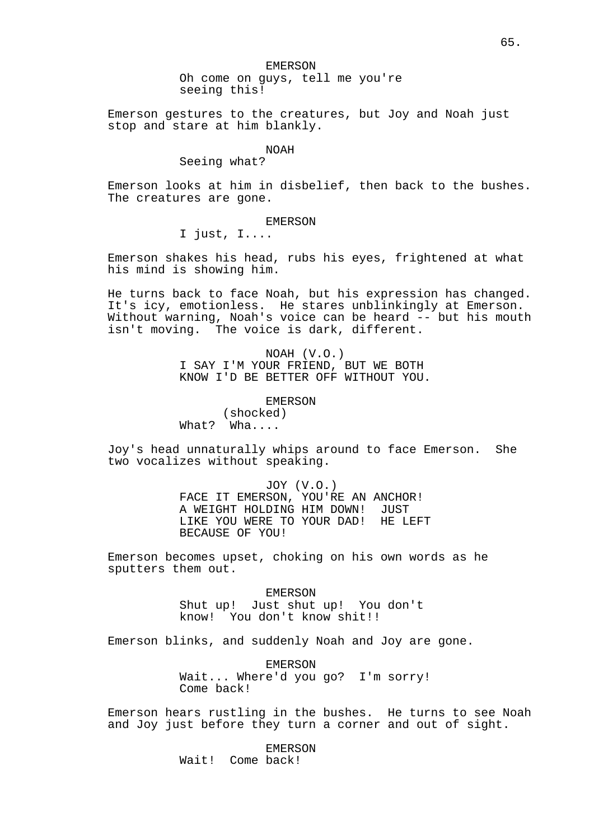#### EMERSON

Oh come on guys, tell me you're seeing this!

Emerson gestures to the creatures, but Joy and Noah just stop and stare at him blankly.

### NOAH

# Seeing what?

Emerson looks at him in disbelief, then back to the bushes. The creatures are gone.

## EMERSON

I just, I....

Emerson shakes his head, rubs his eyes, frightened at what his mind is showing him.

He turns back to face Noah, but his expression has changed. It's icy, emotionless. He stares unblinkingly at Emerson. Without warning, Noah's voice can be heard -- but his mouth isn't moving. The voice is dark, different.

> NOAH (V.O.) I SAY I'M YOUR FRIEND, BUT WE BOTH KNOW I'D BE BETTER OFF WITHOUT YOU.

### EMERSON

(shocked) What? Wha....

Joy's head unnaturally whips around to face Emerson. She two vocalizes without speaking.

> JOY (V.O.) FACE IT EMERSON, YOU'RE AN ANCHOR! A WEIGHT HOLDING HIM DOWN! JUST LIKE YOU WERE TO YOUR DAD! HE LEFT BECAUSE OF YOU!

Emerson becomes upset, choking on his own words as he sputters them out.

> EMERSON Shut up! Just shut up! You don't know! You don't know shit!!

Emerson blinks, and suddenly Noah and Joy are gone.

EMERSON Wait... Where'd you go? I'm sorry! Come back!

Emerson hears rustling in the bushes. He turns to see Noah and Joy just before they turn a corner and out of sight.

> EMERSON Wait! Come back!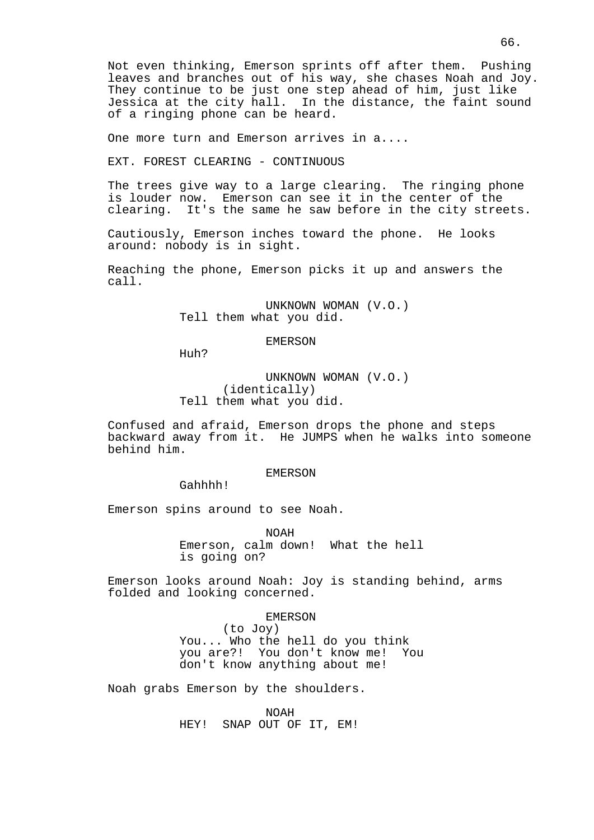Not even thinking, Emerson sprints off after them. Pushing leaves and branches out of his way, she chases Noah and Joy. They continue to be just one step ahead of him, just like Jessica at the city hall. In the distance, the faint sound of a ringing phone can be heard.

One more turn and Emerson arrives in a....

EXT. FOREST CLEARING - CONTINUOUS

The trees give way to a large clearing. The ringing phone is louder now. Emerson can see it in the center of the clearing. It's the same he saw before in the city streets.

Cautiously, Emerson inches toward the phone. He looks around: nobody is in sight.

Reaching the phone, Emerson picks it up and answers the call.

> UNKNOWN WOMAN (V.O.) Tell them what you did.

#### EMERSON

Huh?

UNKNOWN WOMAN (V.O.) (identically) Tell them what you did.

Confused and afraid, Emerson drops the phone and steps backward away from it. He JUMPS when he walks into someone behind him.

## EMERSON

Gahhhh!

Emerson spins around to see Noah.

NOAH Emerson, calm down! What the hell is going on?

Emerson looks around Noah: Joy is standing behind, arms folded and looking concerned.

#### EMERSON

(to Joy) You... Who the hell do you think you are?! You don't know me! You don't know anything about me!

Noah grabs Emerson by the shoulders.

NOAH HEY! SNAP OUT OF IT, EM!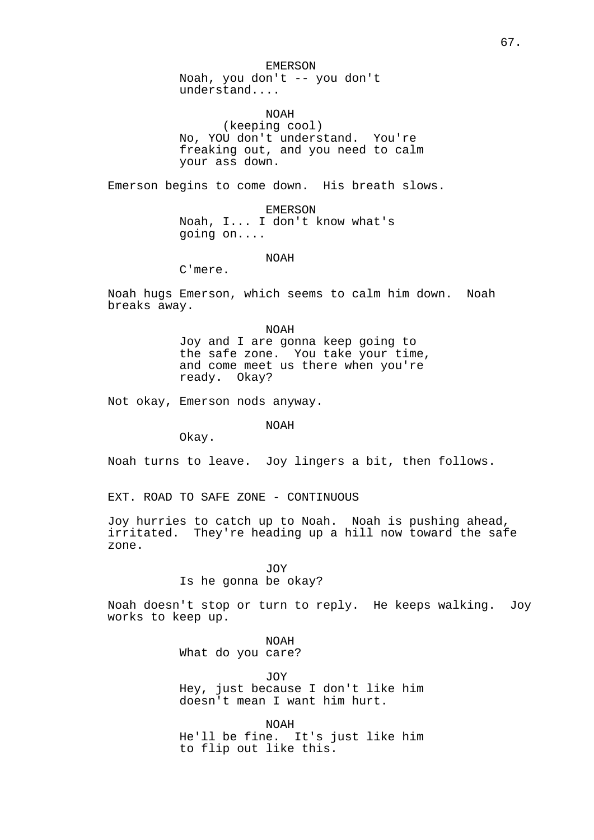EMERSON

Noah, you don't -- you don't understand....

NOAH

(keeping cool) No, YOU don't understand. You're freaking out, and you need to calm your ass down.

Emerson begins to come down. His breath slows.

EMERSON Noah, I... I don't know what's going on....

NOAH

C'mere.

Noah hugs Emerson, which seems to calm him down. Noah breaks away.

> NOAH Joy and I are gonna keep going to the safe zone. You take your time, and come meet us there when you're ready. Okay?

Not okay, Emerson nods anyway.

NOAH

Okay.

Noah turns to leave. Joy lingers a bit, then follows.

EXT. ROAD TO SAFE ZONE - CONTINUOUS

Joy hurries to catch up to Noah. Noah is pushing ahead, irritated. They're heading up a hill now toward the safe zone.

JOY

### Is he gonna be okay?

Noah doesn't stop or turn to reply. He keeps walking. Joy works to keep up.

> NOAH What do you care?

JOY Hey, just because I don't like him doesn't mean I want him hurt.

NOAH He'll be fine. It's just like him to flip out like this.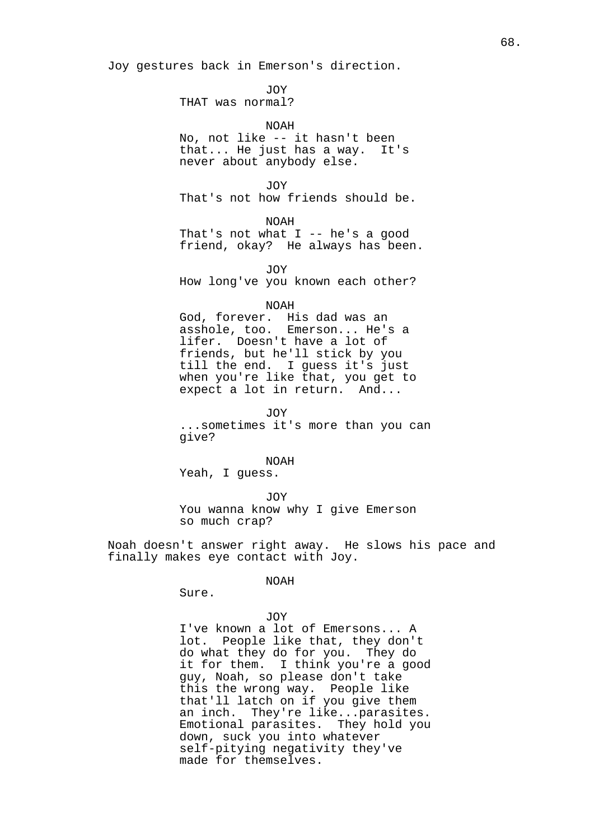Joy gestures back in Emerson's direction.

JOY

THAT was normal?

NOAH No, not like -- it hasn't been that... He just has a way. It's never about anybody else.

JOY That's not how friends should be.

NOAH That's not what  $I$  -- he's a good friend, okay? He always has been.

JOY How long've you known each other?

### NOAH

God, forever. His dad was an asshole, too. Emerson... He's a lifer. Doesn't have a lot of friends, but he'll stick by you till the end. I guess it's just when you're like that, you get to expect a lot in return. And...

JOY ...sometimes it's more than you can give?

NOAH

Yeah, I guess.

JOY

You wanna know why I give Emerson so much crap?

Noah doesn't answer right away. He slows his pace and finally makes eye contact with Joy.

### NOAH

Sure.

JOY I've known a lot of Emersons... A lot. People like that, they don't do what they do for you. They do it for them. I think you're a good guy, Noah, so please don't take this the wrong way. People like that'll latch on if you give them an inch. They're like...parasites. Emotional parasites. They hold you down, suck you into whatever self-pitying negativity they've made for themselves.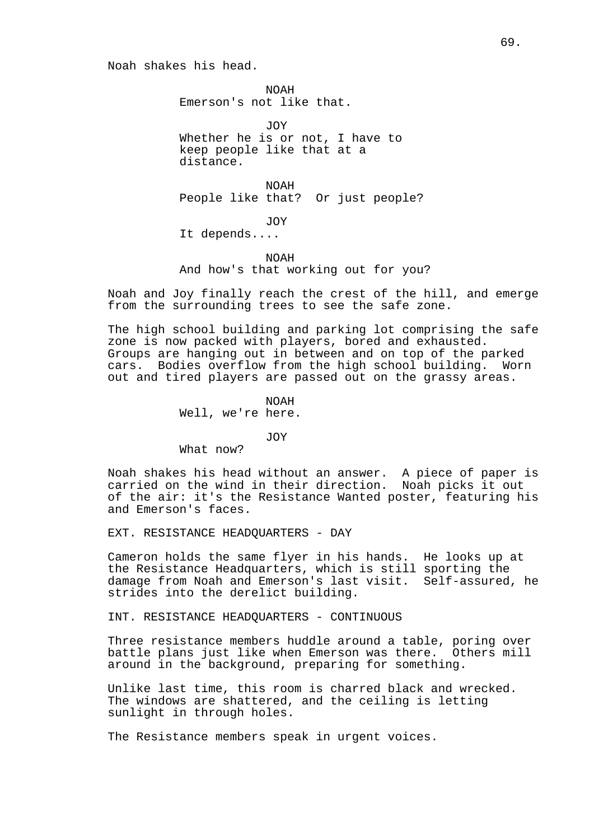Noah shakes his head.

NOAH Emerson's not like that.

JOY Whether he is or not, I have to keep people like that at a distance.

NOAH People like that? Or just people?

JOY

It depends....

NOAH And how's that working out for you?

Noah and Joy finally reach the crest of the hill, and emerge from the surrounding trees to see the safe zone.

The high school building and parking lot comprising the safe zone is now packed with players, bored and exhausted. Groups are hanging out in between and on top of the parked cars. Bodies overflow from the high school building. Worn out and tired players are passed out on the grassy areas.

> NOAH Well, we're here.

> > JOY

What now?

Noah shakes his head without an answer. A piece of paper is carried on the wind in their direction. Noah picks it out of the air: it's the Resistance Wanted poster, featuring his and Emerson's faces.

EXT. RESISTANCE HEADQUARTERS - DAY

Cameron holds the same flyer in his hands. He looks up at the Resistance Headquarters, which is still sporting the damage from Noah and Emerson's last visit. Self-assured, he strides into the derelict building.

INT. RESISTANCE HEADQUARTERS - CONTINUOUS

Three resistance members huddle around a table, poring over battle plans just like when Emerson was there. Others mill around in the background, preparing for something.

Unlike last time, this room is charred black and wrecked. The windows are shattered, and the ceiling is letting sunlight in through holes.

The Resistance members speak in urgent voices.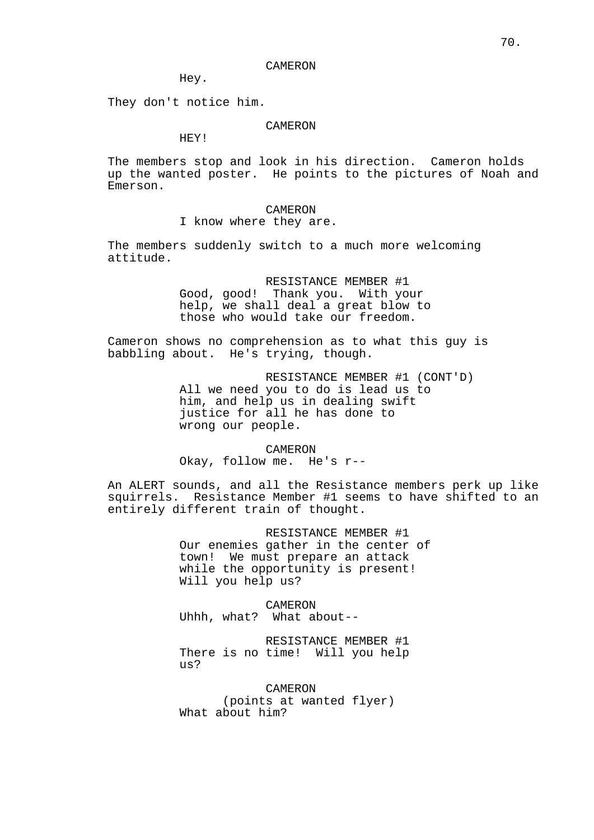#### CAMERON

Hey.

They don't notice him.

## CAMERON

HEY!

The members stop and look in his direction. Cameron holds up the wanted poster. He points to the pictures of Noah and Emerson.

## CAMERON

I know where they are.

The members suddenly switch to a much more welcoming attitude.

> RESISTANCE MEMBER #1 Good, good! Thank you. With your help, we shall deal a great blow to those who would take our freedom.

Cameron shows no comprehension as to what this guy is babbling about. He's trying, though.

> RESISTANCE MEMBER #1 (CONT'D) All we need you to do is lead us to him, and help us in dealing swift justice for all he has done to wrong our people.

CAMERON Okay, follow me. He's r--

An ALERT sounds, and all the Resistance members perk up like squirrels. Resistance Member #1 seems to have shifted to an entirely different train of thought.

> RESISTANCE MEMBER #1 Our enemies gather in the center of town! We must prepare an attack while the opportunity is present! Will you help us?

CAMERON Uhhh, what? What about--

RESISTANCE MEMBER #1 There is no time! Will you help us?

CAMERON (points at wanted flyer) What about him?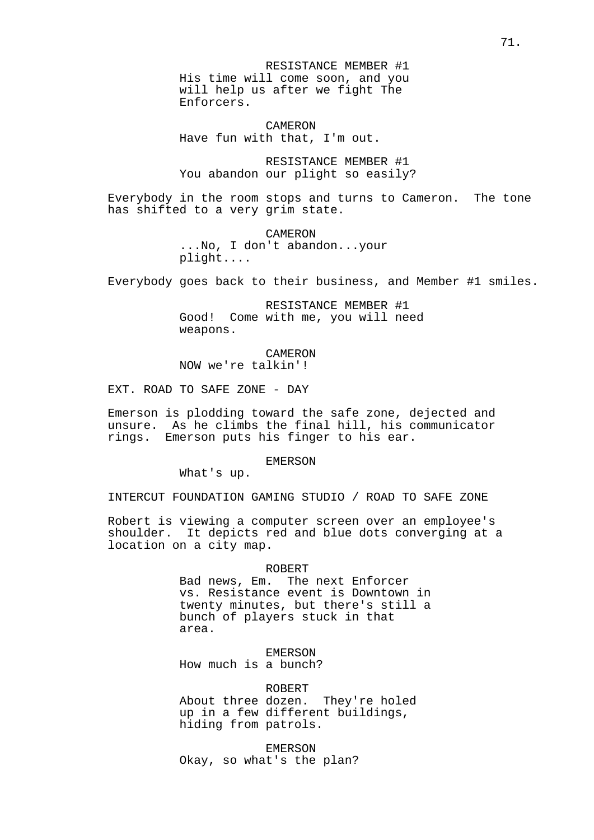RESISTANCE MEMBER #1 His time will come soon, and you will help us after we fight The Enforcers.

CAMERON Have fun with that, I'm out.

RESISTANCE MEMBER #1 You abandon our plight so easily?

Everybody in the room stops and turns to Cameron. The tone has shifted to a very grim state.

> CAMERON ...No, I don't abandon...your plight....

Everybody goes back to their business, and Member #1 smiles.

RESISTANCE MEMBER #1 Good! Come with me, you will need weapons.

CAMERON NOW we're talkin'!

EXT. ROAD TO SAFE ZONE - DAY

Emerson is plodding toward the safe zone, dejected and unsure. As he climbs the final hill, his communicator rings. Emerson puts his finger to his ear.

EMERSON

What's up.

INTERCUT FOUNDATION GAMING STUDIO / ROAD TO SAFE ZONE

Robert is viewing a computer screen over an employee's shoulder. It depicts red and blue dots converging at a location on a city map.

ROBERT

Bad news, Em. The next Enforcer vs. Resistance event is Downtown in twenty minutes, but there's still a bunch of players stuck in that area.

EMERSON

How much is a bunch?

ROBERT About three dozen. They're holed up in a few different buildings, hiding from patrols.

EMERSON Okay, so what's the plan?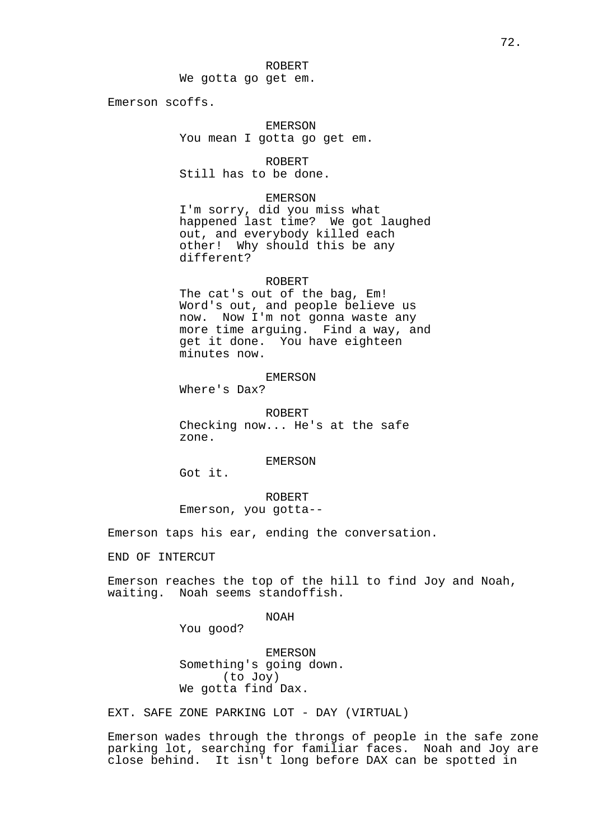We gotta go get em.

Emerson scoffs.

# EMERSON You mean I gotta go get em.

ROBERT Still has to be done.

#### EMERSON

I'm sorry, did you miss what happened last time? We got laughed out, and everybody killed each other! Why should this be any different?

#### ROBERT

The cat's out of the bag, Em! Word's out, and people believe us now. Now I'm not gonna waste any more time arguing. Find a way, and get it done. You have eighteen minutes now.

# EMERSON

Where's Dax?

ROBERT Checking now... He's at the safe zone.

EMERSON

Got it.

ROBERT Emerson, you gotta--

Emerson taps his ear, ending the conversation.

END OF INTERCUT

Emerson reaches the top of the hill to find Joy and Noah, waiting. Noah seems standoffish.

NOAH

You good?

EMERSON Something's going down. (to Joy) We gotta find Dax.

EXT. SAFE ZONE PARKING LOT - DAY (VIRTUAL)

Emerson wades through the throngs of people in the safe zone parking lot, searching for familiar faces. Noah and Joy are close behind. It isn't long before DAX can be spotted in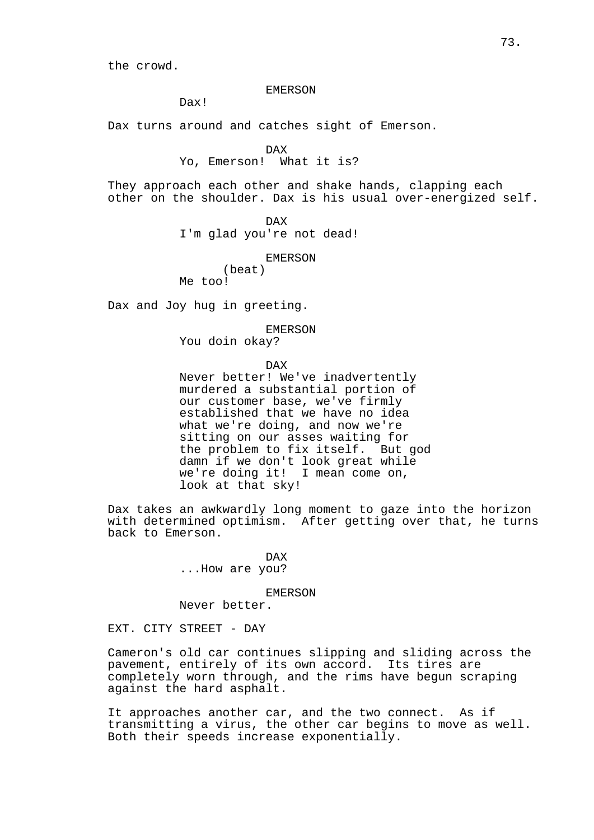the crowd.

#### EMERSON

Dax!

Dax turns around and catches sight of Emerson.

DAX

Yo, Emerson! What it is?

They approach each other and shake hands, clapping each other on the shoulder. Dax is his usual over-energized self.

DAX

I'm glad you're not dead!

EMERSON

(beat) Me too!

Dax and Joy hug in greeting.

EMERSON

You doin okay?

DAX

Never better! We've inadvertently murdered a substantial portion of our customer base, we've firmly established that we have no idea what we're doing, and now we're sitting on our asses waiting for the problem to fix itself. But god damn if we don't look great while we're doing it! I mean come on, look at that sky!

Dax takes an awkwardly long moment to gaze into the horizon with determined optimism. After getting over that, he turns back to Emerson.

> DAX ...How are you?

> > EMERSON

Never better.

EXT. CITY STREET - DAY

Cameron's old car continues slipping and sliding across the pavement, entirely of its own accord. Its tires are completely worn through, and the rims have begun scraping against the hard asphalt.

It approaches another car, and the two connect. As if transmitting a virus, the other car begins to move as well. Both their speeds increase exponentially.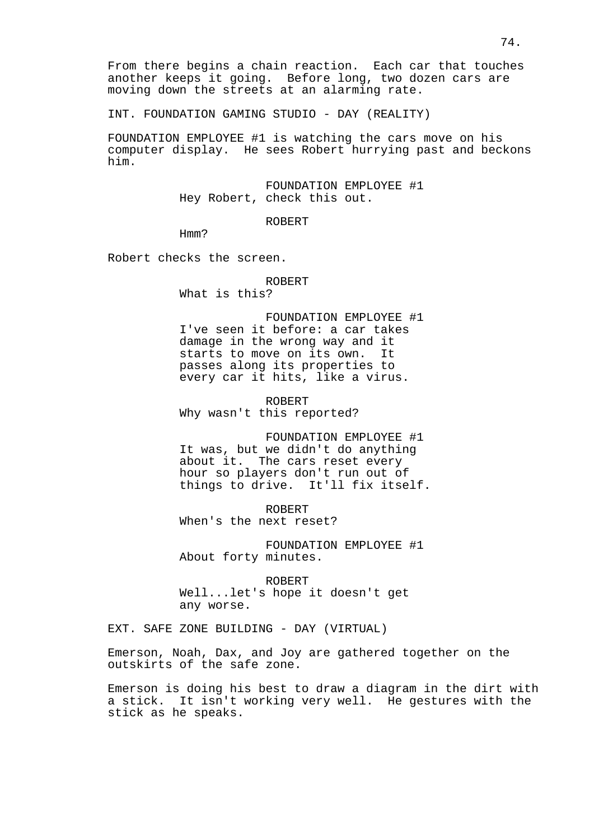INT. FOUNDATION GAMING STUDIO - DAY (REALITY)

FOUNDATION EMPLOYEE #1 is watching the cars move on his computer display. He sees Robert hurrying past and beckons him.

> FOUNDATION EMPLOYEE #1 Hey Robert, check this out.

# ROBERT

Hmm?

Robert checks the screen.

### ROBERT

What is this?

FOUNDATION EMPLOYEE #1 I've seen it before: a car takes damage in the wrong way and it starts to move on its own. It passes along its properties to every car it hits, like a virus.

ROBERT Why wasn't this reported?

FOUNDATION EMPLOYEE #1 It was, but we didn't do anything about it. The cars reset every hour so players don't run out of things to drive. It'll fix itself.

ROBERT When's the next reset?

FOUNDATION EMPLOYEE #1 About forty minutes.

ROBERT Well...let's hope it doesn't get any worse.

EXT. SAFE ZONE BUILDING - DAY (VIRTUAL)

Emerson, Noah, Dax, and Joy are gathered together on the outskirts of the safe zone.

Emerson is doing his best to draw a diagram in the dirt with a stick. It isn't working very well. He gestures with the stick as he speaks.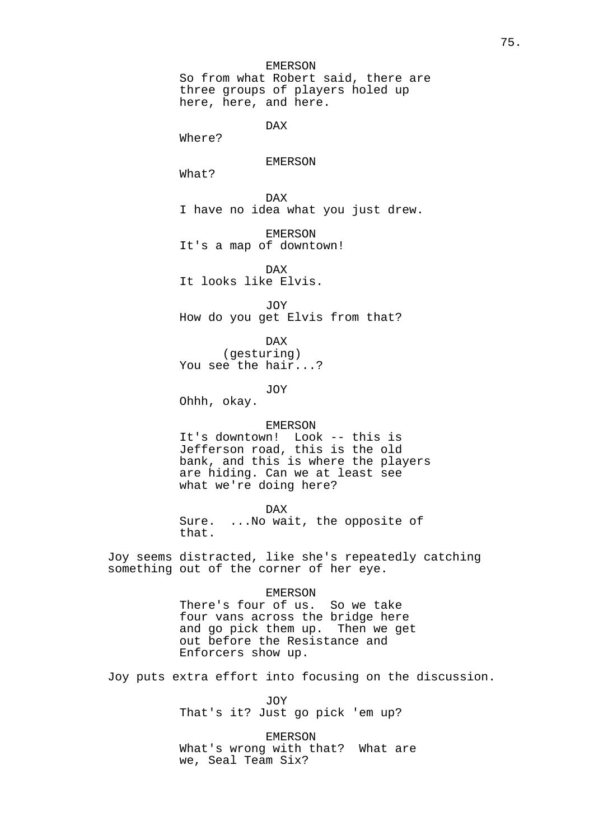EMERSON So from what Robert said, there are three groups of players holed up here, here, and here.

DAX

Where?

## EMERSON

What?

DAX I have no idea what you just drew.

EMERSON It's a map of downtown!

DAX It looks like Elvis.

JOY How do you get Elvis from that?

DAX (gesturing) You see the hair...?

JOY

Ohhh, okay.

### EMERSON

It's downtown! Look -- this is Jefferson road, this is the old bank, and this is where the players are hiding. Can we at least see what we're doing here?

DAX

Sure. ...No wait, the opposite of that.

Joy seems distracted, like she's repeatedly catching something out of the corner of her eye.

#### EMERSON

There's four of us. So we take four vans across the bridge here and go pick them up. Then we get out before the Resistance and Enforcers show up.

Joy puts extra effort into focusing on the discussion.

JOY That's it? Just go pick 'em up?

EMERSON What's wrong with that? What are we, Seal Team Six?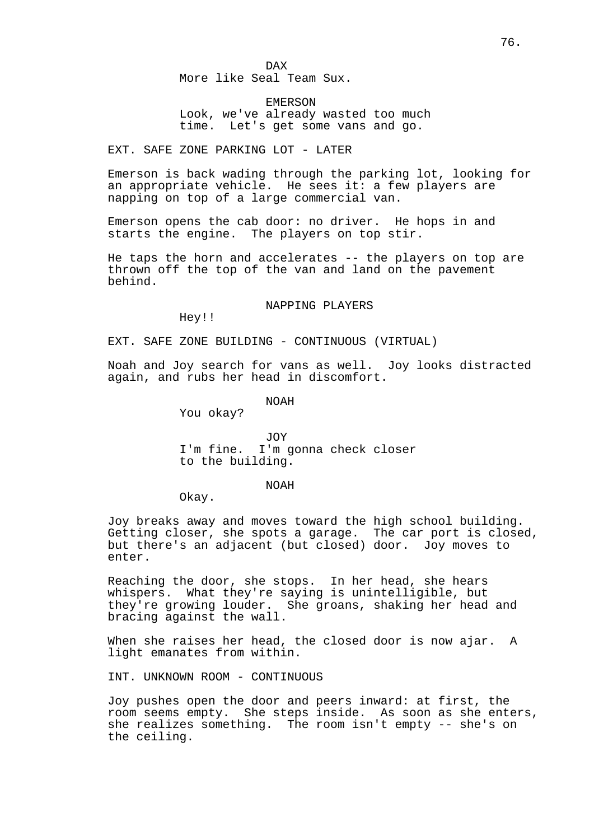DAX More like Seal Team Sux.

EMERSON Look, we've already wasted too much time. Let's get some vans and go.

EXT. SAFE ZONE PARKING LOT - LATER

Emerson is back wading through the parking lot, looking for an appropriate vehicle. He sees it: a few players are napping on top of a large commercial van.

Emerson opens the cab door: no driver. He hops in and starts the engine. The players on top stir.

He taps the horn and accelerates -- the players on top are thrown off the top of the van and land on the pavement behind.

### NAPPING PLAYERS

Hey!!

EXT. SAFE ZONE BUILDING - CONTINUOUS (VIRTUAL)

Noah and Joy search for vans as well. Joy looks distracted again, and rubs her head in discomfort.

NOAH

You okay?

JOY I'm fine. I'm gonna check closer to the building.

### NOAH

Okay.

Joy breaks away and moves toward the high school building. Getting closer, she spots a garage. The car port is closed, but there's an adjacent (but closed) door. Joy moves to enter.

Reaching the door, she stops. In her head, she hears whispers. What they're saying is unintelligible, but they're growing louder. She groans, shaking her head and bracing against the wall.

When she raises her head, the closed door is now ajar. A light emanates from within.

INT. UNKNOWN ROOM - CONTINUOUS

Joy pushes open the door and peers inward: at first, the room seems empty. She steps inside. As soon as she enters, she realizes something. The room isn't empty -- she's on the ceiling.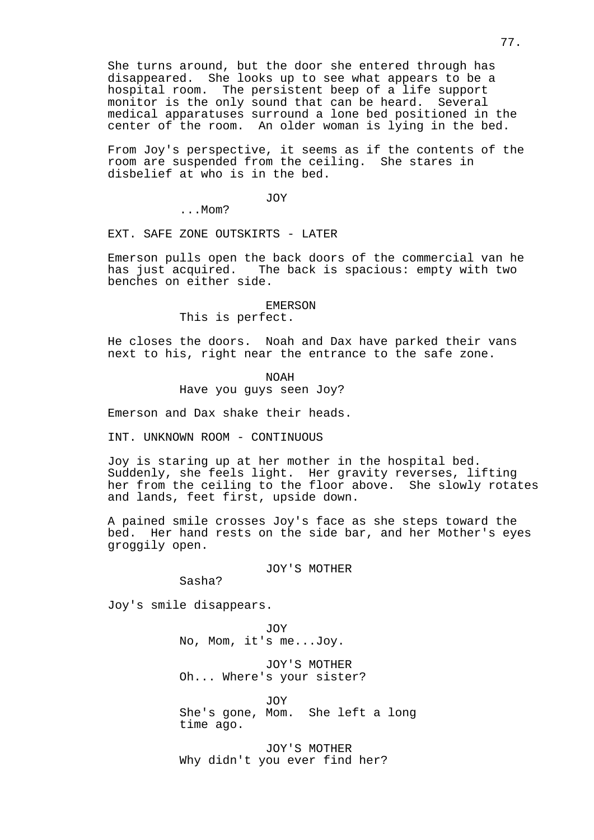She turns around, but the door she entered through has disappeared. She looks up to see what appears to be a hospital room. The persistent beep of a life support monitor is the only sound that can be heard. Several medical apparatuses surround a lone bed positioned in the center of the room. An older woman is lying in the bed.

From Joy's perspective, it seems as if the contents of the room are suspended from the ceiling. She stares in disbelief at who is in the bed.

JOY

...Mom?

EXT. SAFE ZONE OUTSKIRTS - LATER

Emerson pulls open the back doors of the commercial van he has just acquired. The back is spacious: empty with two benches on either side.

#### EMERSON

This is perfect.

He closes the doors. Noah and Dax have parked their vans next to his, right near the entrance to the safe zone.

> NOAH Have you guys seen Joy?

Emerson and Dax shake their heads.

INT. UNKNOWN ROOM - CONTINUOUS

Joy is staring up at her mother in the hospital bed. Suddenly, she feels light. Her gravity reverses, lifting her from the ceiling to the floor above. She slowly rotates and lands, feet first, upside down.

A pained smile crosses Joy's face as she steps toward the bed. Her hand rests on the side bar, and her Mother's eyes groggily open.

JOY'S MOTHER

Sasha?

Joy's smile disappears.

JOY No, Mom, it's me...Joy.

JOY'S MOTHER Oh... Where's your sister?

JOY She's gone, Mom. She left a long time ago.

JOY'S MOTHER Why didn't you ever find her?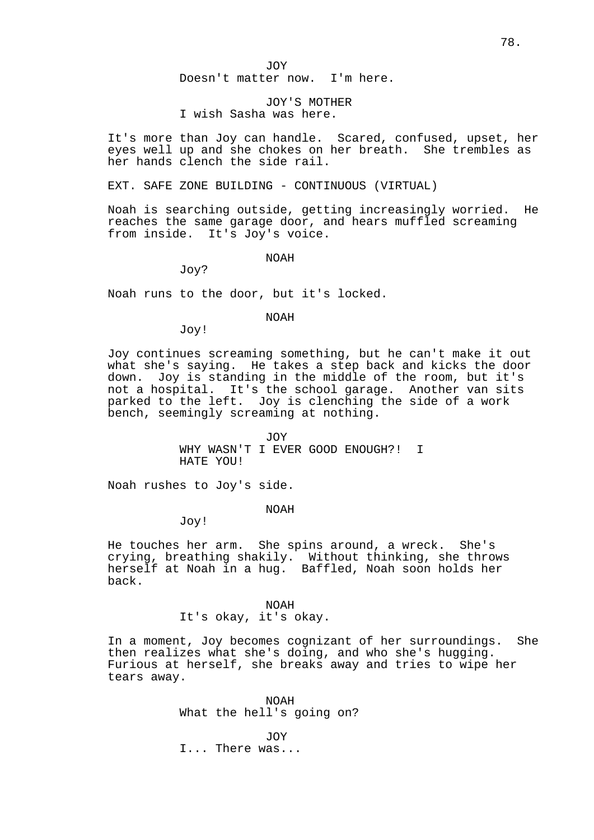JOY

Doesn't matter now. I'm here.

# JOY'S MOTHER I wish Sasha was here.

It's more than Joy can handle. Scared, confused, upset, her eyes well up and she chokes on her breath. She trembles as her hands clench the side rail.

EXT. SAFE ZONE BUILDING - CONTINUOUS (VIRTUAL)

Noah is searching outside, getting increasingly worried. He reaches the same garage door, and hears muffled screaming from inside. It's Joy's voice.

NOAH

Joy?

Noah runs to the door, but it's locked.

NOAH

Joy!

Joy continues screaming something, but he can't make it out what she's saying. He takes a step back and kicks the door down. Joy is standing in the middle of the room, but it's not a hospital. It's the school garage. Another van sits parked to the left. Joy is clenching the side of a work bench, seemingly screaming at nothing.

> JOY WHY WASN'T I EVER GOOD ENOUGH?! I HATE YOU!

Noah rushes to Joy's side.

NOAH

Joy!

He touches her arm. She spins around, a wreck. She's crying, breathing shakily. Without thinking, she throws herself at Noah in a hug. Baffled, Noah soon holds her back.

### NOAH

It's okay, it's okay.

In a moment, Joy becomes cognizant of her surroundings. She then realizes what she's doing, and who she's hugging. Furious at herself, she breaks away and tries to wipe her tears away.

> NOAH What the hell's going on?

JOY I... There was...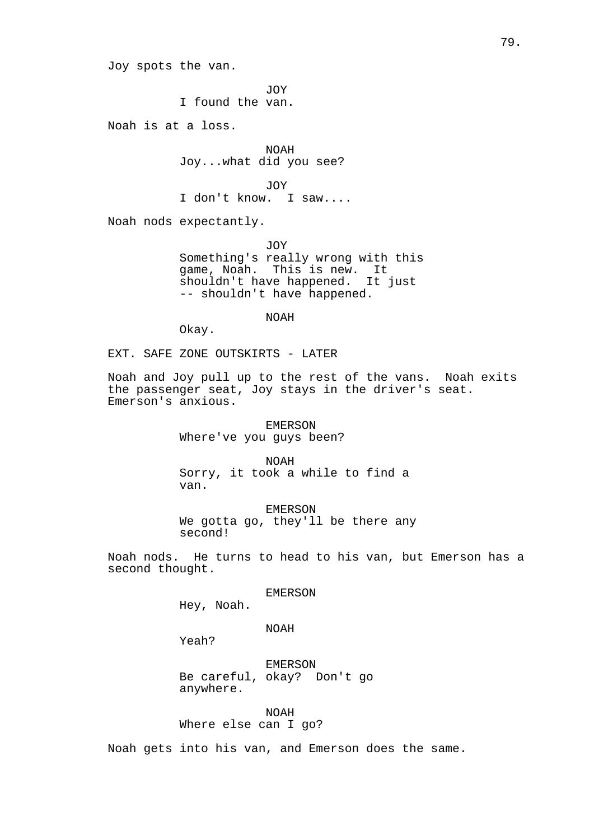Joy spots the van.

JOY I found the van.

Noah is at a loss.

NOAH Joy...what did you see?

JOY I don't know. I saw....

Noah nods expectantly.

JOY Something's really wrong with this game, Noah. This is new. It shouldn't have happened. It just -- shouldn't have happened.

NOAH

Okay.

EXT. SAFE ZONE OUTSKIRTS - LATER

Noah and Joy pull up to the rest of the vans. Noah exits the passenger seat, Joy stays in the driver's seat. Emerson's anxious.

> EMERSON Where've you guys been?

NOAH Sorry, it took a while to find a van.

EMERSON We gotta go, they'll be there any second!

Noah nods. He turns to head to his van, but Emerson has a second thought.

EMERSON

Hey, Noah.

NOAH

Yeah?

EMERSON Be careful, okay? Don't go anywhere.

NOAH Where else can I go?

Noah gets into his van, and Emerson does the same.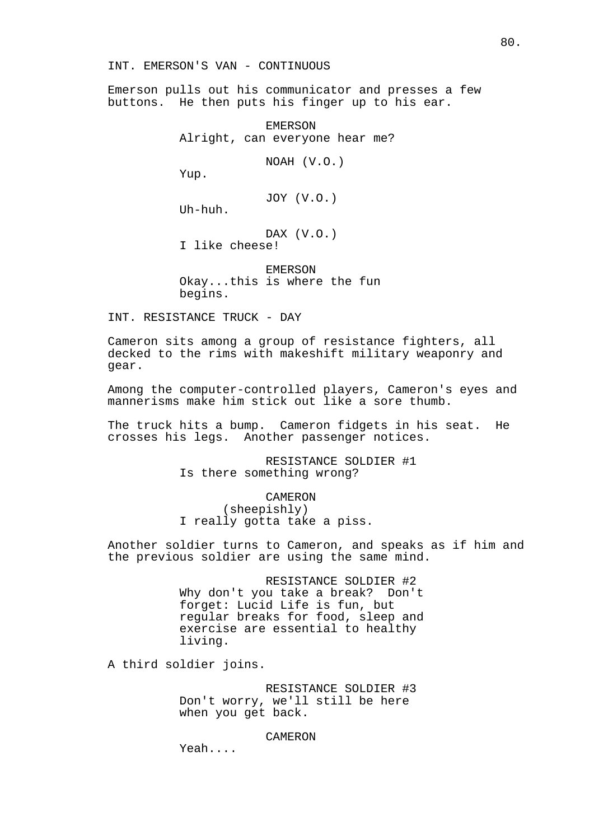INT. EMERSON'S VAN - CONTINUOUS

Emerson pulls out his communicator and presses a few buttons. He then puts his finger up to his ear.

> EMERSON Alright, can everyone hear me?

> > NOAH (V.O.)

Yup.

JOY (V.O.)

Uh-huh.

DAX (V.O.) I like cheese!

EMERSON Okay...this is where the fun begins.

INT. RESISTANCE TRUCK - DAY

Cameron sits among a group of resistance fighters, all decked to the rims with makeshift military weaponry and gear.

Among the computer-controlled players, Cameron's eyes and mannerisms make him stick out like a sore thumb.

The truck hits a bump. Cameron fidgets in his seat. He crosses his legs. Another passenger notices.

> RESISTANCE SOLDIER #1 Is there something wrong?

CAMERON (sheepishly) I really gotta take a piss.

Another soldier turns to Cameron, and speaks as if him and the previous soldier are using the same mind.

> RESISTANCE SOLDIER #2 Why don't you take a break? Don't forget: Lucid Life is fun, but regular breaks for food, sleep and exercise are essential to healthy living.

A third soldier joins.

RESISTANCE SOLDIER #3 Don't worry, we'll still be here when you get back.

CAMERON

Yeah....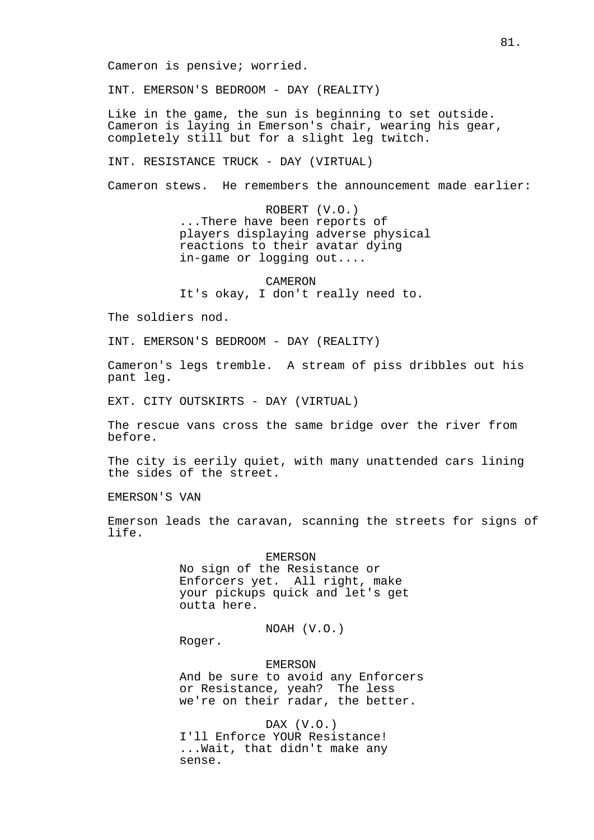Cameron is pensive; worried.

INT. EMERSON'S BEDROOM - DAY (REALITY)

Like in the game, the sun is beginning to set outside. Cameron is laying in Emerson's chair, wearing his gear, completely still but for a slight leg twitch.

INT. RESISTANCE TRUCK - DAY (VIRTUAL)

Cameron stews. He remembers the announcement made earlier:

ROBERT (V.O.) ...There have been reports of players displaying adverse physical reactions to their avatar dying in-game or logging out....

CAMERON It's okay, I don't really need to.

The soldiers nod.

INT. EMERSON'S BEDROOM - DAY (REALITY)

Cameron's legs tremble. A stream of piss dribbles out his pant leg.

EXT. CITY OUTSKIRTS - DAY (VIRTUAL)

The rescue vans cross the same bridge over the river from before.

The city is eerily quiet, with many unattended cars lining the sides of the street.

EMERSON'S VAN

Emerson leads the caravan, scanning the streets for signs of life.

# EMERSON

No sign of the Resistance or Enforcers yet. All right, make your pickups quick and let's get outta here.

NOAH (V.O.)

Roger.

EMERSON

And be sure to avoid any Enforcers or Resistance, yeah? The less we're on their radar, the better.

DAX (V.O.) I'll Enforce YOUR Resistance! ...Wait, that didn't make any sense.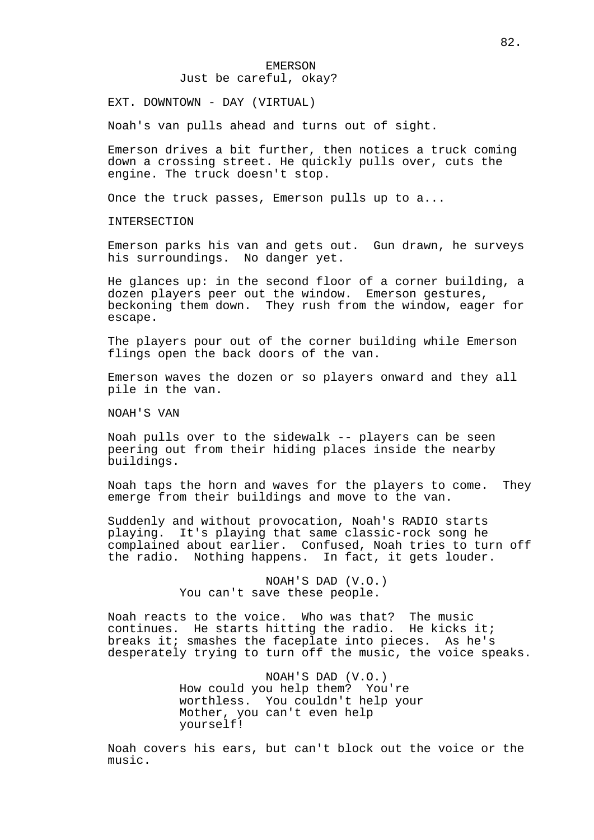EXT. DOWNTOWN - DAY (VIRTUAL)

Noah's van pulls ahead and turns out of sight.

Emerson drives a bit further, then notices a truck coming down a crossing street. He quickly pulls over, cuts the engine. The truck doesn't stop.

Once the truck passes, Emerson pulls up to a...

INTERSECTION

Emerson parks his van and gets out. Gun drawn, he surveys his surroundings. No danger yet.

He glances up: in the second floor of a corner building, a dozen players peer out the window. Emerson gestures, beckoning them down. They rush from the window, eager for escape.

The players pour out of the corner building while Emerson flings open the back doors of the van.

Emerson waves the dozen or so players onward and they all pile in the van.

NOAH'S VAN

Noah pulls over to the sidewalk -- players can be seen peering out from their hiding places inside the nearby buildings.

Noah taps the horn and waves for the players to come. They emerge from their buildings and move to the van.

Suddenly and without provocation, Noah's RADIO starts playing. It's playing that same classic-rock song he complained about earlier. Confused, Noah tries to turn off the radio. Nothing happens. In fact, it gets louder.

> NOAH'S DAD (V.O.) You can't save these people.

Noah reacts to the voice. Who was that? The music continues. He starts hitting the radio. He kicks it; breaks it; smashes the faceplate into pieces. As he's desperately trying to turn off the music, the voice speaks.

> NOAH'S DAD (V.O.) How could you help them? You're worthless. You couldn't help your Mother, you can't even help yourself!

Noah covers his ears, but can't block out the voice or the music.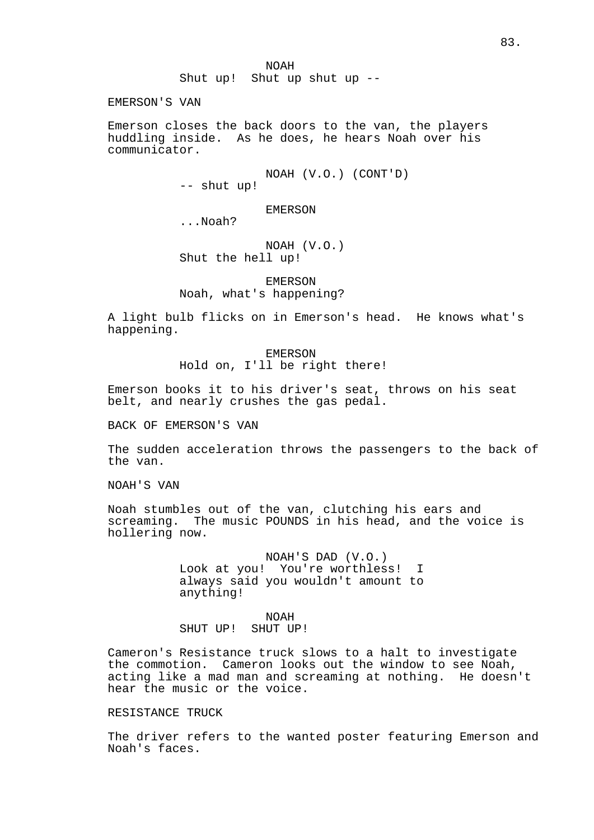NOAH Shut up! Shut up shut up --

EMERSON'S VAN

Emerson closes the back doors to the van, the players huddling inside. As he does, he hears Noah over his communicator.

> NOAH (V.O.) (CONT'D) -- shut up!

EMERSON

...Noah?

NOAH (V.O.) Shut the hell up!

EMERSON Noah, what's happening?

A light bulb flicks on in Emerson's head. He knows what's happening.

> EMERSON Hold on, I'll be right there!

Emerson books it to his driver's seat, throws on his seat belt, and nearly crushes the gas pedal.

BACK OF EMERSON'S VAN

The sudden acceleration throws the passengers to the back of the van.

NOAH'S VAN

Noah stumbles out of the van, clutching his ears and screaming. The music POUNDS in his head, and the voice is hollering now.

> NOAH'S DAD (V.O.) Look at you! You're worthless! I always said you wouldn't amount to anything!

NOAH SHUT UP! SHUT UP!

Cameron's Resistance truck slows to a halt to investigate the commotion. Cameron looks out the window to see Noah, acting like a mad man and screaming at nothing. He doesn't hear the music or the voice.

## RESISTANCE TRUCK

The driver refers to the wanted poster featuring Emerson and Noah's faces.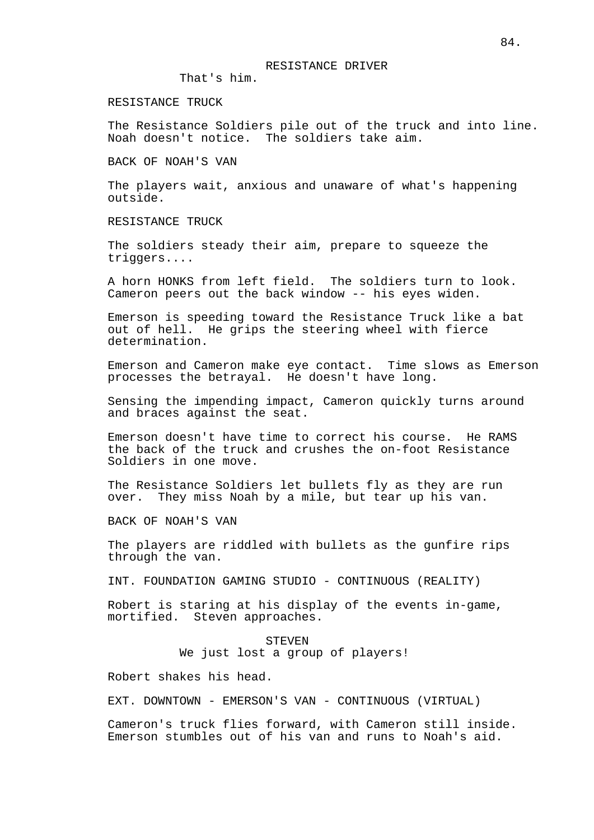## RESISTANCE DRIVER

That's him.

## RESISTANCE TRUCK

The Resistance Soldiers pile out of the truck and into line. Noah doesn't notice. The soldiers take aim.

BACK OF NOAH'S VAN

The players wait, anxious and unaware of what's happening outside.

RESISTANCE TRUCK

The soldiers steady their aim, prepare to squeeze the triggers....

A horn HONKS from left field. The soldiers turn to look. Cameron peers out the back window -- his eyes widen.

Emerson is speeding toward the Resistance Truck like a bat out of hell. He grips the steering wheel with fierce determination.

Emerson and Cameron make eye contact. Time slows as Emerson processes the betrayal. He doesn't have long.

Sensing the impending impact, Cameron quickly turns around and braces against the seat.

Emerson doesn't have time to correct his course. He RAMS the back of the truck and crushes the on-foot Resistance Soldiers in one move.

The Resistance Soldiers let bullets fly as they are run over. They miss Noah by a mile, but tear up his van.

BACK OF NOAH'S VAN

The players are riddled with bullets as the gunfire rips through the van.

INT. FOUNDATION GAMING STUDIO - CONTINUOUS (REALITY)

Robert is staring at his display of the events in-game, mortified. Steven approaches.

> **STEVEN** We just lost a group of players!

Robert shakes his head.

EXT. DOWNTOWN - EMERSON'S VAN - CONTINUOUS (VIRTUAL)

Cameron's truck flies forward, with Cameron still inside. Emerson stumbles out of his van and runs to Noah's aid.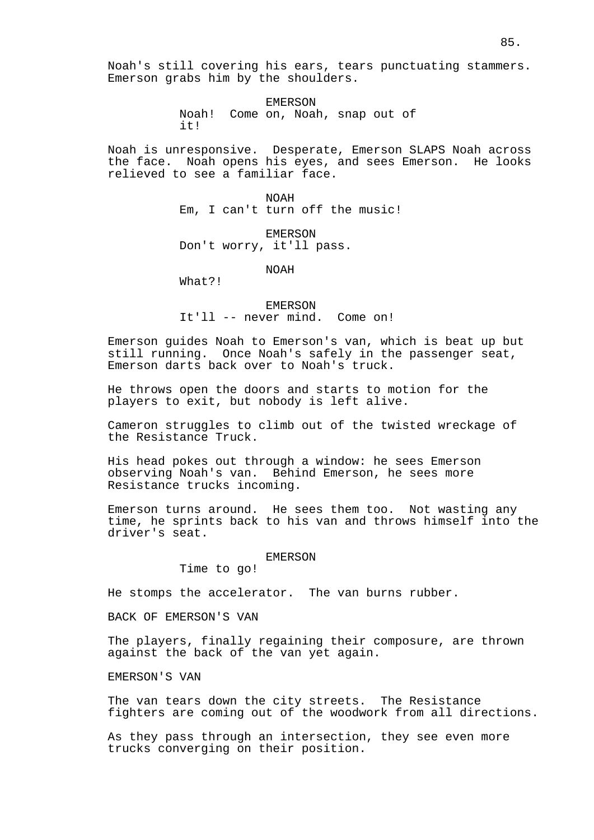EMERSON Noah! Come on, Noah, snap out of it!

Noah is unresponsive. Desperate, Emerson SLAPS Noah across the face. Noah opens his eyes, and sees Emerson. He looks relieved to see a familiar face.

> NOAH Em, I can't turn off the music!

EMERSON Don't worry, it'll pass.

NOAH

What?!

EMERSON It'll -- never mind. Come on!

Emerson guides Noah to Emerson's van, which is beat up but still running. Once Noah's safely in the passenger seat, Emerson darts back over to Noah's truck.

He throws open the doors and starts to motion for the players to exit, but nobody is left alive.

Cameron struggles to climb out of the twisted wreckage of the Resistance Truck.

His head pokes out through a window: he sees Emerson observing Noah's van. Behind Emerson, he sees more Resistance trucks incoming.

Emerson turns around. He sees them too. Not wasting any time, he sprints back to his van and throws himself into the driver's seat.

EMERSON

Time to go!

He stomps the accelerator. The van burns rubber.

BACK OF EMERSON'S VAN

The players, finally regaining their composure, are thrown against the back of the van yet again.

EMERSON'S VAN

The van tears down the city streets. The Resistance fighters are coming out of the woodwork from all directions.

As they pass through an intersection, they see even more trucks converging on their position.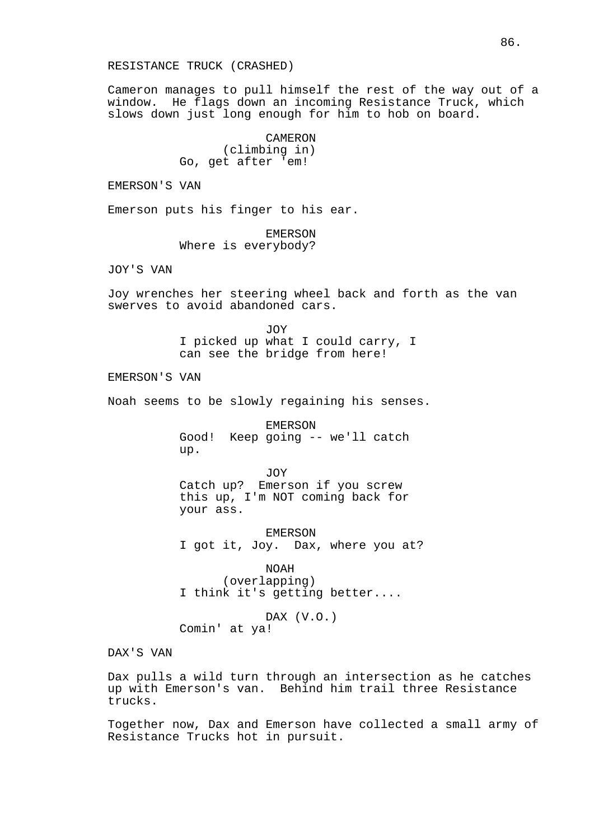Cameron manages to pull himself the rest of the way out of a window. He flags down an incoming Resistance Truck, which slows down just long enough for him to hob on board.

> CAMERON (climbing in) Go, get after 'em!

EMERSON'S VAN

Emerson puts his finger to his ear.

EMERSON Where is everybody?

JOY'S VAN

Joy wrenches her steering wheel back and forth as the van swerves to avoid abandoned cars.

> JOY I picked up what I could carry, I can see the bridge from here!

EMERSON'S VAN

Noah seems to be slowly regaining his senses.

EMERSON Good! Keep going -- we'll catch up.

JOY Catch up? Emerson if you screw this up, I'm NOT coming back for your ass.

EMERSON I got it, Joy. Dax, where you at?

NOAH (overlapping) I think it's getting better....

DAX (V.O.) Comin' at ya!

DAX'S VAN

Dax pulls a wild turn through an intersection as he catches up with Emerson's van. Behind him trail three Resistance trucks.

Together now, Dax and Emerson have collected a small army of Resistance Trucks hot in pursuit.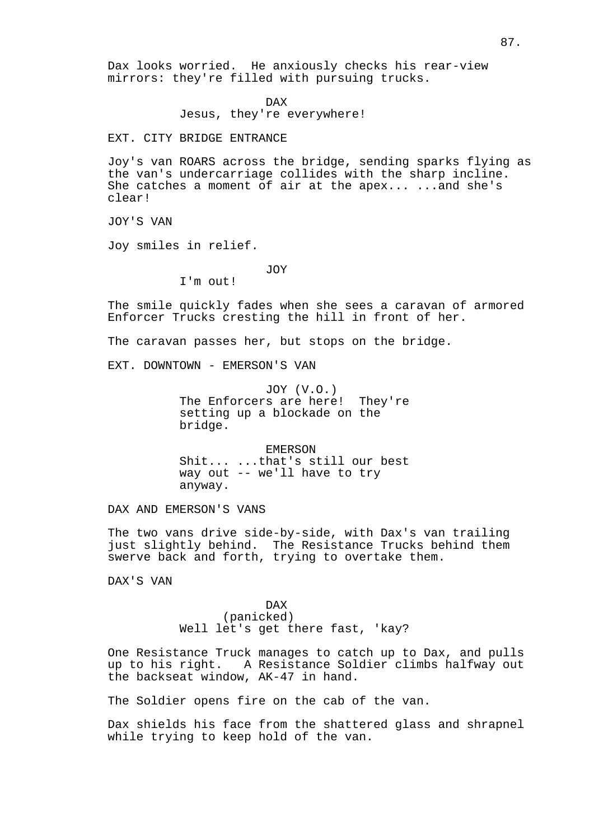Dax looks worried. He anxiously checks his rear-view mirrors: they're filled with pursuing trucks.

DAX

Jesus, they're everywhere!

EXT. CITY BRIDGE ENTRANCE

Joy's van ROARS across the bridge, sending sparks flying as the van's undercarriage collides with the sharp incline. She catches a moment of air at the apex... ...and she's clear!

JOY'S VAN

Joy smiles in relief.

JOY

I'm out!

The smile quickly fades when she sees a caravan of armored Enforcer Trucks cresting the hill in front of her.

The caravan passes her, but stops on the bridge.

EXT. DOWNTOWN - EMERSON'S VAN

JOY (V.O.) The Enforcers are here! They're setting up a blockade on the bridge.

EMERSON Shit... ...that's still our best way out -- we'll have to try anyway.

DAX AND EMERSON'S VANS

The two vans drive side-by-side, with Dax's van trailing just slightly behind. The Resistance Trucks behind them swerve back and forth, trying to overtake them.

DAX'S VAN

DAX (panicked) Well let's get there fast, 'kay?

One Resistance Truck manages to catch up to Dax, and pulls up to his right. A Resistance Soldier climbs halfway out the backseat window, AK-47 in hand.

The Soldier opens fire on the cab of the van.

Dax shields his face from the shattered glass and shrapnel while trying to keep hold of the van.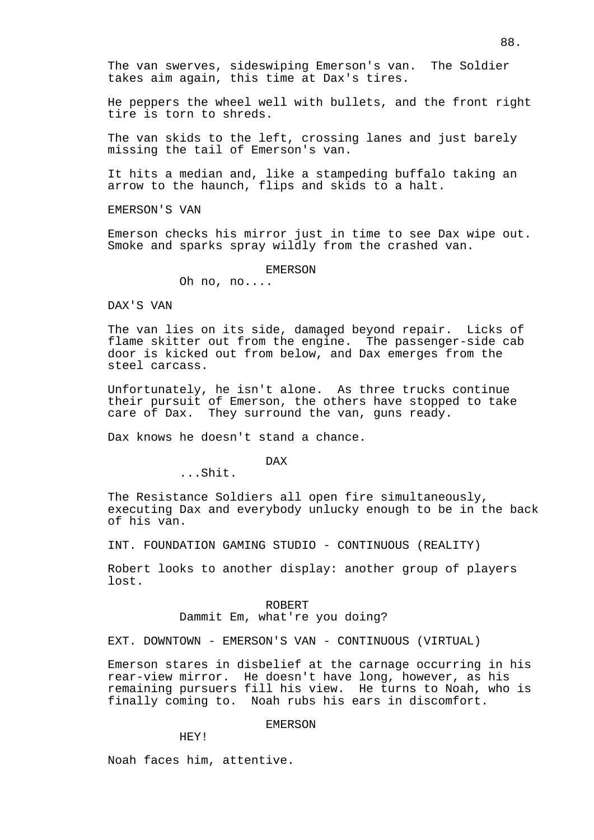The van swerves, sideswiping Emerson's van. The Soldier takes aim again, this time at Dax's tires.

He peppers the wheel well with bullets, and the front right tire is torn to shreds.

The van skids to the left, crossing lanes and just barely missing the tail of Emerson's van.

It hits a median and, like a stampeding buffalo taking an arrow to the haunch, flips and skids to a halt.

EMERSON'S VAN

Emerson checks his mirror just in time to see Dax wipe out. Smoke and sparks spray wildly from the crashed van.

# EMERSON

Oh no, no....

DAX'S VAN

The van lies on its side, damaged beyond repair. Licks of flame skitter out from the engine. The passenger-side cab door is kicked out from below, and Dax emerges from the steel carcass.

Unfortunately, he isn't alone. As three trucks continue their pursuit of Emerson, the others have stopped to take care of Dax. They surround the van, guns ready.

Dax knows he doesn't stand a chance.

DAX

...Shit.

The Resistance Soldiers all open fire simultaneously, executing Dax and everybody unlucky enough to be in the back of his van.

INT. FOUNDATION GAMING STUDIO - CONTINUOUS (REALITY)

Robert looks to another display: another group of players lost.

> ROBERT Dammit Em, what're you doing?

EXT. DOWNTOWN - EMERSON'S VAN - CONTINUOUS (VIRTUAL)

Emerson stares in disbelief at the carnage occurring in his rear-view mirror. He doesn't have long, however, as his remaining pursuers fill his view. He turns to Noah, who is finally coming to. Noah rubs his ears in discomfort.

# EMERSON

HEY!

Noah faces him, attentive.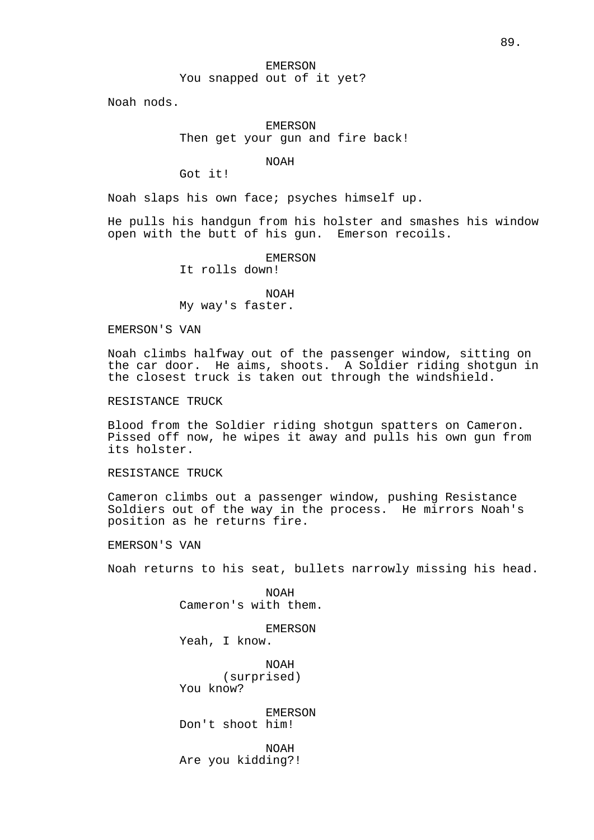# EMERSON You snapped out of it yet?

Noah nods.

# EMERSON Then get your gun and fire back!

NOAH

Got it!

Noah slaps his own face; psyches himself up.

He pulls his handgun from his holster and smashes his window open with the butt of his gun. Emerson recoils.

EMERSON

It rolls down!

NOAH My way's faster.

EMERSON'S VAN

Noah climbs halfway out of the passenger window, sitting on the car door. He aims, shoots. A Soldier riding shotgun in the closest truck is taken out through the windshield.

RESISTANCE TRUCK

Blood from the Soldier riding shotgun spatters on Cameron. Pissed off now, he wipes it away and pulls his own gun from its holster.

RESISTANCE TRUCK

Cameron climbs out a passenger window, pushing Resistance Soldiers out of the way in the process. He mirrors Noah's position as he returns fire.

EMERSON'S VAN

Noah returns to his seat, bullets narrowly missing his head.

NOAH Cameron's with them.

EMERSON Yeah, I know.

NOAH (surprised) You know?

EMERSON Don't shoot him!

NOAH Are you kidding?!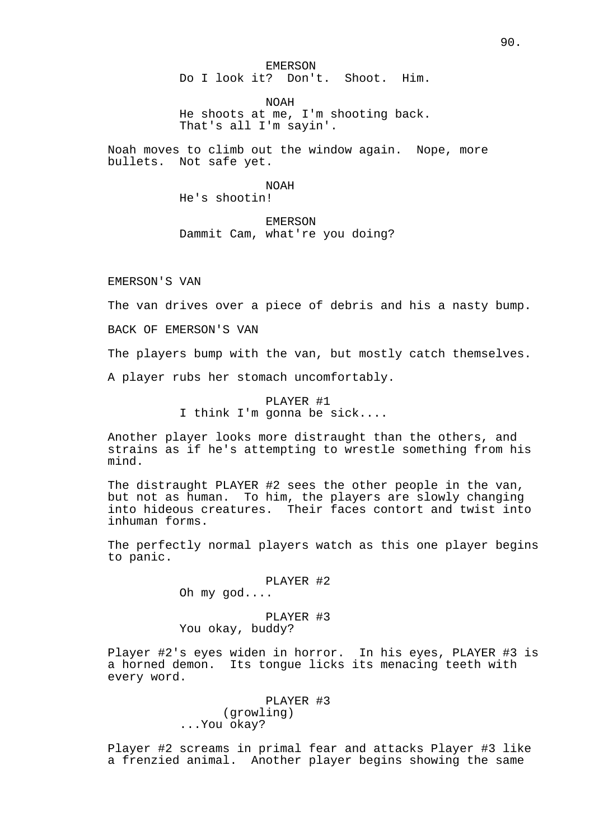EMERSON

Do I look it? Don't. Shoot. Him.

NOAH

He shoots at me, I'm shooting back. That's all I'm sayin'.

Noah moves to climb out the window again. Nope, more bullets. Not safe yet.

> NOAH He's shootin!

EMERSON Dammit Cam, what're you doing?

EMERSON'S VAN

The van drives over a piece of debris and his a nasty bump.

BACK OF EMERSON'S VAN

The players bump with the van, but mostly catch themselves.

A player rubs her stomach uncomfortably.

PLAYER #1 I think I'm gonna be sick....

Another player looks more distraught than the others, and strains as if he's attempting to wrestle something from his mind.

The distraught PLAYER #2 sees the other people in the van, but not as human. To him, the players are slowly changing into hideous creatures. Their faces contort and twist into inhuman forms.

The perfectly normal players watch as this one player begins to panic.

PLAYER #2

Oh my god....

PLAYER #3 You okay, buddy?

Player #2's eyes widen in horror. In his eyes, PLAYER #3 is a horned demon. Its tongue licks its menacing teeth with every word.

> PLAYER #3 (growling) ...You okay?

Player #2 screams in primal fear and attacks Player #3 like a frenzied animal. Another player begins showing the same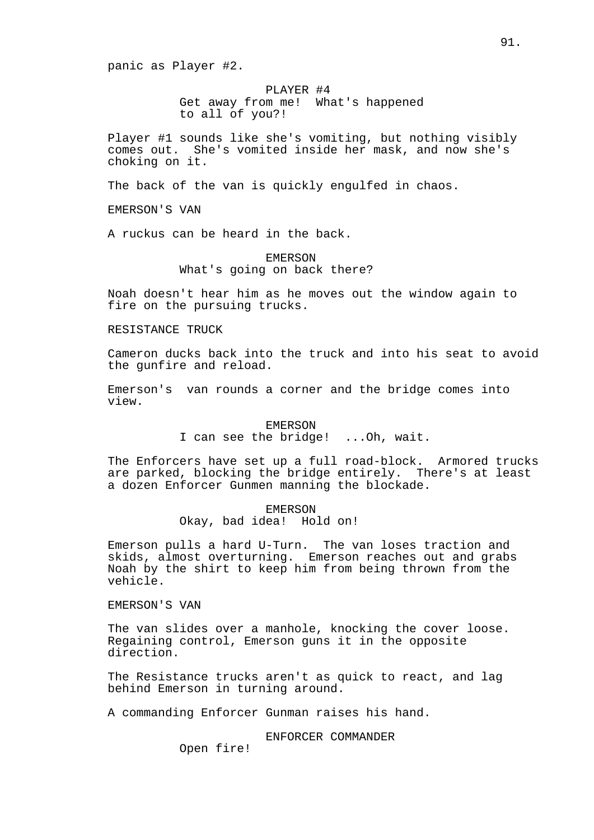panic as Player #2.

PLAYER #4 Get away from me! What's happened to all of you?!

Player #1 sounds like she's vomiting, but nothing visibly comes out. She's vomited inside her mask, and now she's choking on it.

The back of the van is quickly engulfed in chaos.

EMERSON'S VAN

A ruckus can be heard in the back.

EMERSON What's going on back there?

Noah doesn't hear him as he moves out the window again to fire on the pursuing trucks.

RESISTANCE TRUCK

Cameron ducks back into the truck and into his seat to avoid the gunfire and reload.

Emerson's van rounds a corner and the bridge comes into view.

#### EMERSON

I can see the bridge! ...Oh, wait.

The Enforcers have set up a full road-block. Armored trucks are parked, blocking the bridge entirely. There's at least a dozen Enforcer Gunmen manning the blockade.

> EMERSON Okay, bad idea! Hold on!

Emerson pulls a hard U-Turn. The van loses traction and skids, almost overturning. Emerson reaches out and grabs Noah by the shirt to keep him from being thrown from the vehicle.

EMERSON'S VAN

The van slides over a manhole, knocking the cover loose. Regaining control, Emerson guns it in the opposite direction.

The Resistance trucks aren't as quick to react, and lag behind Emerson in turning around.

A commanding Enforcer Gunman raises his hand.

ENFORCER COMMANDER

Open fire!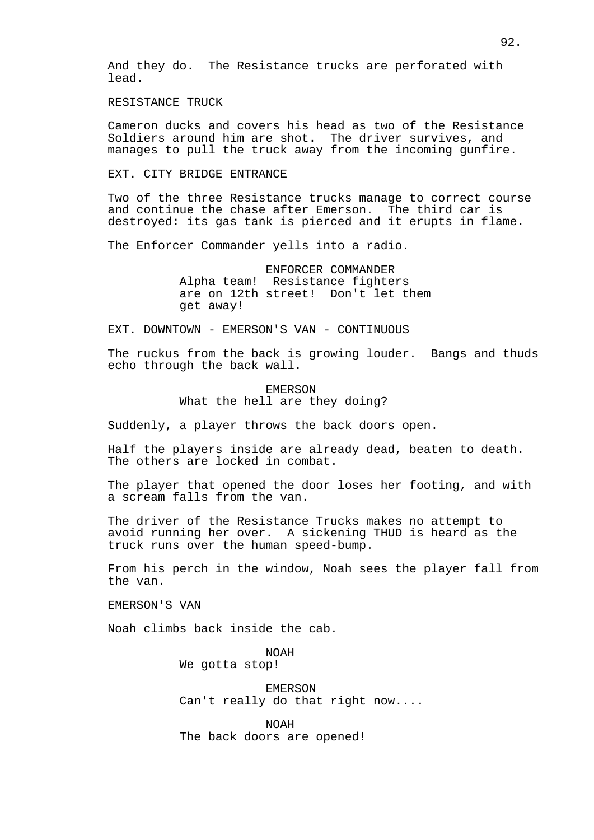And they do. The Resistance trucks are perforated with lead.

RESISTANCE TRUCK

Cameron ducks and covers his head as two of the Resistance Soldiers around him are shot. The driver survives, and manages to pull the truck away from the incoming gunfire.

EXT. CITY BRIDGE ENTRANCE

Two of the three Resistance trucks manage to correct course and continue the chase after Emerson. The third car is destroyed: its gas tank is pierced and it erupts in flame.

The Enforcer Commander yells into a radio.

ENFORCER COMMANDER Alpha team! Resistance fighters are on 12th street! Don't let them get away!

EXT. DOWNTOWN - EMERSON'S VAN - CONTINUOUS

The ruckus from the back is growing louder. Bangs and thuds echo through the back wall.

> EMERSON What the hell are they doing?

Suddenly, a player throws the back doors open.

Half the players inside are already dead, beaten to death. The others are locked in combat.

The player that opened the door loses her footing, and with a scream falls from the van.

The driver of the Resistance Trucks makes no attempt to avoid running her over. A sickening THUD is heard as the truck runs over the human speed-bump.

From his perch in the window, Noah sees the player fall from the van.

EMERSON'S VAN

Noah climbs back inside the cab.

NOAH We gotta stop!

EMERSON Can't really do that right now....

NOAH The back doors are opened!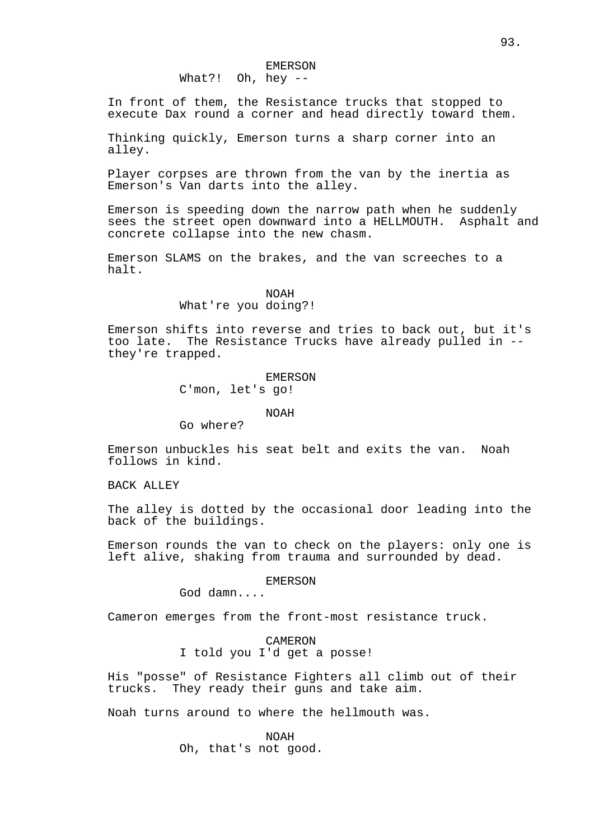What?! Oh, hey --

In front of them, the Resistance trucks that stopped to execute Dax round a corner and head directly toward them.

Thinking quickly, Emerson turns a sharp corner into an alley.

Player corpses are thrown from the van by the inertia as Emerson's Van darts into the alley.

Emerson is speeding down the narrow path when he suddenly sees the street open downward into a HELLMOUTH. Asphalt and concrete collapse into the new chasm.

Emerson SLAMS on the brakes, and the van screeches to a halt.

#### NOAH

# What're you doing?!

Emerson shifts into reverse and tries to back out, but it's too late. The Resistance Trucks have already pulled in - they're trapped.

# EMERSON

C'mon, let's go!

#### NOAH

Go where?

Emerson unbuckles his seat belt and exits the van. Noah follows in kind.

BACK ALLEY

The alley is dotted by the occasional door leading into the back of the buildings.

Emerson rounds the van to check on the players: only one is left alive, shaking from trauma and surrounded by dead.

## EMERSON

God damn....

Cameron emerges from the front-most resistance truck.

# CAMERON I told you I'd get a posse!

His "posse" of Resistance Fighters all climb out of their trucks. They ready their guns and take aim.

Noah turns around to where the hellmouth was.

NOAH Oh, that's not good.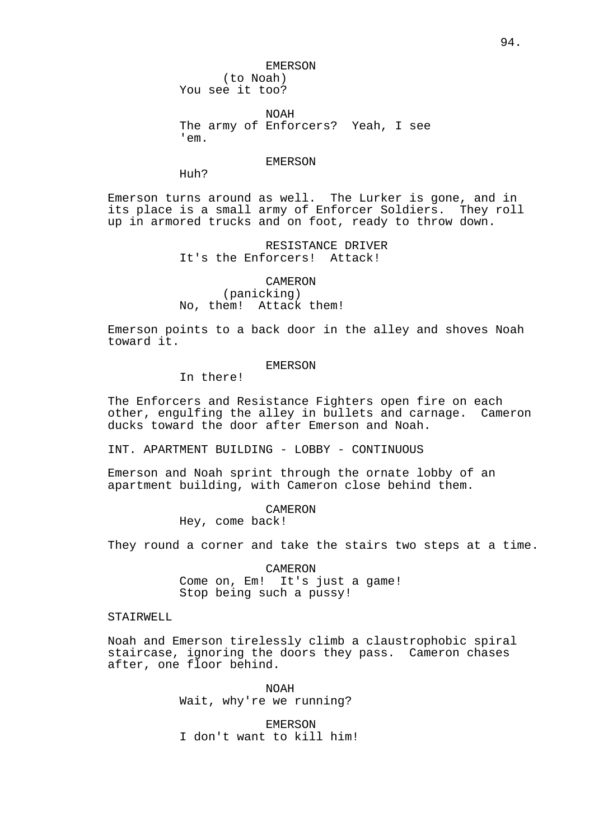EMERSON

(to Noah) You see it too?

NOAH The army of Enforcers? Yeah, I see 'em.

### EMERSON

Huh?

Emerson turns around as well. The Lurker is gone, and in its place is a small army of Enforcer Soldiers. They roll up in armored trucks and on foot, ready to throw down.

> RESISTANCE DRIVER It's the Enforcers! Attack!

CAMERON (panicking) No, them! Attack them!

Emerson points to a back door in the alley and shoves Noah toward it.

# EMERSON

In there!

The Enforcers and Resistance Fighters open fire on each other, engulfing the alley in bullets and carnage. Cameron ducks toward the door after Emerson and Noah.

INT. APARTMENT BUILDING - LOBBY - CONTINUOUS

Emerson and Noah sprint through the ornate lobby of an apartment building, with Cameron close behind them.

CAMERON

Hey, come back!

They round a corner and take the stairs two steps at a time.

CAMERON Come on, Em! It's just a game! Stop being such a pussy!

# STAIRWELL

Noah and Emerson tirelessly climb a claustrophobic spiral staircase, ignoring the doors they pass. Cameron chases after, one floor behind.

> NOAH Wait, why're we running?

EMERSON I don't want to kill him!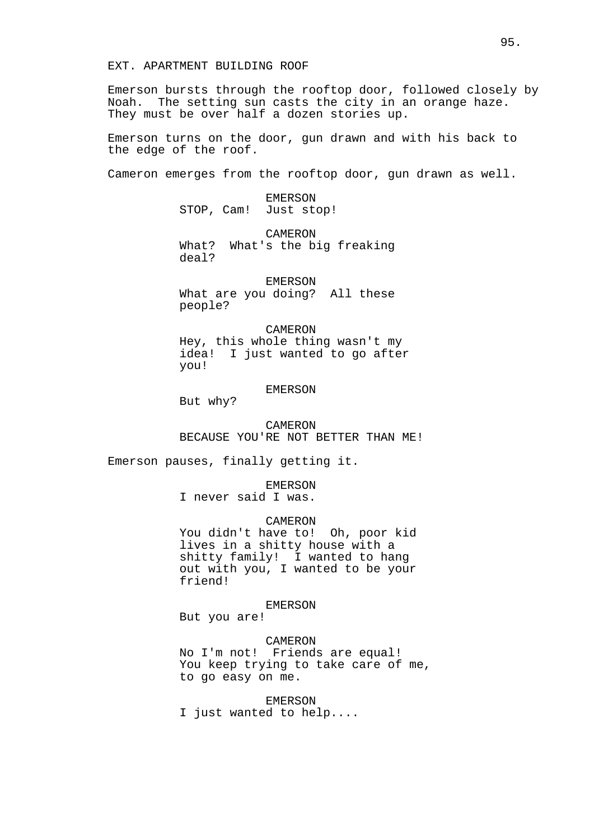EXT. APARTMENT BUILDING ROOF

Emerson bursts through the rooftop door, followed closely by Noah. The setting sun casts the city in an orange haze. They must be over half a dozen stories up.

Emerson turns on the door, gun drawn and with his back to the edge of the roof.

Cameron emerges from the rooftop door, gun drawn as well.

EMERSON STOP, Cam! Just stop!

CAMERON What? What's the big freaking deal?

EMERSON

What are you doing? All these people?

CAMERON Hey, this whole thing wasn't my idea! I just wanted to go after you!

# EMERSON

But why?

CAMERON BECAUSE YOU'RE NOT BETTER THAN ME!

Emerson pauses, finally getting it.

EMERSON

I never said I was.

# CAMERON

You didn't have to! Oh, poor kid lives in a shitty house with a shitty family! I wanted to hang out with you, I wanted to be your friend!

EMERSON

But you are!

### CAMERON

No I'm not! Friends are equal! You keep trying to take care of me, to go easy on me.

### EMERSON

I just wanted to help....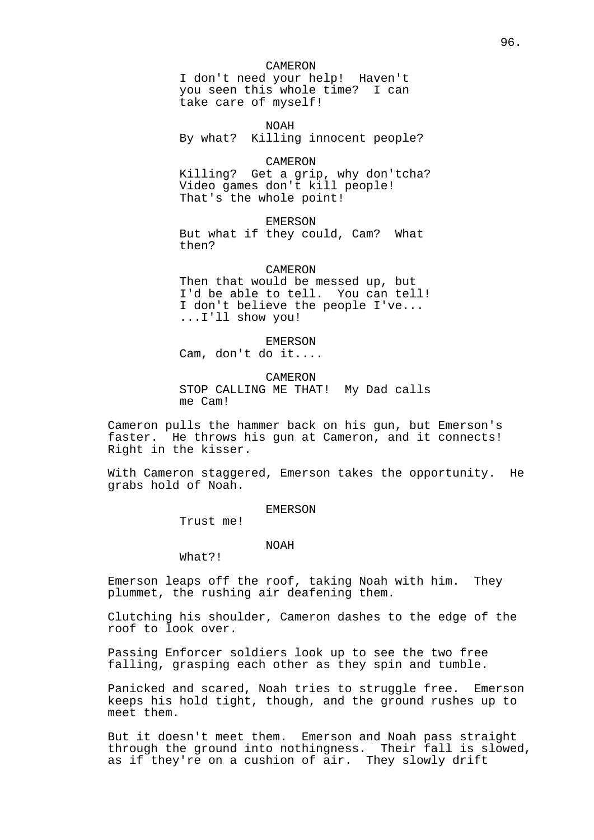#### CAMERON

I don't need your help! Haven't you seen this whole time? I can take care of myself!

NOAH By what? Killing innocent people?

#### CAMERON

Killing? Get a grip, why don'tcha? Video games don't kill people! That's the whole point!

EMERSON But what if they could, Cam? What then?

CAMERON

Then that would be messed up, but I'd be able to tell. You can tell! I don't believe the people I've... ...I'll show you!

EMERSON

Cam, don't do it....

CAMERON

STOP CALLING ME THAT! My Dad calls me Cam!

Cameron pulls the hammer back on his gun, but Emerson's faster. He throws his gun at Cameron, and it connects! Right in the kisser.

With Cameron staggered, Emerson takes the opportunity. He grabs hold of Noah.

#### EMERSON

Trust me!

### NOAH

What?!

Emerson leaps off the roof, taking Noah with him. They plummet, the rushing air deafening them.

Clutching his shoulder, Cameron dashes to the edge of the roof to look over.

Passing Enforcer soldiers look up to see the two free falling, grasping each other as they spin and tumble.

Panicked and scared, Noah tries to struggle free. Emerson keeps his hold tight, though, and the ground rushes up to meet them.

But it doesn't meet them. Emerson and Noah pass straight through the ground into nothingness. Their fall is slowed, as if they're on a cushion of air. They slowly drift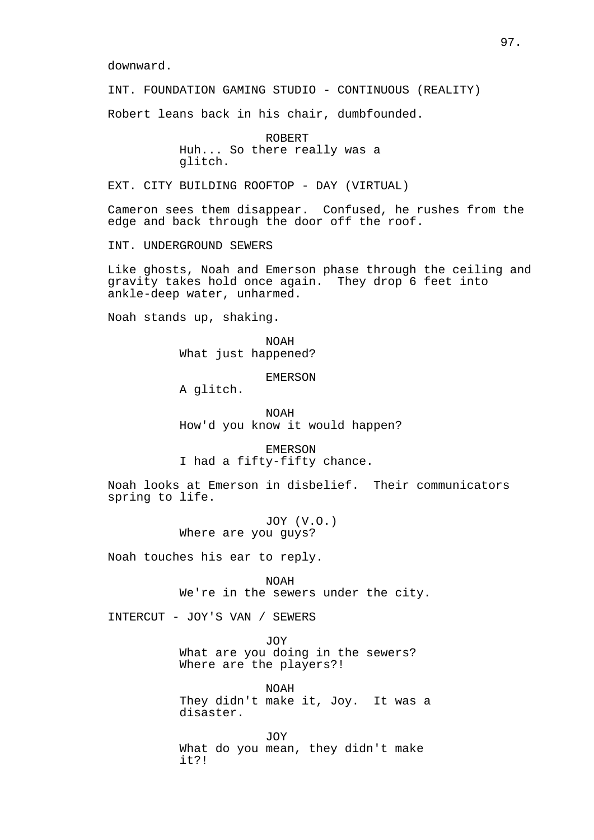downward.

INT. FOUNDATION GAMING STUDIO - CONTINUOUS (REALITY)

Robert leans back in his chair, dumbfounded.

ROBERT Huh... So there really was a glitch.

EXT. CITY BUILDING ROOFTOP - DAY (VIRTUAL)

Cameron sees them disappear. Confused, he rushes from the edge and back through the door off the roof.

INT. UNDERGROUND SEWERS

Like ghosts, Noah and Emerson phase through the ceiling and gravity takes hold once again. They drop 6 feet into ankle-deep water, unharmed.

Noah stands up, shaking.

NOAH What just happened?

EMERSON

A glitch.

NOAH How'd you know it would happen?

EMERSON I had a fifty-fifty chance.

Noah looks at Emerson in disbelief. Their communicators spring to life.

> JOY (V.O.) Where are you guys?

Noah touches his ear to reply.

NOAH We're in the sewers under the city.

INTERCUT - JOY'S VAN / SEWERS

JOY

What are you doing in the sewers? Where are the players?!

NOAH They didn't make it, Joy. It was a disaster.

JOY What do you mean, they didn't make it?!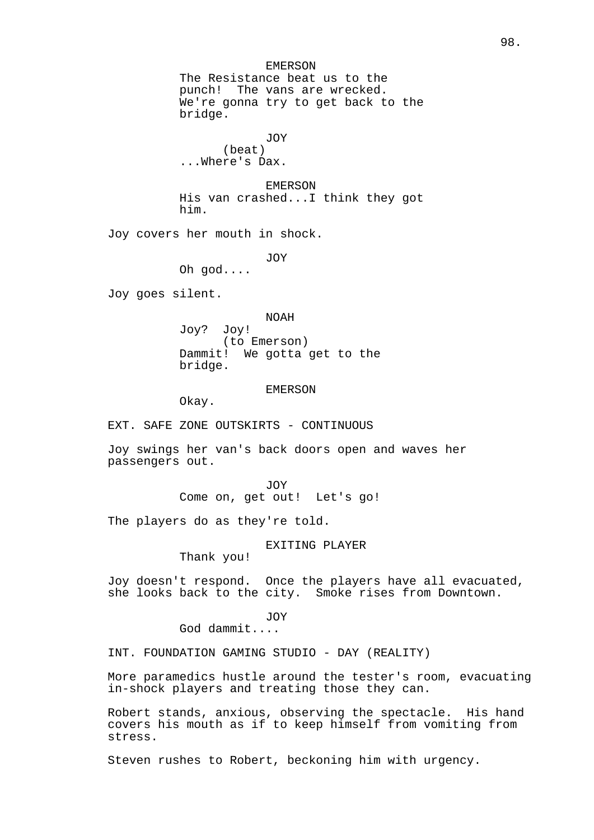EMERSON

The Resistance beat us to the punch! The vans are wrecked. We're gonna try to get back to the bridge.

JOY (beat) ...Where's Dax.

EMERSON His van crashed...I think they got him.

Joy covers her mouth in shock.

JOY

Oh god....

Joy goes silent.

NOAH

Joy? Joy! (to Emerson) Dammit! We gotta get to the bridge.

EMERSON

Okay.

EXT. SAFE ZONE OUTSKIRTS - CONTINUOUS

Joy swings her van's back doors open and waves her passengers out.

> JOY Come on, get out! Let's go!

The players do as they're told.

EXITING PLAYER

Thank you!

Joy doesn't respond. Once the players have all evacuated, she looks back to the city. Smoke rises from Downtown.

JOY

God dammit....

INT. FOUNDATION GAMING STUDIO - DAY (REALITY)

More paramedics hustle around the tester's room, evacuating in-shock players and treating those they can.

Robert stands, anxious, observing the spectacle. His hand covers his mouth as if to keep himself from vomiting from stress.

Steven rushes to Robert, beckoning him with urgency.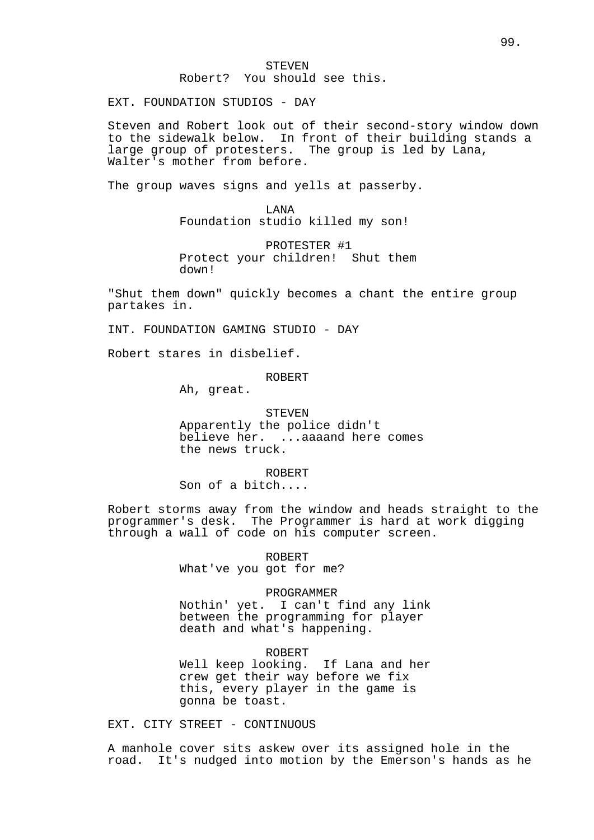EXT. FOUNDATION STUDIOS - DAY

Steven and Robert look out of their second-story window down to the sidewalk below. In front of their building stands a large group of protesters. The group is led by Lana, Walter's mother from before.

The group waves signs and yells at passerby.

LANA Foundation studio killed my son!

PROTESTER #1 Protect your children! Shut them down!

"Shut them down" quickly becomes a chant the entire group partakes in.

INT. FOUNDATION GAMING STUDIO - DAY

Robert stares in disbelief.

ROBERT

Ah, great.

STEVEN Apparently the police didn't believe her. ...aaaand here comes the news truck.

ROBERT Son of a bitch....

Robert storms away from the window and heads straight to the programmer's desk. The Programmer is hard at work digging through a wall of code on his computer screen.

ROBERT

What've you got for me?

PROGRAMMER

Nothin' yet. I can't find any link between the programming for player death and what's happening.

ROBERT Well keep looking. If Lana and her crew get their way before we fix this, every player in the game is gonna be toast.

EXT. CITY STREET - CONTINUOUS

A manhole cover sits askew over its assigned hole in the road. It's nudged into motion by the Emerson's hands as he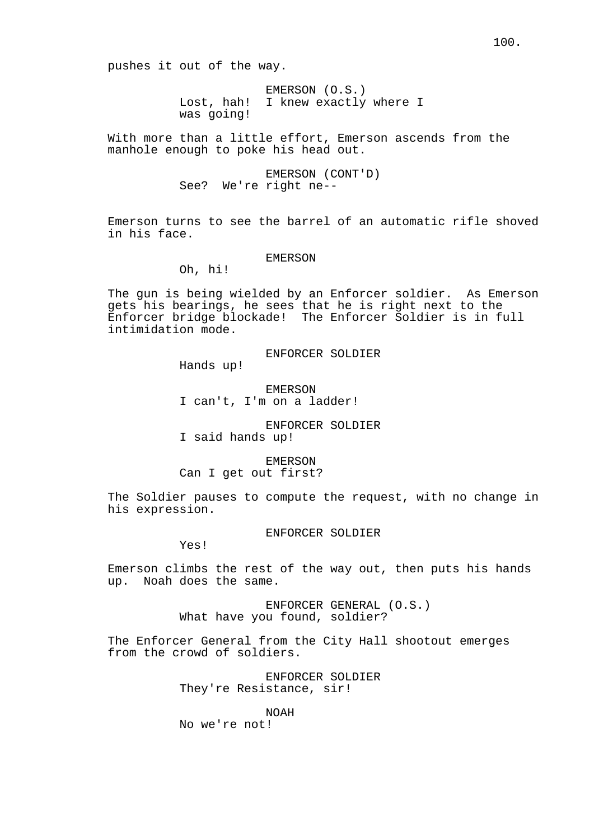pushes it out of the way.

EMERSON (O.S.) Lost, hah! I knew exactly where I was going!

With more than a little effort, Emerson ascends from the manhole enough to poke his head out.

> EMERSON (CONT'D) See? We're right ne--

Emerson turns to see the barrel of an automatic rifle shoved in his face.

### EMERSON

Oh, hi!

The gun is being wielded by an Enforcer soldier. As Emerson gets his bearings, he sees that he is right next to the Enforcer bridge blockade! The Enforcer Soldier is in full intimidation mode.

ENFORCER SOLDIER

Hands up!

EMERSON I can't, I'm on a ladder!

ENFORCER SOLDIER I said hands up!

EMERSON

Can I get out first?

The Soldier pauses to compute the request, with no change in his expression.

ENFORCER SOLDIER

Yes!

Emerson climbs the rest of the way out, then puts his hands up. Noah does the same.

> ENFORCER GENERAL (O.S.) What have you found, soldier?

The Enforcer General from the City Hall shootout emerges from the crowd of soldiers.

> ENFORCER SOLDIER They're Resistance, sir!

> > NOAH

No we're not!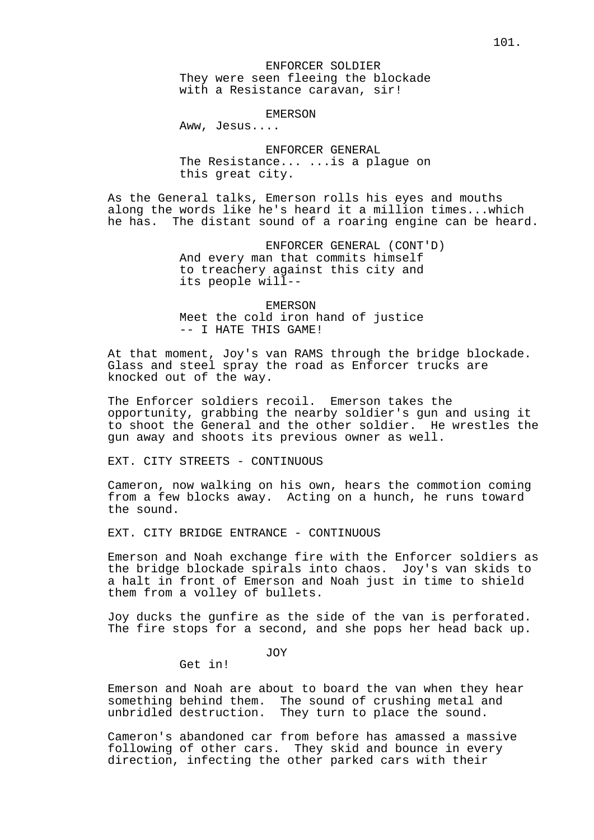### EMERSON

Aww, Jesus....

ENFORCER GENERAL The Resistance... ...is a plague on this great city.

As the General talks, Emerson rolls his eyes and mouths along the words like he's heard it a million times...which he has. The distant sound of a roaring engine can be heard.

> ENFORCER GENERAL (CONT'D) And every man that commits himself to treachery against this city and its people will--

EMERSON Meet the cold iron hand of justice -- I HATE THIS GAME!

At that moment, Joy's van RAMS through the bridge blockade. Glass and steel spray the road as Enforcer trucks are knocked out of the way.

The Enforcer soldiers recoil. Emerson takes the opportunity, grabbing the nearby soldier's gun and using it to shoot the General and the other soldier. He wrestles the gun away and shoots its previous owner as well.

EXT. CITY STREETS - CONTINUOUS

Cameron, now walking on his own, hears the commotion coming from a few blocks away. Acting on a hunch, he runs toward the sound.

EXT. CITY BRIDGE ENTRANCE - CONTINUOUS

Emerson and Noah exchange fire with the Enforcer soldiers as the bridge blockade spirals into chaos. Joy's van skids to a halt in front of Emerson and Noah just in time to shield them from a volley of bullets.

Joy ducks the gunfire as the side of the van is perforated. The fire stops for a second, and she pops her head back up.

JOY

Get in!

Emerson and Noah are about to board the van when they hear something behind them. The sound of crushing metal and unbridled destruction. They turn to place the sound.

Cameron's abandoned car from before has amassed a massive following of other cars. They skid and bounce in every direction, infecting the other parked cars with their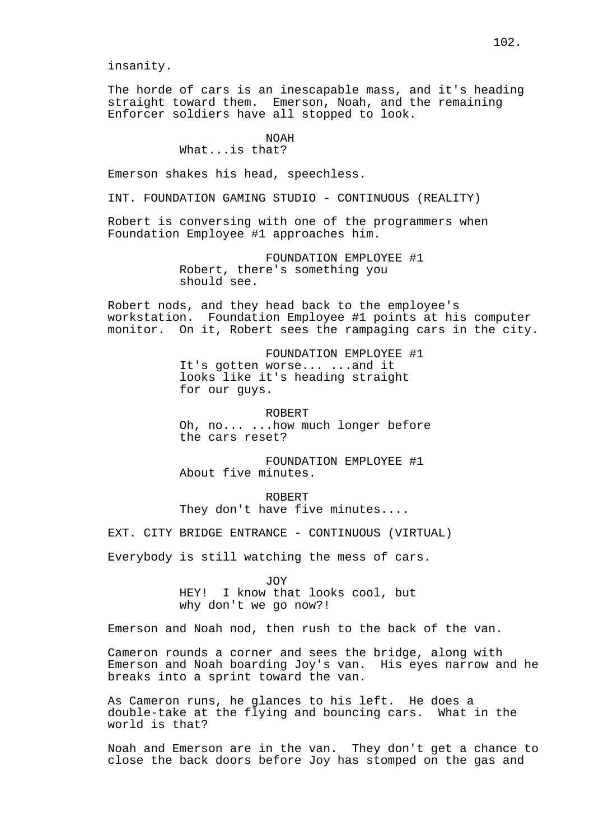insanity.

The horde of cars is an inescapable mass, and it's heading straight toward them. Emerson, Noah, and the remaining Enforcer soldiers have all stopped to look.

# NOAH What...is that?

Emerson shakes his head, speechless.

INT. FOUNDATION GAMING STUDIO - CONTINUOUS (REALITY)

Robert is conversing with one of the programmers when Foundation Employee #1 approaches him.

> FOUNDATION EMPLOYEE #1 Robert, there's something you should see.

Robert nods, and they head back to the employee's workstation. Foundation Employee #1 points at his computer monitor. On it, Robert sees the rampaging cars in the city.

> FOUNDATION EMPLOYEE #1 It's gotten worse... ...and it looks like it's heading straight for our guys.

ROBERT Oh, no... ...how much longer before the cars reset?

FOUNDATION EMPLOYEE #1 About five minutes.

ROBERT They don't have five minutes....

EXT. CITY BRIDGE ENTRANCE - CONTINUOUS (VIRTUAL)

Everybody is still watching the mess of cars.

JOY HEY! I know that looks cool, but why don't we go now?!

Emerson and Noah nod, then rush to the back of the van.

Cameron rounds a corner and sees the bridge, along with Emerson and Noah boarding Joy's van. His eyes narrow and he breaks into a sprint toward the van.

As Cameron runs, he glances to his left. He does a double-take at the flying and bouncing cars. What in the world is that?

Noah and Emerson are in the van. They don't get a chance to close the back doors before Joy has stomped on the gas and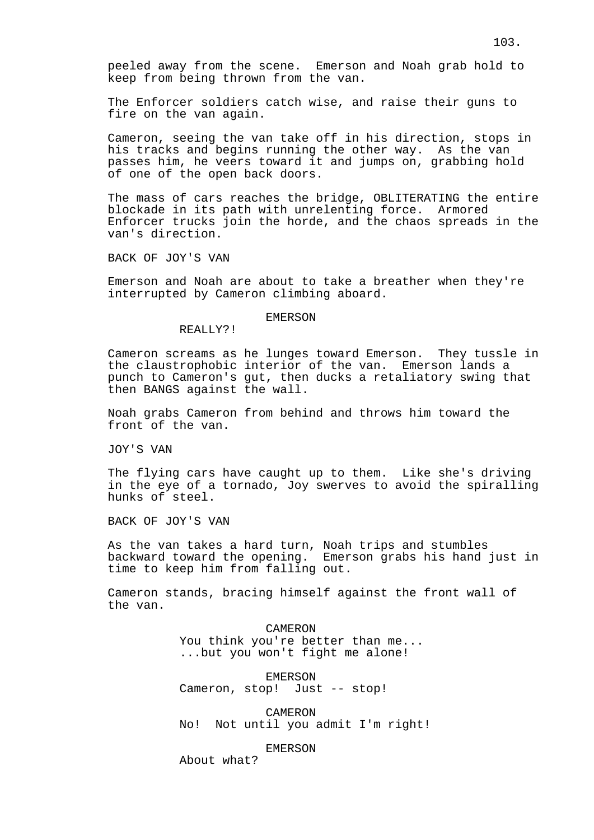peeled away from the scene. Emerson and Noah grab hold to keep from being thrown from the van.

The Enforcer soldiers catch wise, and raise their guns to fire on the van again.

Cameron, seeing the van take off in his direction, stops in his tracks and begins running the other way. As the van passes him, he veers toward it and jumps on, grabbing hold of one of the open back doors.

The mass of cars reaches the bridge, OBLITERATING the entire blockade in its path with unrelenting force. Armored Enforcer trucks join the horde, and the chaos spreads in the van's direction.

BACK OF JOY'S VAN

Emerson and Noah are about to take a breather when they're interrupted by Cameron climbing aboard.

### EMERSON

REALLY?!

Cameron screams as he lunges toward Emerson. They tussle in the claustrophobic interior of the van. Emerson lands a punch to Cameron's gut, then ducks a retaliatory swing that then BANGS against the wall.

Noah grabs Cameron from behind and throws him toward the front of the van.

JOY'S VAN

The flying cars have caught up to them. Like she's driving in the eye of a tornado, Joy swerves to avoid the spiralling hunks of steel.

BACK OF JOY'S VAN

As the van takes a hard turn, Noah trips and stumbles backward toward the opening. Emerson grabs his hand just in time to keep him from falling out.

Cameron stands, bracing himself against the front wall of the van.

> CAMERON You think you're better than me... ...but you won't fight me alone!

EMERSON Cameron, stop! Just -- stop!

CAMERON No! Not until you admit I'm right!

EMERSON

About what?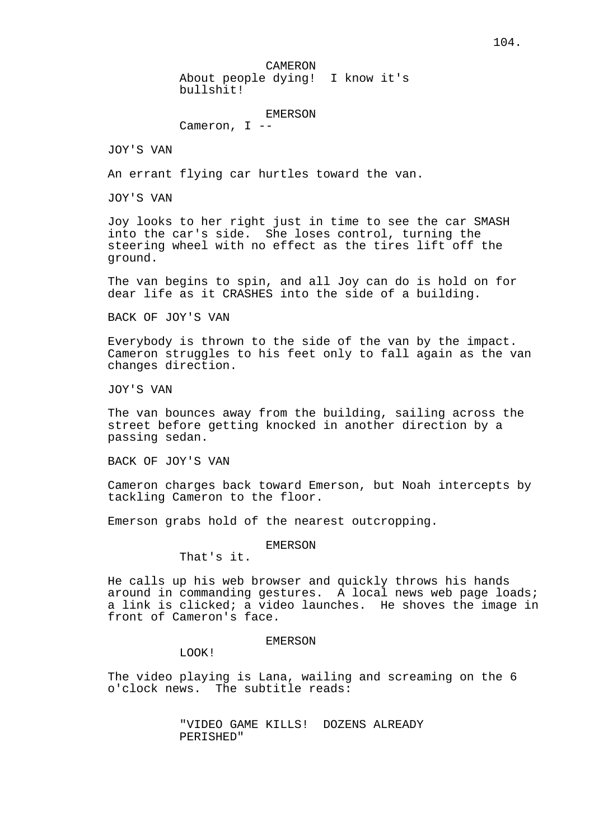CAMERON

About people dying! I know it's bullshit!

# EMERSON

Cameron, I --

JOY'S VAN

An errant flying car hurtles toward the van.

JOY'S VAN

Joy looks to her right just in time to see the car SMASH into the car's side. She loses control, turning the steering wheel with no effect as the tires lift off the ground.

The van begins to spin, and all Joy can do is hold on for dear life as it CRASHES into the side of a building.

BACK OF JOY'S VAN

Everybody is thrown to the side of the van by the impact. Cameron struggles to his feet only to fall again as the van changes direction.

JOY'S VAN

The van bounces away from the building, sailing across the street before getting knocked in another direction by a passing sedan.

BACK OF JOY'S VAN

Cameron charges back toward Emerson, but Noah intercepts by tackling Cameron to the floor.

Emerson grabs hold of the nearest outcropping.

EMERSON

That's it.

He calls up his web browser and quickly throws his hands around in commanding gestures. A local news web page loads; a link is clicked; a video launches. He shoves the image in front of Cameron's face.

EMERSON

LOOK!

The video playing is Lana, wailing and screaming on the 6 o'clock news. The subtitle reads:

> "VIDEO GAME KILLS! DOZENS ALREADY PERISHED"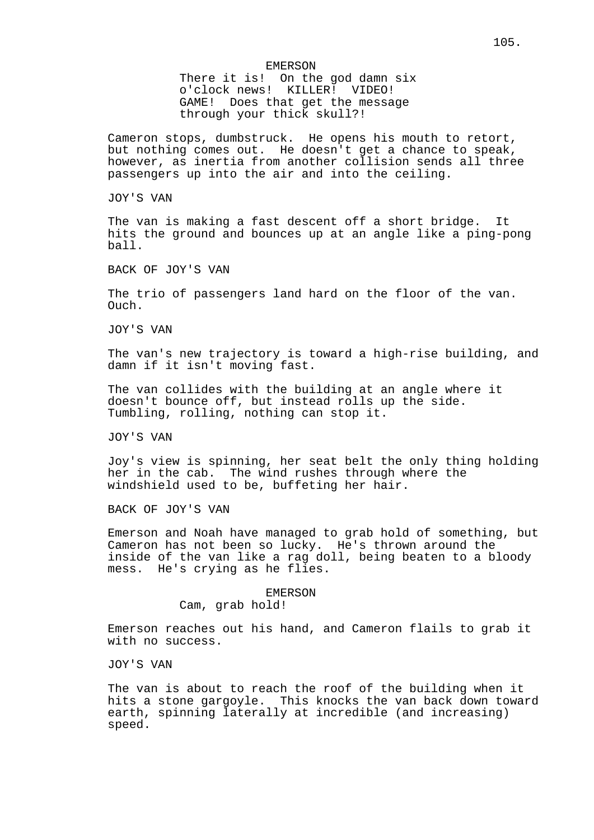There it is! On the god damn six o'clock news! KILLER! VIDEO! GAME! Does that get the message through your thick skull?!

Cameron stops, dumbstruck. He opens his mouth to retort, but nothing comes out. He doesn't get a chance to speak, however, as inertia from another collision sends all three passengers up into the air and into the ceiling.

JOY'S VAN

The van is making a fast descent off a short bridge. It hits the ground and bounces up at an angle like a ping-pong ball.

BACK OF JOY'S VAN

The trio of passengers land hard on the floor of the van. Ouch.

JOY'S VAN

The van's new trajectory is toward a high-rise building, and damn if it isn't moving fast.

The van collides with the building at an angle where it doesn't bounce off, but instead rolls up the side. Tumbling, rolling, nothing can stop it.

JOY'S VAN

Joy's view is spinning, her seat belt the only thing holding her in the cab. The wind rushes through where the windshield used to be, buffeting her hair.

BACK OF JOY'S VAN

Emerson and Noah have managed to grab hold of something, but Cameron has not been so lucky. He's thrown around the inside of the van like a rag doll, being beaten to a bloody mess. He's crying as he flies.

> EMERSON Cam, grab hold!

Emerson reaches out his hand, and Cameron flails to grab it with no success.

JOY'S VAN

The van is about to reach the roof of the building when it hits a stone gargoyle. This knocks the van back down toward earth, spinning laterally at incredible (and increasing) speed.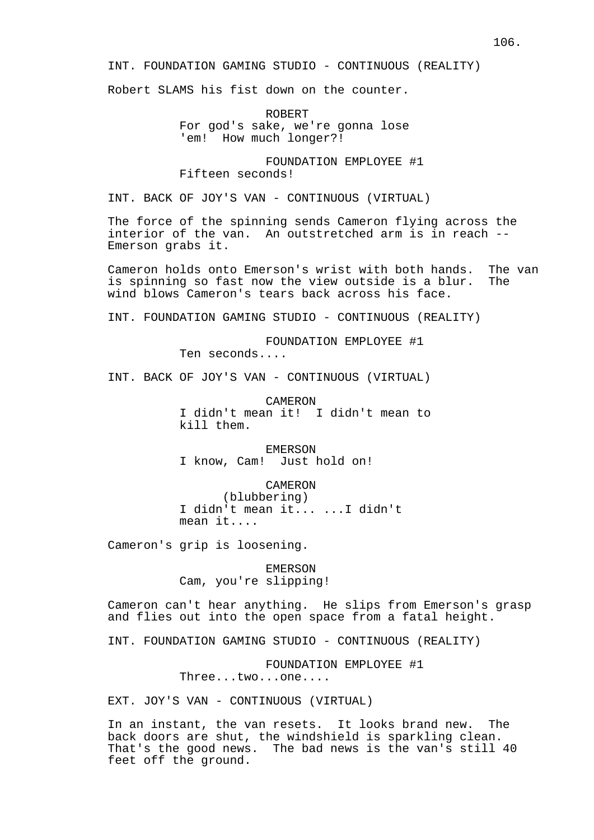INT. FOUNDATION GAMING STUDIO - CONTINUOUS (REALITY)

Robert SLAMS his fist down on the counter.

ROBERT For god's sake, we're gonna lose 'em! How much longer?!

FOUNDATION EMPLOYEE #1 Fifteen seconds!

INT. BACK OF JOY'S VAN - CONTINUOUS (VIRTUAL)

The force of the spinning sends Cameron flying across the interior of the van. An outstretched arm is in reach -- Emerson grabs it.

Cameron holds onto Emerson's wrist with both hands. The van is spinning so fast now the view outside is a blur. The wind blows Cameron's tears back across his face.

INT. FOUNDATION GAMING STUDIO - CONTINUOUS (REALITY)

FOUNDATION EMPLOYEE #1

Ten seconds....

INT. BACK OF JOY'S VAN - CONTINUOUS (VIRTUAL)

CAMERON I didn't mean it! I didn't mean to kill them.

EMERSON I know, Cam! Just hold on!

CAMERON

(blubbering) I didn't mean it... ...I didn't mean it....

Cameron's grip is loosening.

EMERSON Cam, you're slipping!

Cameron can't hear anything. He slips from Emerson's grasp and flies out into the open space from a fatal height.

INT. FOUNDATION GAMING STUDIO - CONTINUOUS (REALITY)

FOUNDATION EMPLOYEE #1

Three...two...one....

EXT. JOY'S VAN - CONTINUOUS (VIRTUAL)

In an instant, the van resets. It looks brand new. The back doors are shut, the windshield is sparkling clean. That's the good news. The bad news is the van's still 40 feet off the ground.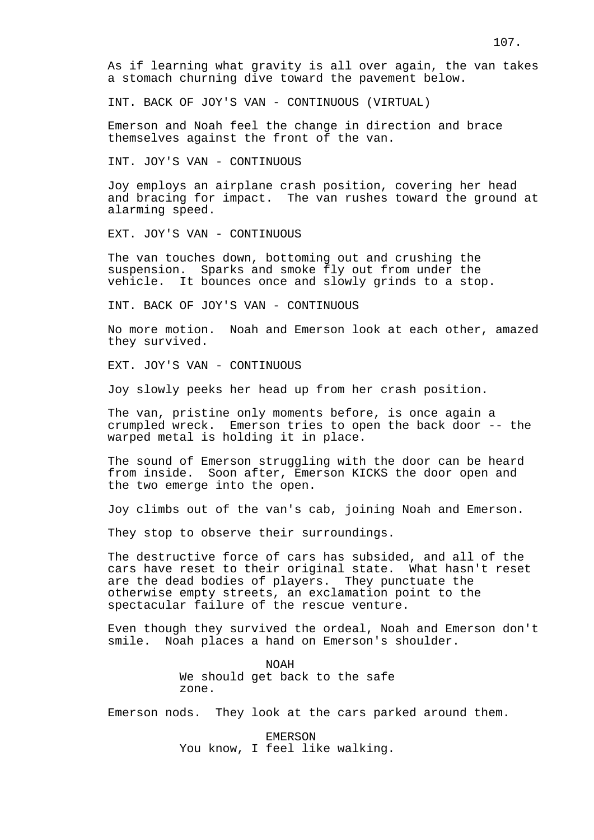As if learning what gravity is all over again, the van takes a stomach churning dive toward the pavement below.

INT. BACK OF JOY'S VAN - CONTINUOUS (VIRTUAL)

Emerson and Noah feel the change in direction and brace themselves against the front of the van.

INT. JOY'S VAN - CONTINUOUS

Joy employs an airplane crash position, covering her head and bracing for impact. The van rushes toward the ground at alarming speed.

EXT. JOY'S VAN - CONTINUOUS

The van touches down, bottoming out and crushing the suspension. Sparks and smoke fly out from under the vehicle. It bounces once and slowly grinds to a stop.

INT. BACK OF JOY'S VAN - CONTINUOUS

No more motion. Noah and Emerson look at each other, amazed they survived.

EXT. JOY'S VAN - CONTINUOUS

Joy slowly peeks her head up from her crash position.

The van, pristine only moments before, is once again a crumpled wreck. Emerson tries to open the back door -- the warped metal is holding it in place.

The sound of Emerson struggling with the door can be heard from inside. Soon after, Emerson KICKS the door open and the two emerge into the open.

Joy climbs out of the van's cab, joining Noah and Emerson.

They stop to observe their surroundings.

The destructive force of cars has subsided, and all of the cars have reset to their original state. What hasn't reset are the dead bodies of players. They punctuate the otherwise empty streets, an exclamation point to the spectacular failure of the rescue venture.

Even though they survived the ordeal, Noah and Emerson don't smile. Noah places a hand on Emerson's shoulder.

> NOAH We should get back to the safe zone.

Emerson nods. They look at the cars parked around them.

EMERSON You know, I feel like walking.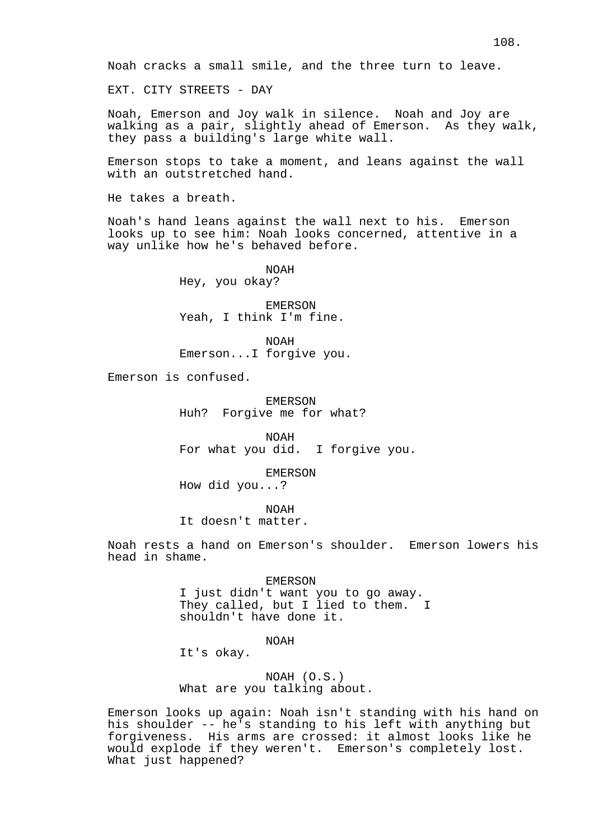Noah cracks a small smile, and the three turn to leave.

EXT. CITY STREETS - DAY

Noah, Emerson and Joy walk in silence. Noah and Joy are walking as a pair, slightly ahead of Emerson. As they walk, they pass a building's large white wall.

Emerson stops to take a moment, and leans against the wall with an outstretched hand.

He takes a breath.

Noah's hand leans against the wall next to his. Emerson looks up to see him: Noah looks concerned, attentive in a way unlike how he's behaved before.

NOAH

Hey, you okay?

EMERSON Yeah, I think I'm fine.

NOAH Emerson...I forgive you.

Emerson is confused.

EMERSON Huh? Forgive me for what?

NOAH For what you did. I forgive you.

EMERSON How did you...?

NOAH

It doesn't matter.

Noah rests a hand on Emerson's shoulder. Emerson lowers his head in shame.

EMERSON

I just didn't want you to go away. They called, but I lied to them. I shouldn't have done it.

NOAH

It's okay.

NOAH (O.S.) What are you talking about.

Emerson looks up again: Noah isn't standing with his hand on his shoulder -- he's standing to his left with anything but forgiveness. His arms are crossed: it almost looks like he would explode if they weren't. Emerson's completely lost. What just happened?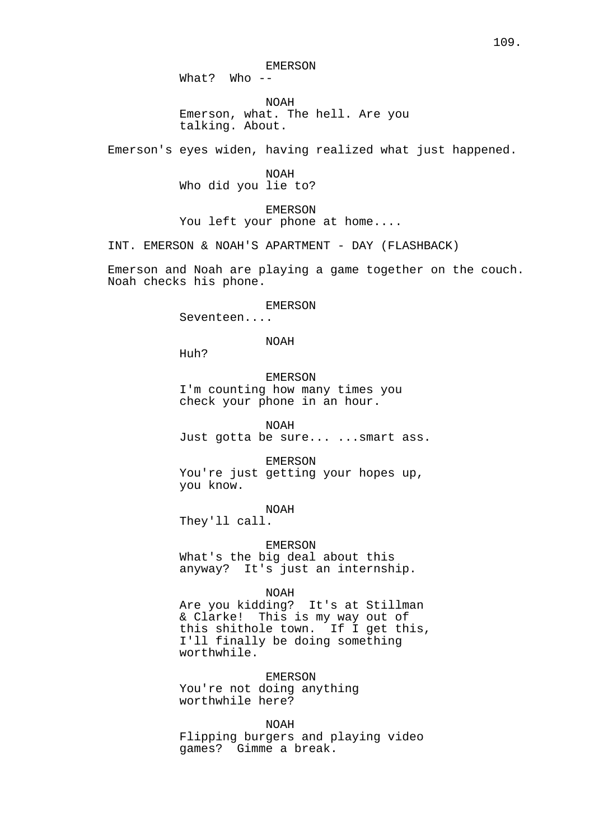EMERSON

What? Who --

NOAH Emerson, what. The hell. Are you talking. About.

Emerson's eyes widen, having realized what just happened.

NOAH Who did you lie to?

EMERSON You left your phone at home....

INT. EMERSON & NOAH'S APARTMENT - DAY (FLASHBACK)

Emerson and Noah are playing a game together on the couch. Noah checks his phone.

#### EMERSON

Seventeen....

### NOAH

Huh?

EMERSON I'm counting how many times you check your phone in an hour.

NOAH

Just gotta be sure... ...smart ass.

EMERSON

You're just getting your hopes up, you know.

#### NOAH

They'll call.

EMERSON What's the big deal about this anyway? It's just an internship.

### NOAH

Are you kidding? It's at Stillman & Clarke! This is my way out of this shithole town. If I get this, I'll finally be doing something worthwhile.

EMERSON You're not doing anything worthwhile here?

## NOAH

Flipping burgers and playing video games? Gimme a break.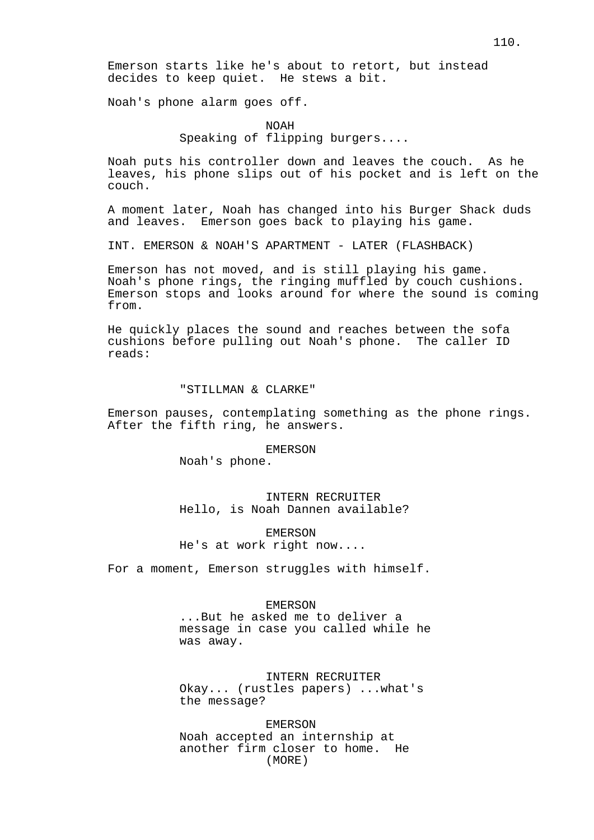Emerson starts like he's about to retort, but instead decides to keep quiet. He stews a bit.

Noah's phone alarm goes off.

NOAH Speaking of flipping burgers....

Noah puts his controller down and leaves the couch. As he leaves, his phone slips out of his pocket and is left on the couch.

A moment later, Noah has changed into his Burger Shack duds and leaves. Emerson goes back to playing his game.

INT. EMERSON & NOAH'S APARTMENT - LATER (FLASHBACK)

Emerson has not moved, and is still playing his game. Noah's phone rings, the ringing muffled by couch cushions. Emerson stops and looks around for where the sound is coming from.

He quickly places the sound and reaches between the sofa cushions before pulling out Noah's phone. The caller ID reads:

### "STILLMAN & CLARKE"

Emerson pauses, contemplating something as the phone rings. After the fifth ring, he answers.

#### EMERSON

Noah's phone.

INTERN RECRUITER Hello, is Noah Dannen available?

EMERSON He's at work right now....

For a moment, Emerson struggles with himself.

## EMERSON

...But he asked me to deliver a message in case you called while he was away.

INTERN RECRUITER

Okay... (rustles papers) ...what's the message?

EMERSON Noah accepted an internship at another firm closer to home. He (MORE)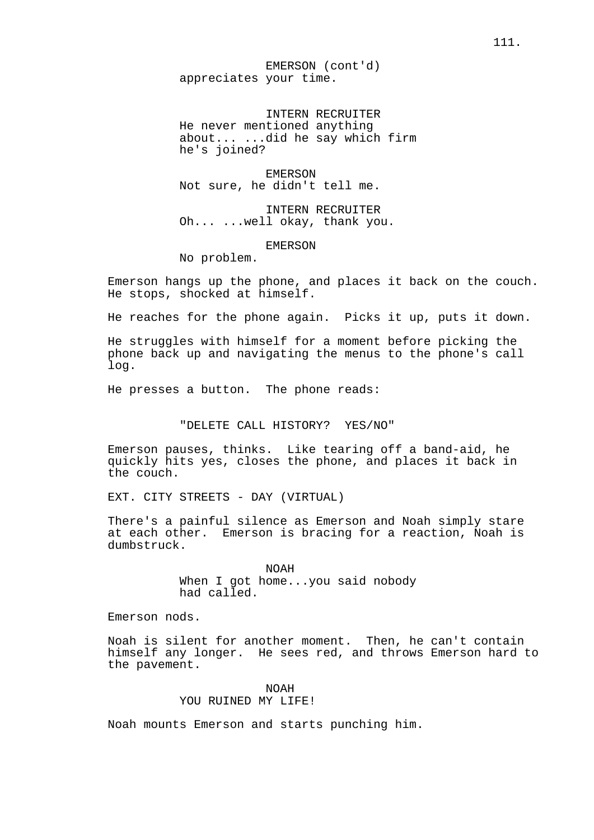EMERSON (cont'd) appreciates your time.

INTERN RECRUITER He never mentioned anything about... ...did he say which firm he's joined?

EMERSON Not sure, he didn't tell me.

INTERN RECRUITER Oh... ...well okay, thank you.

EMERSON

No problem.

Emerson hangs up the phone, and places it back on the couch. He stops, shocked at himself.

He reaches for the phone again. Picks it up, puts it down.

He struggles with himself for a moment before picking the phone back up and navigating the menus to the phone's call log.

He presses a button. The phone reads:

"DELETE CALL HISTORY? YES/NO"

Emerson pauses, thinks. Like tearing off a band-aid, he quickly hits yes, closes the phone, and places it back in the couch.

EXT. CITY STREETS - DAY (VIRTUAL)

There's a painful silence as Emerson and Noah simply stare at each other. Emerson is bracing for a reaction, Noah is dumbstruck.

> NOAH When I got home...you said nobody had called.

Emerson nods.

Noah is silent for another moment. Then, he can't contain himself any longer. He sees red, and throws Emerson hard to the pavement.

> NOAH YOU RUINED MY LIFE!

Noah mounts Emerson and starts punching him.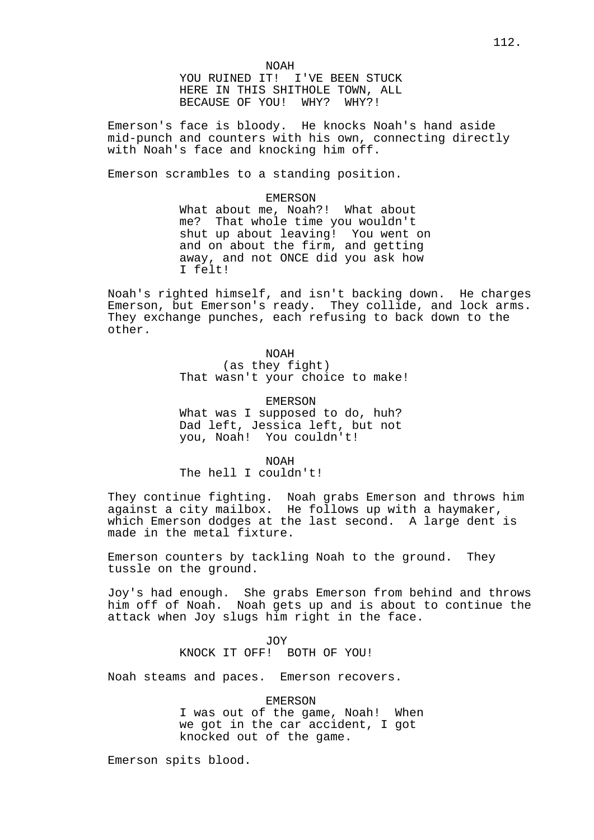NOAH YOU RUINED IT! I'VE BEEN STUCK HERE IN THIS SHITHOLE TOWN, ALL BECAUSE OF YOU! WHY? WHY?!

Emerson's face is bloody. He knocks Noah's hand aside mid-punch and counters with his own, connecting directly with Noah's face and knocking him off.

Emerson scrambles to a standing position.

EMERSON What about me, Noah?! What about me? That whole time you wouldn't shut up about leaving! You went on and on about the firm, and getting away, and not ONCE did you ask how I felt!

Noah's righted himself, and isn't backing down. He charges Emerson, but Emerson's ready. They collide, and lock arms. They exchange punches, each refusing to back down to the other.

> NOAH (as they fight) That wasn't your choice to make!

EMERSON What was I supposed to do, huh? Dad left, Jessica left, but not you, Noah! You couldn't!

NOAH The hell I couldn't!

They continue fighting. Noah grabs Emerson and throws him against a city mailbox. He follows up with a haymaker, which Emerson dodges at the last second. A large dent is made in the metal fixture.

Emerson counters by tackling Noah to the ground. They tussle on the ground.

Joy's had enough. She grabs Emerson from behind and throws him off of Noah. Noah gets up and is about to continue the attack when Joy slugs him right in the face.

> JOY KNOCK IT OFF! BOTH OF YOU!

Noah steams and paces. Emerson recovers.

EMERSON I was out of the game, Noah! When we got in the car accident, I got knocked out of the game.

Emerson spits blood.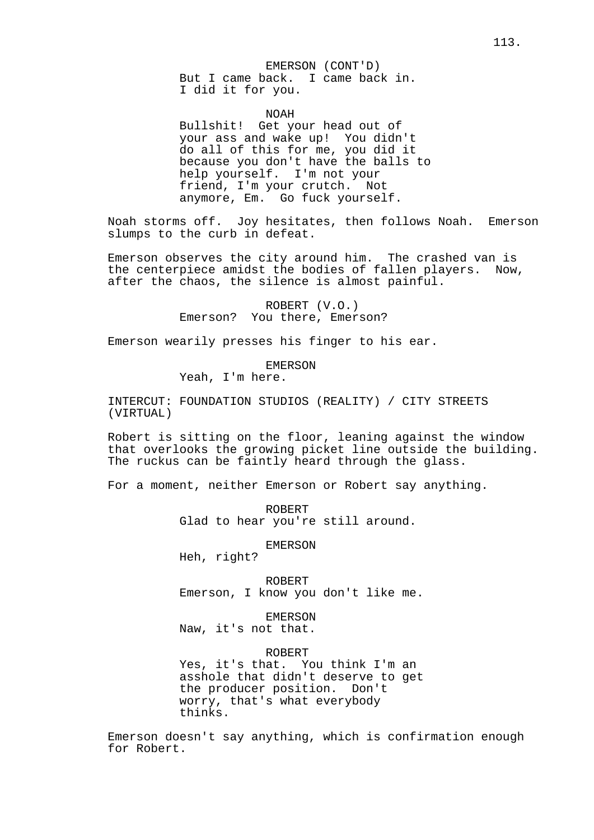#### EMERSON (CONT'D)

But I came back. I came back in. I did it for you.

## NOAH

Bullshit! Get your head out of your ass and wake up! You didn't do all of this for me, you did it because you don't have the balls to help yourself. I'm not your friend, I'm your crutch. Not anymore, Em. Go fuck yourself.

Noah storms off. Joy hesitates, then follows Noah. Emerson slumps to the curb in defeat.

Emerson observes the city around him. The crashed van is the centerpiece amidst the bodies of fallen players. Now, after the chaos, the silence is almost painful.

> ROBERT (V.O.) Emerson? You there, Emerson?

Emerson wearily presses his finger to his ear.

EMERSON

Yeah, I'm here.

INTERCUT: FOUNDATION STUDIOS (REALITY) / CITY STREETS (VIRTUAL)

Robert is sitting on the floor, leaning against the window that overlooks the growing picket line outside the building. The ruckus can be faintly heard through the glass.

For a moment, neither Emerson or Robert say anything.

ROBERT Glad to hear you're still around.

EMERSON

Heh, right?

ROBERT Emerson, I know you don't like me.

EMERSON Naw, it's not that.

ROBERT

Yes, it's that. You think I'm an asshole that didn't deserve to get the producer position. Don't worry, that's what everybody thinks.

Emerson doesn't say anything, which is confirmation enough for Robert.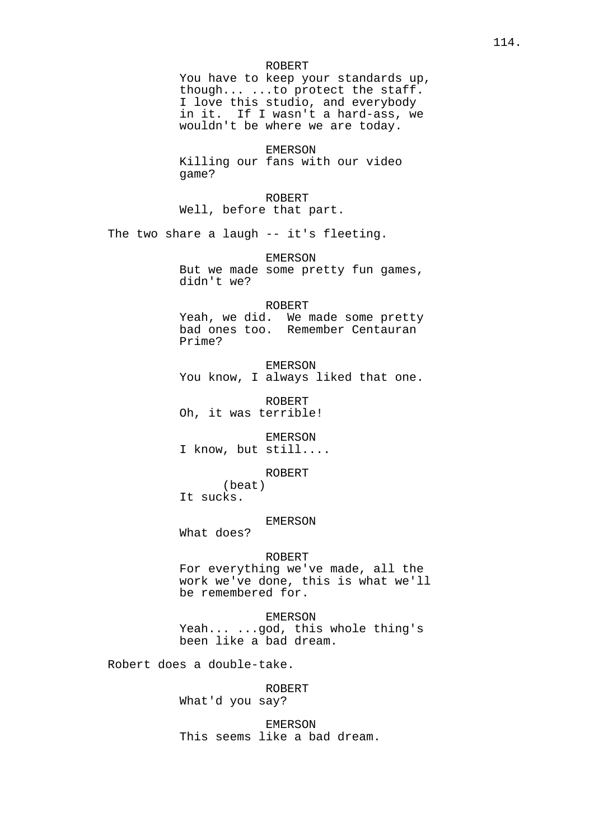#### ROBERT

You have to keep your standards up, though... ...to protect the staff. I love this studio, and everybody in it. If I wasn't a hard-ass, we wouldn't be where we are today.

EMERSON Killing our fans with our video game?

ROBERT Well, before that part.

The two share a laugh -- it's fleeting.

EMERSON But we made some pretty fun games, didn't we?

### ROBERT

Yeah, we did. We made some pretty bad ones too. Remember Centauran Prime?

EMERSON You know, I always liked that one.

ROBERT Oh, it was terrible!

EMERSON I know, but still....

ROBERT

(beat) It sucks.

### EMERSON

What does?

#### ROBERT

For everything we've made, all the work we've done, this is what we'll be remembered for.

EMERSON Yeah... ...god, this whole thing's been like a bad dream.

Robert does a double-take.

ROBERT What'd you say?

EMERSON This seems like a bad dream.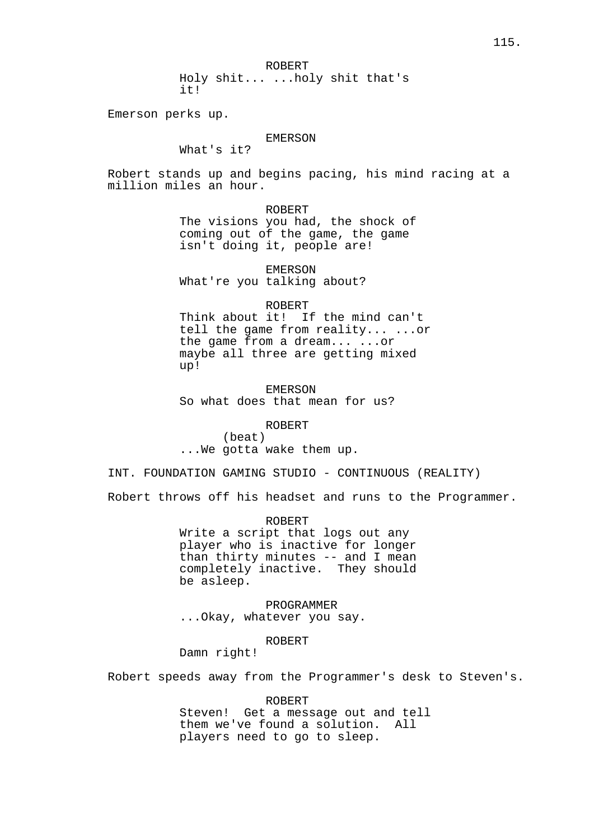ROBERT

Holy shit... ...holy shit that's it!

Emerson perks up.

# EMERSON

What's it?

Robert stands up and begins pacing, his mind racing at a million miles an hour.

## ROBERT

The visions you had, the shock of coming out of the game, the game isn't doing it, people are!

# EMERSON

What're you talking about?

### ROBERT

Think about it! If the mind can't tell the game from reality... ...or the game from a dream... ...or maybe all three are getting mixed up!

EMERSON So what does that mean for us?

### ROBERT

(beat) ...We gotta wake them up.

INT. FOUNDATION GAMING STUDIO - CONTINUOUS (REALITY)

Robert throws off his headset and runs to the Programmer.

ROBERT Write a script that logs out any player who is inactive for longer than thirty minutes -- and I mean completely inactive. They should be asleep.

PROGRAMMER ...Okay, whatever you say.

## ROBERT

Damn right!

Robert speeds away from the Programmer's desk to Steven's.

#### ROBERT

Steven! Get a message out and tell them we've found a solution. All players need to go to sleep.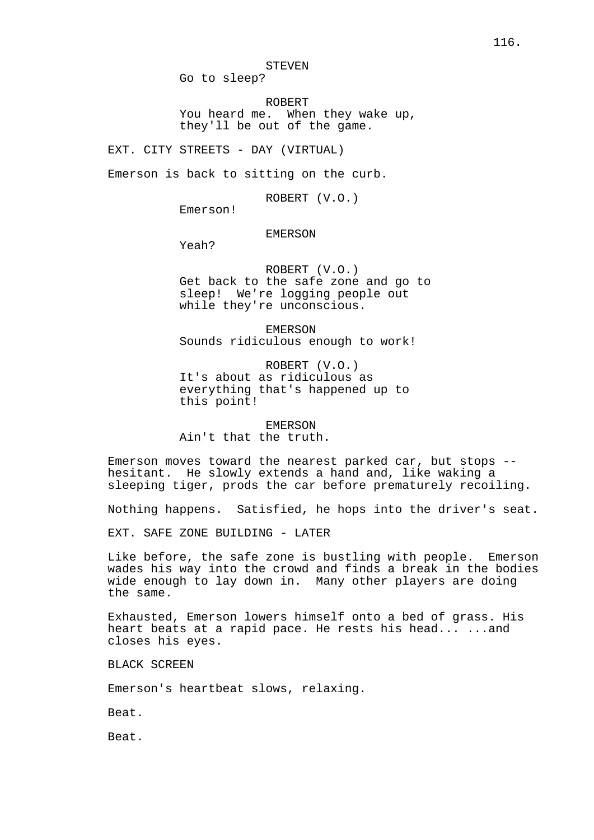STEVEN

Go to sleep?

ROBERT You heard me. When they wake up, they'll be out of the game.

EXT. CITY STREETS - DAY (VIRTUAL)

Emerson is back to sitting on the curb.

ROBERT (V.O.)

Emerson!

## EMERSON

Yeah?

ROBERT (V.O.) Get back to the safe zone and go to sleep! We're logging people out while they're unconscious.

EMERSON Sounds ridiculous enough to work!

ROBERT (V.O.) It's about as ridiculous as everything that's happened up to this point!

EMERSON Ain't that the truth.

Emerson moves toward the nearest parked car, but stops - hesitant. He slowly extends a hand and, like waking a sleeping tiger, prods the car before prematurely recoiling.

Nothing happens. Satisfied, he hops into the driver's seat.

EXT. SAFE ZONE BUILDING - LATER

Like before, the safe zone is bustling with people. Emerson wades his way into the crowd and finds a break in the bodies wide enough to lay down in. Many other players are doing the same.

Exhausted, Emerson lowers himself onto a bed of grass. His heart beats at a rapid pace. He rests his head... ...and closes his eyes.

BLACK SCREEN

Emerson's heartbeat slows, relaxing.

Beat.

Beat.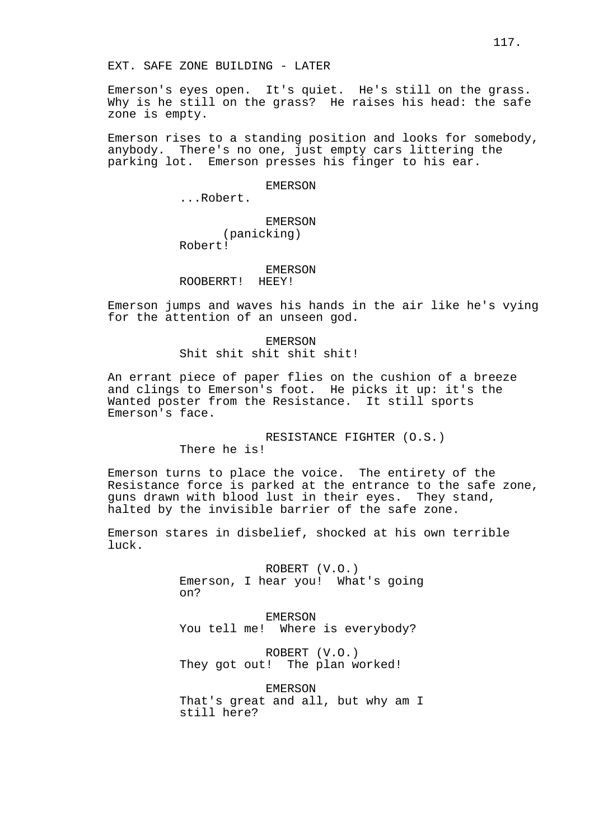EXT. SAFE ZONE BUILDING - LATER

Emerson's eyes open. It's quiet. He's still on the grass. Why is he still on the grass? He raises his head: the safe zone is empty.

Emerson rises to a standing position and looks for somebody, anybody. There's no one, just empty cars littering the parking lot. Emerson presses his finger to his ear.

EMERSON

...Robert.

EMERSON

(panicking) Robert!

### EMERSON

ROOBERRT! HEEY!

Emerson jumps and waves his hands in the air like he's vying for the attention of an unseen god.

> EMERSON Shit shit shit shit shit!

An errant piece of paper flies on the cushion of a breeze and clings to Emerson's foot. He picks it up: it's the Wanted poster from the Resistance. It still sports Emerson's face.

RESISTANCE FIGHTER (O.S.)

There he is!

Emerson turns to place the voice. The entirety of the Resistance force is parked at the entrance to the safe zone, guns drawn with blood lust in their eyes. They stand, halted by the invisible barrier of the safe zone.

Emerson stares in disbelief, shocked at his own terrible luck.

> ROBERT (V.O.) Emerson, I hear you! What's going on?

EMERSON You tell me! Where is everybody?

ROBERT (V.O.) They got out! The plan worked!

EMERSON That's great and all, but why am I still here?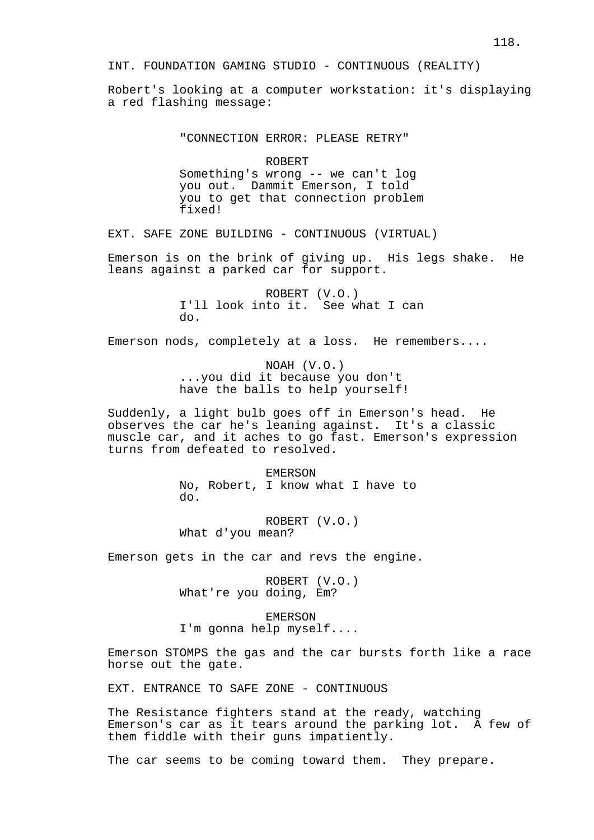Robert's looking at a computer workstation: it's displaying a red flashing message:

"CONNECTION ERROR: PLEASE RETRY"

ROBERT Something's wrong -- we can't log you out. Dammit Emerson, I told you to get that connection problem fixed!

EXT. SAFE ZONE BUILDING - CONTINUOUS (VIRTUAL)

Emerson is on the brink of giving up. His legs shake. He leans against a parked car for support.

> ROBERT (V.O.) I'll look into it. See what I can do.

Emerson nods, completely at a loss. He remembers....

NOAH (V.O.) ...you did it because you don't have the balls to help yourself!

Suddenly, a light bulb goes off in Emerson's head. He observes the car he's leaning against. It's a classic muscle car, and it aches to go fast. Emerson's expression turns from defeated to resolved.

> EMERSON No, Robert, I know what I have to do.

ROBERT (V.O.) What d'you mean?

Emerson gets in the car and revs the engine.

ROBERT (V.O.) What're you doing, Em?

EMERSON I'm gonna help myself....

Emerson STOMPS the gas and the car bursts forth like a race horse out the gate.

EXT. ENTRANCE TO SAFE ZONE - CONTINUOUS

The Resistance fighters stand at the ready, watching Emerson's car as it tears around the parking lot. A few of them fiddle with their guns impatiently.

The car seems to be coming toward them. They prepare.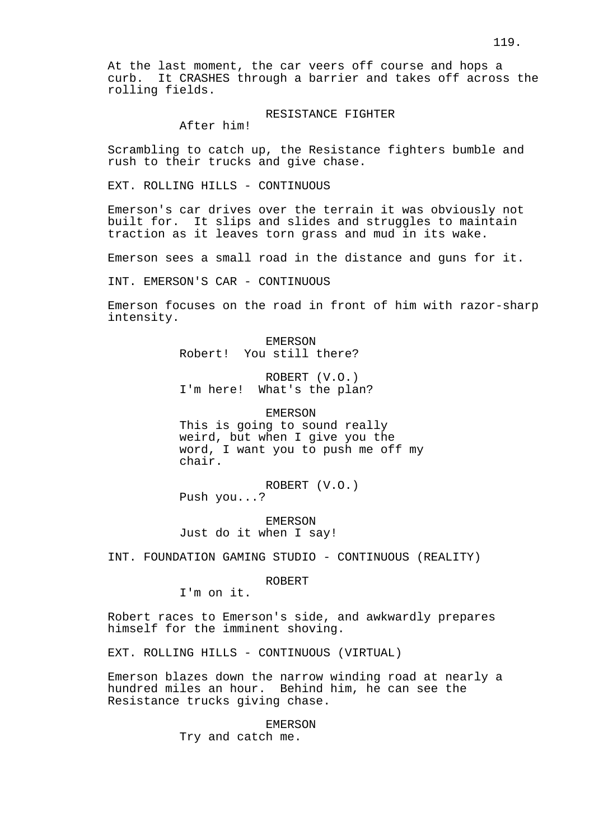At the last moment, the car veers off course and hops a curb. It CRASHES through a barrier and takes off across the rolling fields.

## RESISTANCE FIGHTER

After him!

Scrambling to catch up, the Resistance fighters bumble and rush to their trucks and give chase.

EXT. ROLLING HILLS - CONTINUOUS

Emerson's car drives over the terrain it was obviously not built for. It slips and slides and struggles to maintain traction as it leaves torn grass and mud in its wake.

Emerson sees a small road in the distance and guns for it.

INT. EMERSON'S CAR - CONTINUOUS

Emerson focuses on the road in front of him with razor-sharp intensity.

> EMERSON Robert! You still there?

ROBERT (V.O.) I'm here! What's the plan?

EMERSON This is going to sound really weird, but when I give you the word, I want you to push me off my chair.

ROBERT (V.O.) Push you...?

EMERSON Just do it when I say!

INT. FOUNDATION GAMING STUDIO - CONTINUOUS (REALITY)

ROBERT

I'm on it.

Robert races to Emerson's side, and awkwardly prepares himself for the imminent shoving.

EXT. ROLLING HILLS - CONTINUOUS (VIRTUAL)

Emerson blazes down the narrow winding road at nearly a hundred miles an hour. Behind him, he can see the Resistance trucks giving chase.

EMERSON

Try and catch me.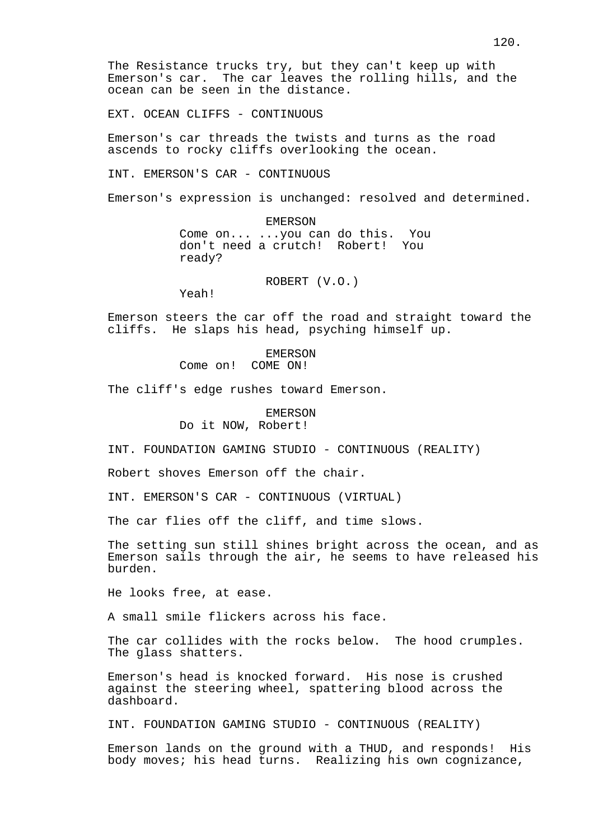The Resistance trucks try, but they can't keep up with Emerson's car. The car leaves the rolling hills, and the ocean can be seen in the distance.

EXT. OCEAN CLIFFS - CONTINUOUS

Emerson's car threads the twists and turns as the road ascends to rocky cliffs overlooking the ocean.

INT. EMERSON'S CAR - CONTINUOUS

Emerson's expression is unchanged: resolved and determined.

EMERSON Come on... ...you can do this. You don't need a crutch! Robert! You ready?

ROBERT (V.O.)

Yeah!

Emerson steers the car off the road and straight toward the cliffs. He slaps his head, psyching himself up.

> EMERSON Come on! COME ON!

The cliff's edge rushes toward Emerson.

EMERSON Do it NOW, Robert!

INT. FOUNDATION GAMING STUDIO - CONTINUOUS (REALITY)

Robert shoves Emerson off the chair.

INT. EMERSON'S CAR - CONTINUOUS (VIRTUAL)

The car flies off the cliff, and time slows.

The setting sun still shines bright across the ocean, and as Emerson sails through the air, he seems to have released his burden.

He looks free, at ease.

A small smile flickers across his face.

The car collides with the rocks below. The hood crumples. The glass shatters.

Emerson's head is knocked forward. His nose is crushed against the steering wheel, spattering blood across the dashboard.

INT. FOUNDATION GAMING STUDIO - CONTINUOUS (REALITY)

Emerson lands on the ground with a THUD, and responds! His body moves; his head turns. Realizing his own cognizance,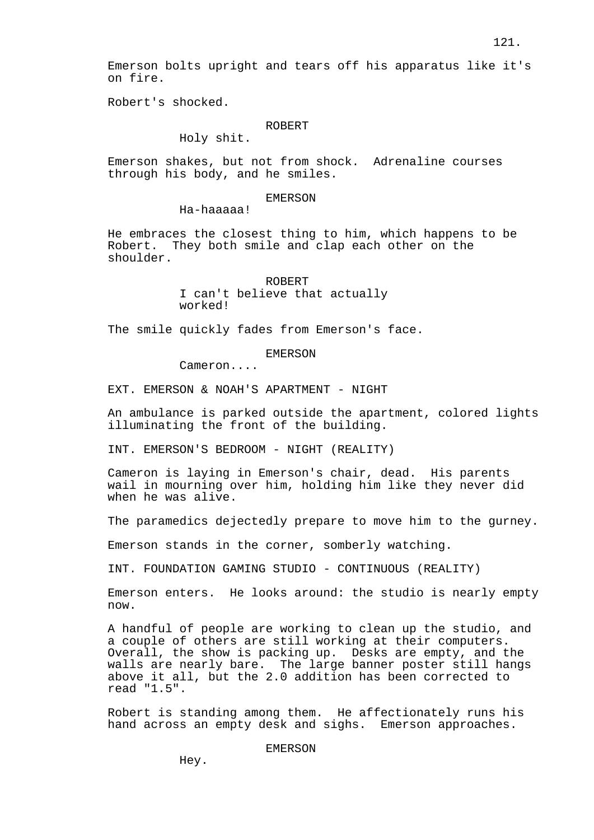Emerson bolts upright and tears off his apparatus like it's on fire.

Robert's shocked.

## ROBERT

Holy shit.

Emerson shakes, but not from shock. Adrenaline courses through his body, and he smiles.

### EMERSON

Ha-haaaaa!

He embraces the closest thing to him, which happens to be Robert. They both smile and clap each other on the shoulder.

> ROBERT I can't believe that actually worked!

The smile quickly fades from Emerson's face.

EMERSON

Cameron....

EXT. EMERSON & NOAH'S APARTMENT - NIGHT

An ambulance is parked outside the apartment, colored lights illuminating the front of the building.

INT. EMERSON'S BEDROOM - NIGHT (REALITY)

Cameron is laying in Emerson's chair, dead. His parents wail in mourning over him, holding him like they never did when he was alive.

The paramedics dejectedly prepare to move him to the gurney.

Emerson stands in the corner, somberly watching.

INT. FOUNDATION GAMING STUDIO - CONTINUOUS (REALITY)

Emerson enters. He looks around: the studio is nearly empty now.

A handful of people are working to clean up the studio, and a couple of others are still working at their computers. Overall, the show is packing up. Desks are empty, and the walls are nearly bare. The large banner poster still hangs above it all, but the 2.0 addition has been corrected to read "1.5".

Robert is standing among them. He affectionately runs his hand across an empty desk and sighs. Emerson approaches.

EMERSON

Hey.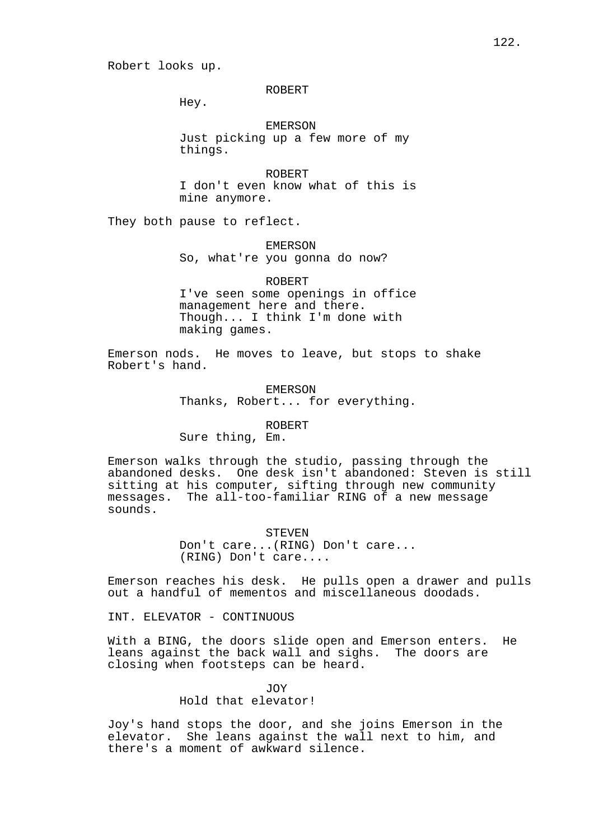#### ROBERT

Hey.

EMERSON Just picking up a few more of my things.

ROBERT I don't even know what of this is mine anymore.

They both pause to reflect.

EMERSON So, what're you gonna do now?

ROBERT I've seen some openings in office management here and there. Though... I think I'm done with making games.

Emerson nods. He moves to leave, but stops to shake Robert's hand.

> EMERSON Thanks, Robert... for everything.

## ROBERT

Sure thing, Em.

Emerson walks through the studio, passing through the abandoned desks. One desk isn't abandoned: Steven is still sitting at his computer, sifting through new community messages. The all-too-familiar RING of a new message sounds.

STEVEN

Don't care...(RING) Don't care... (RING) Don't care....

Emerson reaches his desk. He pulls open a drawer and pulls out a handful of mementos and miscellaneous doodads.

INT. ELEVATOR - CONTINUOUS

With a BING, the doors slide open and Emerson enters. He leans against the back wall and sighs. The doors are closing when footsteps can be heard.

> JOY Hold that elevator!

Joy's hand stops the door, and she joins Emerson in the elevator. She leans against the wall next to him, and there's a moment of awkward silence.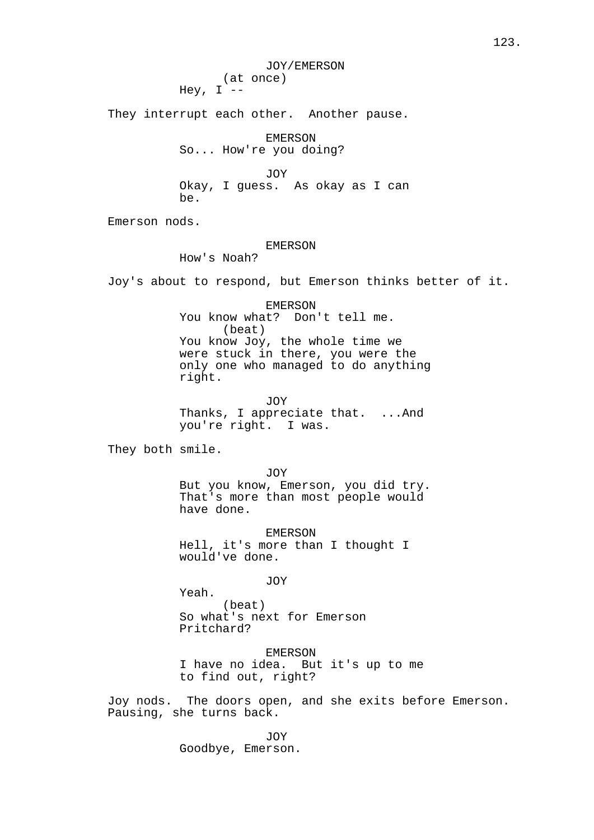JOY/EMERSON (at once) Hey,  $I$  --

They interrupt each other. Another pause.

EMERSON So... How're you doing?

JOY Okay, I guess. As okay as I can be.

Emerson nods.

# EMERSON

How's Noah?

Joy's about to respond, but Emerson thinks better of it.

EMERSON You know what? Don't tell me. (beat) You know Joy, the whole time we were stuck in there, you were the only one who managed to do anything right.

JOY Thanks, I appreciate that. ... And you're right. I was.

They both smile.

JOY But you know, Emerson, you did try. That's more than most people would have done.

EMERSON Hell, it's more than I thought I would've done.

JOY

Yeah. (beat) So what's next for Emerson Pritchard?

EMERSON I have no idea. But it's up to me to find out, right?

Joy nods. The doors open, and she exits before Emerson. Pausing, she turns back.

> JOY Goodbye, Emerson.